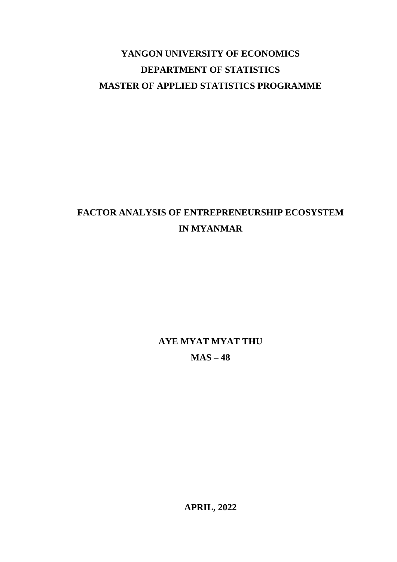# **YANGON UNIVERSITY OF ECONOMICS DEPARTMENT OF STATISTICS MASTER OF APPLIED STATISTICS PROGRAMME**

# **FACTOR ANALYSIS OF ENTREPRENEURSHIP ECOSYSTEM IN MYANMAR**

**AYE MYAT MYAT THU MAS – 48** 

**APRIL, 2022**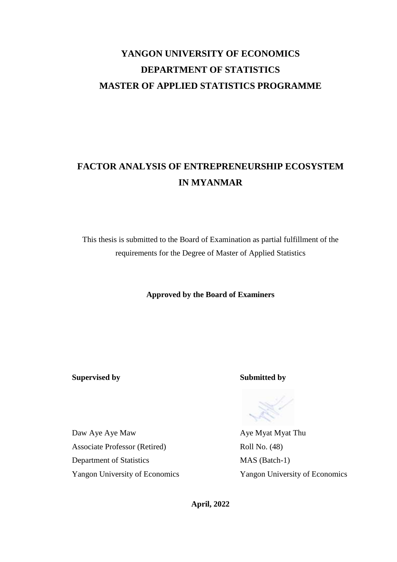# **YANGON UNIVERSITY OF ECONOMICS DEPARTMENT OF STATISTICS MASTER OF APPLIED STATISTICS PROGRAMME**

# **FACTOR ANALYSIS OF ENTREPRENEURSHIP ECOSYSTEM IN MYANMAR**

This thesis is submitted to the Board of Examination as partial fulfillment of the requirements for the Degree of Master of Applied Statistics

**Approved by the Board of Examiners**

**Supervised by Submitted by**

Daw Aye Aye Maw Aye Myat Thu Associate Professor (Retired) Roll No. (48) Department of Statistics MAS (Batch-1) Yangon University of Economics Yangon University of Economics

**April, 2022**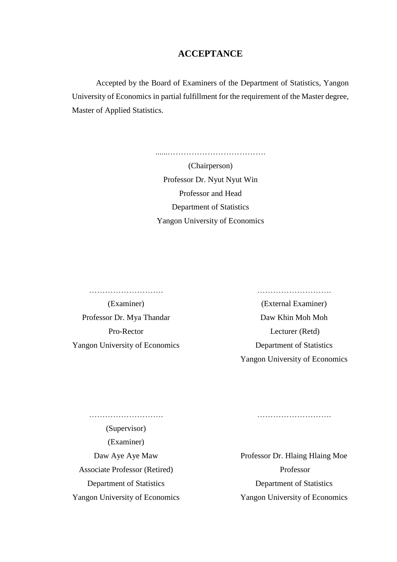### **ACCEPTANCE**

Accepted by the Board of Examiners of the Department of Statistics, Yangon University of Economics in partial fulfillment for the requirement of the Master degree, Master of Applied Statistics.

> (Chairperson) Professor Dr. Nyut Nyut Win Professor and Head Department of Statistics Yangon University of Economics

> ......……………………………….

………………………. ……………………….

Professor Dr. Mya Thandar Daw Khin Moh Moh Yangon University of Economics Department of Statistics

(Examiner) (External Examiner) Pro-Rector Lecturer (Retd) Yangon University of Economics

(Supervisor) (Examiner) Associate Professor (Retired) Professor Yangon University of Economics Yangon University of Economics

………………………. ……………………….

Daw Aye Aye Maw Professor Dr. Hlaing Hlaing Moe Department of Statistics Department of Statistics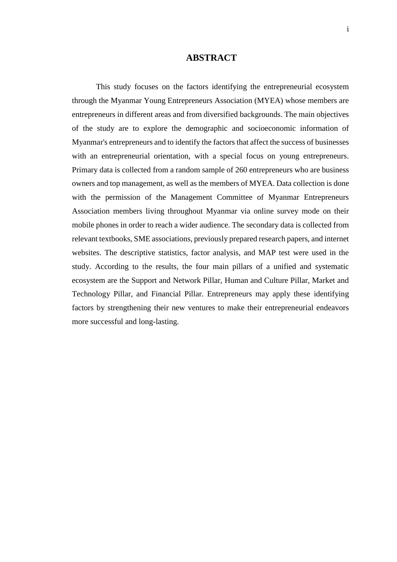### **ABSTRACT**

This study focuses on the factors identifying the entrepreneurial ecosystem through the Myanmar Young Entrepreneurs Association (MYEA) whose members are entrepreneurs in different areas and from diversified backgrounds. The main objectives of the study are to explore the demographic and socioeconomic information of Myanmar's entrepreneurs and to identify the factors that affect the success of businesses with an entrepreneurial orientation, with a special focus on young entrepreneurs. Primary data is collected from a random sample of 260 entrepreneurs who are business owners and top management, as well as the members of MYEA. Data collection is done with the permission of the Management Committee of Myanmar Entrepreneurs Association members living throughout Myanmar via online survey mode on their mobile phones in order to reach a wider audience. The secondary data is collected from relevant textbooks, SME associations, previously prepared research papers, and internet websites. The descriptive statistics, factor analysis, and MAP test were used in the study. According to the results, the four main pillars of a unified and systematic ecosystem are the Support and Network Pillar, Human and Culture Pillar, Market and Technology Pillar, and Financial Pillar. Entrepreneurs may apply these identifying factors by strengthening their new ventures to make their entrepreneurial endeavors more successful and long-lasting.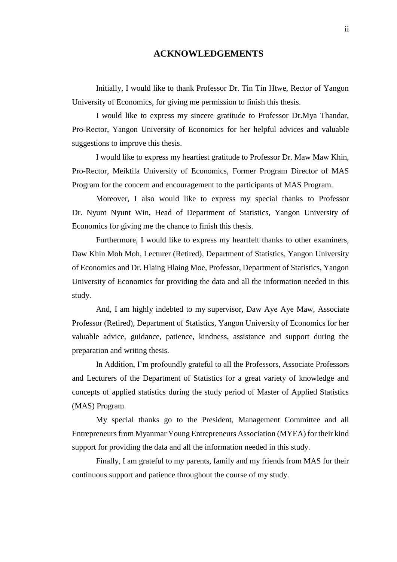### **ACKNOWLEDGEMENTS**

Initially, I would like to thank Professor Dr. Tin Tin Htwe, Rector of Yangon University of Economics, for giving me permission to finish this thesis.

I would like to express my sincere gratitude to Professor Dr.Mya Thandar, Pro-Rector, Yangon University of Economics for her helpful advices and valuable suggestions to improve this thesis.

I would like to express my heartiest gratitude to Professor Dr. Maw Maw Khin, Pro-Rector, Meiktila University of Economics, Former Program Director of MAS Program for the concern and encouragement to the participants of MAS Program.

Moreover, I also would like to express my special thanks to Professor Dr. Nyunt Nyunt Win, Head of Department of Statistics, Yangon University of Economics for giving me the chance to finish this thesis.

Furthermore, I would like to express my heartfelt thanks to other examiners, Daw Khin Moh Moh, Lecturer (Retired), Department of Statistics, Yangon University of Economics and Dr. Hlaing Hlaing Moe, Professor, Department of Statistics, Yangon University of Economics for providing the data and all the information needed in this study.

And, I am highly indebted to my supervisor, Daw Aye Aye Maw, Associate Professor (Retired), Department of Statistics, Yangon University of Economics for her valuable advice, guidance, patience, kindness, assistance and support during the preparation and writing thesis.

In Addition, I'm profoundly grateful to all the Professors, Associate Professors and Lecturers of the Department of Statistics for a great variety of knowledge and concepts of applied statistics during the study period of Master of Applied Statistics (MAS) Program.

My special thanks go to the President, Management Committee and all Entrepreneurs from Myanmar Young Entrepreneurs Association (MYEA) for their kind support for providing the data and all the information needed in this study.

Finally, I am grateful to my parents, family and my friends from MAS for their continuous support and patience throughout the course of my study.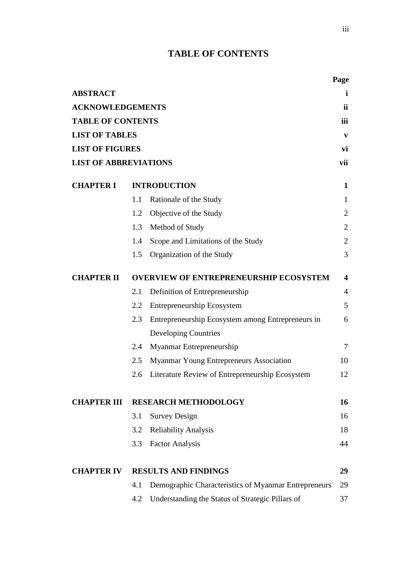### **TABLE OF CONTENTS**

|                              |     |                                                      | Page           |
|------------------------------|-----|------------------------------------------------------|----------------|
| <b>ABSTRACT</b>              |     |                                                      | i.             |
| <b>ACKNOWLEDGEMENTS</b>      |     |                                                      | ii             |
| <b>TABLE OF CONTENTS</b>     |     |                                                      | iii            |
| <b>LIST OF TABLES</b>        |     |                                                      | V              |
| <b>LIST OF FIGURES</b>       |     |                                                      | vi             |
| <b>LIST OF ABBREVIATIONS</b> |     |                                                      | vii            |
| <b>CHAPTER I</b>             |     | <b>INTRODUCTION</b>                                  | $\mathbf{1}$   |
|                              | 1.1 | Rationale of the Study                               | 1              |
|                              | 1.2 | Objective of the Study                               | $\overline{2}$ |
|                              | 1.3 | Method of Study                                      | $\overline{2}$ |
|                              | 1.4 | Scope and Limitations of the Study                   | $\overline{2}$ |
|                              | 1.5 | Organization of the Study                            | 3              |
| <b>CHAPTER II</b>            |     | <b>OVERVIEW OF ENTREPRENEURSHIP ECOSYSTEM</b>        | 4              |
|                              | 2.1 | Definition of Entrepreneurship                       | 4              |
|                              | 2.2 | <b>Entrepreneurship Ecosystem</b>                    | 5              |
|                              | 2.3 | Entrepreneurship Ecosystem among Entrepreneurs in    | 6              |
|                              |     | <b>Developing Countries</b>                          |                |
|                              | 2.4 | Myanmar Entrepreneurship                             | 7              |
|                              | 2.5 | Myanmar Young Entrepreneurs Association              | 10             |
|                              |     | 2.6 Literature Review of Entrepreneurship Ecosystem  | 12             |
| <b>CHAPTER III</b>           |     | <b>RESEARCH METHODOLOGY</b>                          | 16             |
|                              | 3.1 | <b>Survey Design</b>                                 | 16             |
|                              | 3.2 | <b>Reliability Analysis</b>                          | 18             |
|                              | 3.3 | <b>Factor Analysis</b>                               | 44             |
| <b>CHAPTER IV</b>            |     | <b>RESULTS AND FINDINGS</b>                          | 29             |
|                              | 4.1 | Demographic Characteristics of Myanmar Entrepreneurs | 29             |
|                              | 4.2 | Understanding the Status of Strategic Pillars of     | 37             |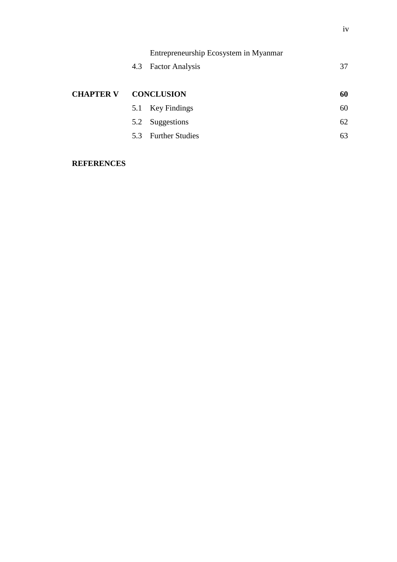|                  |     | Entrepreneurship Ecosystem in Myanmar |    |
|------------------|-----|---------------------------------------|----|
|                  | 4.3 | <b>Factor Analysis</b>                | 37 |
|                  |     |                                       |    |
| <b>CHAPTER V</b> |     | <b>CONCLUSION</b>                     | 60 |
|                  | 5.1 | Key Findings                          | 60 |
|                  | 5.2 | Suggestions                           | 62 |
|                  |     | 5.3 Further Studies                   | 63 |
|                  |     |                                       |    |

### **REFERENCES**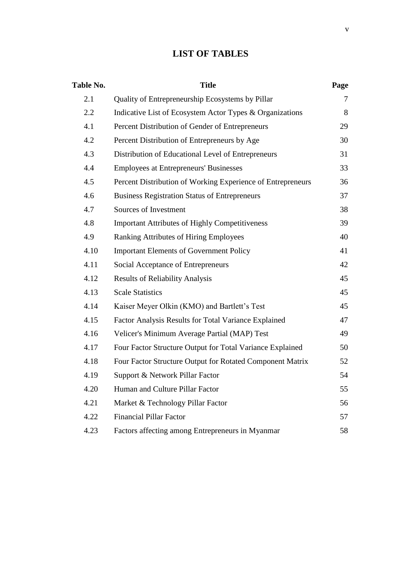### **LIST OF TABLES**

| Table No. | <b>Title</b>                                                | Page |
|-----------|-------------------------------------------------------------|------|
| 2.1       | Quality of Entrepreneurship Ecosystems by Pillar            | 7    |
| 2.2       | Indicative List of Ecosystem Actor Types & Organizations    | 8    |
| 4.1       | Percent Distribution of Gender of Entrepreneurs             | 29   |
| 4.2       | Percent Distribution of Entrepreneurs by Age                | 30   |
| 4.3       | Distribution of Educational Level of Entrepreneurs          | 31   |
| 4.4       | <b>Employees at Entrepreneurs' Businesses</b>               | 33   |
| 4.5       | Percent Distribution of Working Experience of Entrepreneurs | 36   |
| 4.6       | <b>Business Registration Status of Entrepreneurs</b>        | 37   |
| 4.7       | Sources of Investment                                       | 38   |
| 4.8       | <b>Important Attributes of Highly Competitiveness</b>       | 39   |
| 4.9       | Ranking Attributes of Hiring Employees                      | 40   |
| 4.10      | <b>Important Elements of Government Policy</b>              | 41   |
| 4.11      | Social Acceptance of Entrepreneurs                          | 42   |
| 4.12      | <b>Results of Reliability Analysis</b>                      | 45   |
| 4.13      | <b>Scale Statistics</b>                                     | 45   |
| 4.14      | Kaiser Meyer Olkin (KMO) and Bartlett's Test                | 45   |
| 4.15      | Factor Analysis Results for Total Variance Explained        | 47   |
| 4.16      | Velicer's Minimum Average Partial (MAP) Test                | 49   |
| 4.17      | Four Factor Structure Output for Total Variance Explained   | 50   |
| 4.18      | Four Factor Structure Output for Rotated Component Matrix   | 52   |
| 4.19      | Support & Network Pillar Factor                             | 54   |
| 4.20      | Human and Culture Pillar Factor                             | 55   |
| 4.21      | Market & Technology Pillar Factor                           | 56   |
| 4.22      | <b>Financial Pillar Factor</b>                              | 57   |
| 4.23      | Factors affecting among Entrepreneurs in Myanmar            | 58   |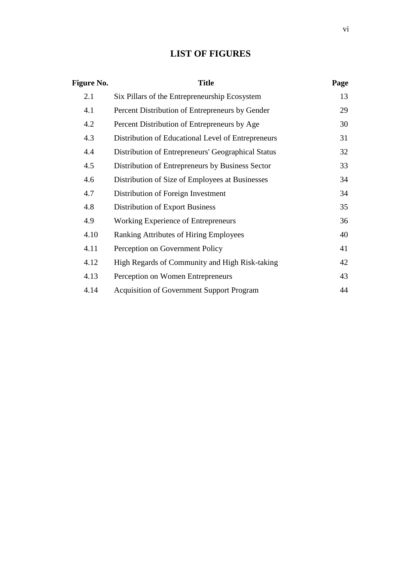### **LIST OF FIGURES**

| <b>Figure No.</b> | <b>Title</b>                                       | Page |
|-------------------|----------------------------------------------------|------|
| 2.1               | Six Pillars of the Entrepreneurship Ecosystem      | 13   |
| 4.1               | Percent Distribution of Entrepreneurs by Gender    | 29   |
| 4.2               | Percent Distribution of Entrepreneurs by Age       | 30   |
| 4.3               | Distribution of Educational Level of Entrepreneurs | 31   |
| 4.4               | Distribution of Entrepreneurs' Geographical Status | 32   |
| 4.5               | Distribution of Entrepreneurs by Business Sector   | 33   |
| 4.6               | Distribution of Size of Employees at Businesses    | 34   |
| 4.7               | Distribution of Foreign Investment                 | 34   |
| 4.8               | <b>Distribution of Export Business</b>             | 35   |
| 4.9               | Working Experience of Entrepreneurs                | 36   |
| 4.10              | <b>Ranking Attributes of Hiring Employees</b>      | 40   |
| 4.11              | Perception on Government Policy                    | 41   |
| 4.12              | High Regards of Community and High Risk-taking     | 42   |
| 4.13              | Perception on Women Entrepreneurs                  | 43   |
| 4.14              | <b>Acquisition of Government Support Program</b>   | 44   |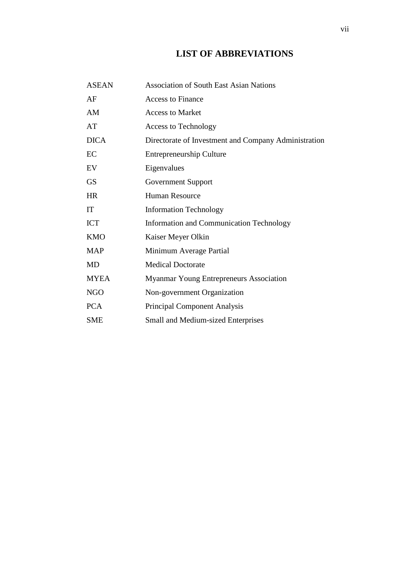### **LIST OF ABBREVIATIONS**

| <b>ASEAN</b> | <b>Association of South East Asian Nations</b>       |
|--------------|------------------------------------------------------|
| AF           | <b>Access to Finance</b>                             |
| AM           | <b>Access to Market</b>                              |
| AT           | <b>Access to Technology</b>                          |
| <b>DICA</b>  | Directorate of Investment and Company Administration |
| EC           | <b>Entrepreneurship Culture</b>                      |
| EV           | Eigenvalues                                          |
| <b>GS</b>    | Government Support                                   |
| <b>HR</b>    | <b>Human Resource</b>                                |
| IT           | <b>Information Technology</b>                        |
| <b>ICT</b>   | <b>Information and Communication Technology</b>      |
| <b>KMO</b>   | Kaiser Meyer Olkin                                   |
| <b>MAP</b>   | Minimum Average Partial                              |
| <b>MD</b>    | <b>Medical Doctorate</b>                             |
| <b>MYEA</b>  | Myanmar Young Entrepreneurs Association              |
| <b>NGO</b>   | Non-government Organization                          |
| <b>PCA</b>   | <b>Principal Component Analysis</b>                  |
| <b>SME</b>   | <b>Small and Medium-sized Enterprises</b>            |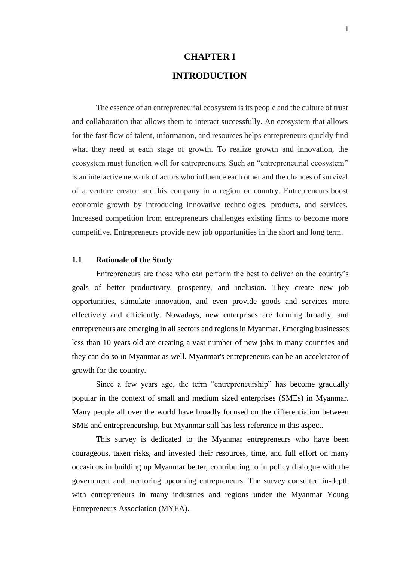# **CHAPTER I INTRODUCTION**

The essence of an entrepreneurial ecosystem is its people and the culture of trust and collaboration that allows them to interact successfully. An ecosystem that allows for the fast flow of talent, information, and resources helps entrepreneurs quickly find what they need at each stage of growth. To realize growth and innovation, the ecosystem must function well for entrepreneurs. Such an "entrepreneurial ecosystem" is an interactive network of actors who influence each other and the chances of survival of a venture creator and his company in a region or country. Entrepreneurs boost economic growth by introducing innovative technologies, products, and services. Increased competition from entrepreneurs challenges existing firms to become more competitive. Entrepreneurs provide new job opportunities in the short and long term.

### **1.1 Rationale of the Study**

Entrepreneurs are those who can perform the best to deliver on the country's goals of better productivity, prosperity, and inclusion. They create new job opportunities, stimulate innovation, and even provide goods and services more effectively and efficiently. Nowadays, new enterprises are forming broadly, and entrepreneurs are emerging in all sectors and regions in Myanmar. Emerging businesses less than 10 years old are creating a vast number of new jobs in many countries and they can do so in Myanmar as well. Myanmar's entrepreneurs can be an accelerator of growth for the country.

Since a few years ago, the term "entrepreneurship" has become gradually popular in the context of small and medium sized enterprises (SMEs) in Myanmar. Many people all over the world have broadly focused on the differentiation between SME and entrepreneurship, but Myanmar still has less reference in this aspect.

This survey is dedicated to the Myanmar entrepreneurs who have been courageous, taken risks, and invested their resources, time, and full effort on many occasions in building up Myanmar better, contributing to in policy dialogue with the government and mentoring upcoming entrepreneurs. The survey consulted in-depth with entrepreneurs in many industries and regions under the Myanmar Young Entrepreneurs Association (MYEA).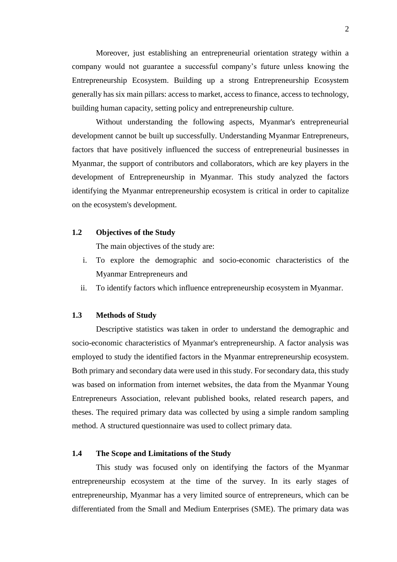Moreover, just establishing an entrepreneurial orientation strategy within a company would not guarantee a successful company's future unless knowing the Entrepreneurship Ecosystem. Building up a strong Entrepreneurship Ecosystem generally has six main pillars: access to market, access to finance, access to technology, building human capacity, setting policy and entrepreneurship culture.

Without understanding the following aspects, Myanmar's entrepreneurial development cannot be built up successfully. Understanding Myanmar Entrepreneurs, factors that have positively influenced the success of entrepreneurial businesses in Myanmar, the support of contributors and collaborators, which are key players in the development of Entrepreneurship in Myanmar. This study analyzed the factors identifying the Myanmar entrepreneurship ecosystem is critical in order to capitalize on the ecosystem's development.

### **1.2 Objectives of the Study**

The main objectives of the study are:

- i. To explore the demographic and socio-economic characteristics of the Myanmar Entrepreneurs and
- ii. To identify factors which influence entrepreneurship ecosystem in Myanmar.

### **1.3 Methods of Study**

Descriptive statistics was taken in order to understand the demographic and socio-economic characteristics of Myanmar's entrepreneurship. A factor analysis was employed to study the identified factors in the Myanmar entrepreneurship ecosystem. Both primary and secondary data were used in this study. For secondary data, this study was based on information from internet websites, the data from the Myanmar Young Entrepreneurs Association, relevant published books, related research papers, and theses. The required primary data was collected by using a simple random sampling method. A structured questionnaire was used to collect primary data.

### **1.4 The Scope and Limitations of the Study**

This study was focused only on identifying the factors of the Myanmar entrepreneurship ecosystem at the time of the survey. In its early stages of entrepreneurship, Myanmar has a very limited source of entrepreneurs, which can be differentiated from the Small and Medium Enterprises (SME). The primary data was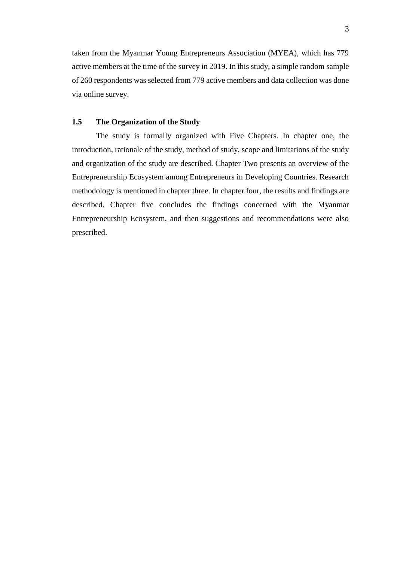taken from the Myanmar Young Entrepreneurs Association (MYEA), which has 779 active members at the time of the survey in 2019. In this study, a simple random sample of 260 respondents was selected from 779 active members and data collection was done via online survey.

### **1.5 The Organization of the Study**

The study is formally organized with Five Chapters. In chapter one, the introduction, rationale of the study, method of study, scope and limitations of the study and organization of the study are described. Chapter Two presents an overview of the Entrepreneurship Ecosystem among Entrepreneurs in Developing Countries. Research methodology is mentioned in chapter three. In chapter four, the results and findings are described. Chapter five concludes the findings concerned with the Myanmar Entrepreneurship Ecosystem, and then suggestions and recommendations were also prescribed.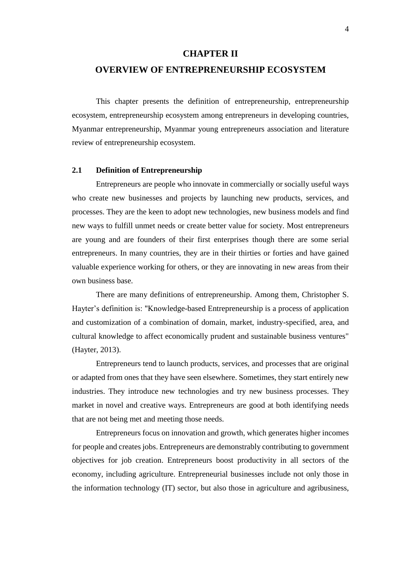### **CHAPTER II**

### **OVERVIEW OF ENTREPRENEURSHIP ECOSYSTEM**

This chapter presents the definition of entrepreneurship, entrepreneurship ecosystem, entrepreneurship ecosystem among entrepreneurs in developing countries, Myanmar entrepreneurship, Myanmar young entrepreneurs association and literature review of entrepreneurship ecosystem.

### **2.1 Definition of Entrepreneurship**

Entrepreneurs are people who innovate in commercially or socially useful ways who create new businesses and projects by launching new products, services, and processes. They are the keen to adopt new technologies, new business models and find new ways to fulfill unmet needs or create better value for society. Most entrepreneurs are young and are founders of their first enterprises though there are some serial entrepreneurs. In many countries, they are in their thirties or forties and have gained valuable experience working for others, or they are innovating in new areas from their own business base.

There are many definitions of entrepreneurship. Among them, Christopher S. Hayter's definition is: "Knowledge-based Entrepreneurship is a process of application and customization of a combination of domain, market, industry-specified, area, and cultural knowledge to affect economically prudent and sustainable business ventures" (Hayter, 2013).

Entrepreneurs tend to launch products, services, and processes that are original or adapted from ones that they have seen elsewhere. Sometimes, they start entirely new industries. They introduce new technologies and try new business processes. They market in novel and creative ways. Entrepreneurs are good at both identifying needs that are not being met and meeting those needs.

Entrepreneurs focus on innovation and growth, which generates higher incomes for people and creates jobs. Entrepreneurs are demonstrably contributing to government objectives for job creation. Entrepreneurs boost productivity in all sectors of the economy, including agriculture. Entrepreneurial businesses include not only those in the information technology (IT) sector, but also those in agriculture and agribusiness,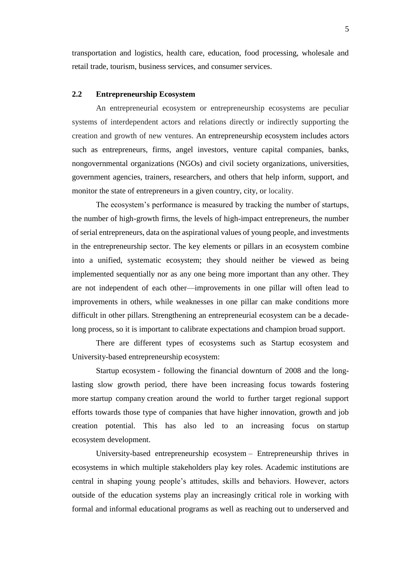transportation and logistics, health care, education, food processing, wholesale and retail trade, tourism, business services, and consumer services.

### **2.2 Entrepreneurship Ecosystem**

An entrepreneurial ecosystem or entrepreneurship ecosystems are peculiar systems of interdependent actors and relations directly or indirectly supporting the creation and growth of new ventures. An entrepreneurship ecosystem includes actors such as entrepreneurs, firms, angel investors, venture capital companies, banks, nongovernmental organizations (NGOs) and civil society organizations, universities, government agencies, trainers, researchers, and others that help inform, support, and monitor the state of entrepreneurs in a given country, city, or locality.

The ecosystem's performance is measured by tracking the number of startups, the number of high-growth firms, the levels of high-impact entrepreneurs, the number of serial entrepreneurs, data on the aspirational values of young people, and investments in the entrepreneurship sector. The key elements or pillars in an ecosystem combine into a unified, systematic ecosystem; they should neither be viewed as being implemented sequentially nor as any one being more important than any other. They are not independent of each other—improvements in one pillar will often lead to improvements in others, while weaknesses in one pillar can make conditions more difficult in other pillars. Strengthening an entrepreneurial ecosystem can be a decadelong process, so it is important to calibrate expectations and champion broad support.

There are different types of ecosystems such as Startup ecosystem and University-based entrepreneurship ecosystem:

Startup ecosystem - following the financial downturn of 2008 and the longlasting slow growth period, there have been increasing focus towards fostering more [startup company](https://en.wikipedia.org/wiki/Startup_company) creation around the world to further target regional support efforts towards those type of companies that have higher innovation, growth and job creation potential. This has also led to an increasing focus on [startup](https://en.wikipedia.org/wiki/Startup_ecosystem)  [ecosystem](https://en.wikipedia.org/wiki/Startup_ecosystem) development.

University-based entrepreneurship ecosystem – Entrepreneurship thrives in ecosystems in which multiple stakeholders play key roles. Academic institutions are central in shaping young people's attitudes, skills and behaviors. However, actors outside of the education systems play an increasingly critical role in working with formal and informal educational programs as well as reaching out to underserved and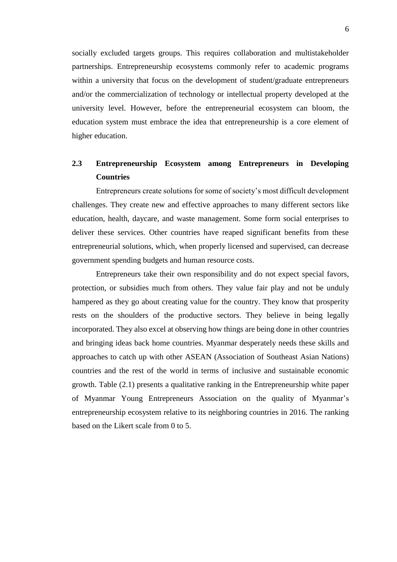socially excluded targets groups. This requires collaboration and multistakeholder partnerships. Entrepreneurship ecosystems commonly refer to academic programs within a university that focus on the development of student/graduate entrepreneurs and/or the commercialization of technology or intellectual property developed at the university level. However, before the entrepreneurial ecosystem can bloom, the education system must embrace the idea that entrepreneurship is a core element of higher education.

### **2.3 Entrepreneurship Ecosystem among Entrepreneurs in Developing Countries**

Entrepreneurs create solutions for some of society's most difficult development challenges. They create new and effective approaches to many different sectors like education, health, daycare, and waste management. Some form social enterprises to deliver these services. Other countries have reaped significant benefits from these entrepreneurial solutions, which, when properly licensed and supervised, can decrease government spending budgets and human resource costs.

Entrepreneurs take their own responsibility and do not expect special favors, protection, or subsidies much from others. They value fair play and not be unduly hampered as they go about creating value for the country. They know that prosperity rests on the shoulders of the productive sectors. They believe in being legally incorporated. They also excel at observing how things are being done in other countries and bringing ideas back home countries. Myanmar desperately needs these skills and approaches to catch up with other ASEAN (Association of Southeast Asian Nations) countries and the rest of the world in terms of inclusive and sustainable economic growth. Table (2.1) presents a qualitative ranking in the Entrepreneurship white paper of Myanmar Young Entrepreneurs Association on the quality of Myanmar's entrepreneurship ecosystem relative to its neighboring countries in 2016. The ranking based on the Likert scale from 0 to 5.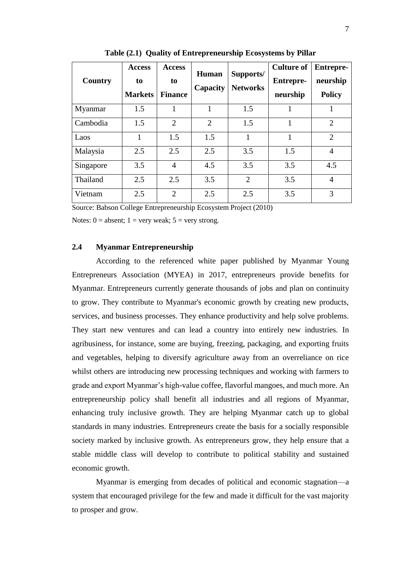| Country   | <b>Access</b><br>to<br><b>Markets</b> | <b>Access</b><br>to<br><b>Finance</b> | Human<br>Capacity | Supports/<br><b>Networks</b> | <b>Culture of</b><br><b>Entrepre-</b><br>neurship | <b>Entrepre-</b><br>neurship<br><b>Policy</b> |
|-----------|---------------------------------------|---------------------------------------|-------------------|------------------------------|---------------------------------------------------|-----------------------------------------------|
| Myanmar   | 1.5                                   |                                       |                   | 1.5                          | 1                                                 |                                               |
| Cambodia  | 1.5                                   | 2                                     | $\overline{2}$    | 1.5                          | 1                                                 | $\overline{2}$                                |
| Laos      | 1                                     | 1.5                                   | 1.5               | 1                            | 1                                                 | $\overline{2}$                                |
| Malaysia  | 2.5                                   | 2.5                                   | 2.5               | 3.5                          | 1.5                                               | $\overline{4}$                                |
| Singapore | 3.5                                   | $\overline{4}$                        | 4.5               | 3.5                          | 3.5                                               | 4.5                                           |
| Thailand  | 2.5                                   | 2.5                                   | 3.5               | $\overline{2}$               | 3.5                                               | $\overline{4}$                                |
| Vietnam   | 2.5                                   | $\overline{2}$                        | 2.5               | 2.5                          | 3.5                                               | 3                                             |

**Table (2.1) Quality of Entrepreneurship Ecosystems by Pillar**

Source: Babson College Entrepreneurship Ecosystem Project (2010)

Notes:  $0 =$  absent;  $1 =$  very weak;  $5 =$  very strong.

### **2.4 Myanmar Entrepreneurship**

According to the referenced white paper published by Myanmar Young Entrepreneurs Association (MYEA) in 2017, entrepreneurs provide benefits for Myanmar. Entrepreneurs currently generate thousands of jobs and plan on continuity to grow. They contribute to Myanmar's economic growth by creating new products, services, and business processes. They enhance productivity and help solve problems. They start new ventures and can lead a country into entirely new industries. In agribusiness, for instance, some are buying, freezing, packaging, and exporting fruits and vegetables, helping to diversify agriculture away from an overreliance on rice whilst others are introducing new processing techniques and working with farmers to grade and export Myanmar's high-value coffee, flavorful mangoes, and much more. An entrepreneurship policy shall benefit all industries and all regions of Myanmar, enhancing truly inclusive growth. They are helping Myanmar catch up to global standards in many industries. Entrepreneurs create the basis for a socially responsible society marked by inclusive growth. As entrepreneurs grow, they help ensure that a stable middle class will develop to contribute to political stability and sustained economic growth.

Myanmar is emerging from decades of political and economic stagnation—a system that encouraged privilege for the few and made it difficult for the vast majority to prosper and grow.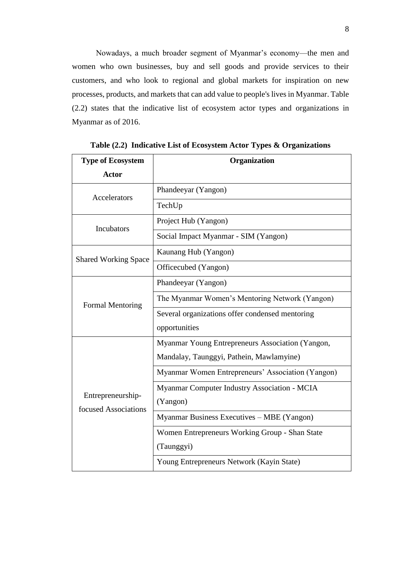Nowadays, a much broader segment of Myanmar's economy—the men and women who own businesses, buy and sell goods and provide services to their customers, and who look to regional and global markets for inspiration on new processes, products, and markets that can add value to people's lives in Myanmar. Table (2.2) states that the indicative list of ecosystem actor types and organizations in Myanmar as of 2016.

| <b>Type of Ecosystem</b>                  | Organization                                      |
|-------------------------------------------|---------------------------------------------------|
| <b>Actor</b>                              |                                                   |
| <b>Accelerators</b>                       | Phandeeyar (Yangon)                               |
|                                           | TechUp                                            |
| <b>Incubators</b>                         | Project Hub (Yangon)                              |
|                                           | Social Impact Myanmar - SIM (Yangon)              |
|                                           | Kaunang Hub (Yangon)                              |
| <b>Shared Working Space</b>               | Officecubed (Yangon)                              |
|                                           | Phandeeyar (Yangon)                               |
| <b>Formal Mentoring</b>                   | The Myanmar Women's Mentoring Network (Yangon)    |
|                                           | Several organizations offer condensed mentoring   |
|                                           | opportunities                                     |
|                                           | Myanmar Young Entrepreneurs Association (Yangon,  |
|                                           | Mandalay, Taunggyi, Pathein, Mawlamyine)          |
|                                           | Myanmar Women Entrepreneurs' Association (Yangon) |
|                                           | Myanmar Computer Industry Association - MCIA      |
| Entrepreneurship-<br>focused Associations | (Yangon)                                          |
|                                           | Myanmar Business Executives – MBE (Yangon)        |
|                                           | Women Entrepreneurs Working Group - Shan State    |
|                                           | (Taunggyi)                                        |
|                                           | Young Entrepreneurs Network (Kayin State)         |

**Table (2.2) Indicative List of Ecosystem Actor Types & Organizations**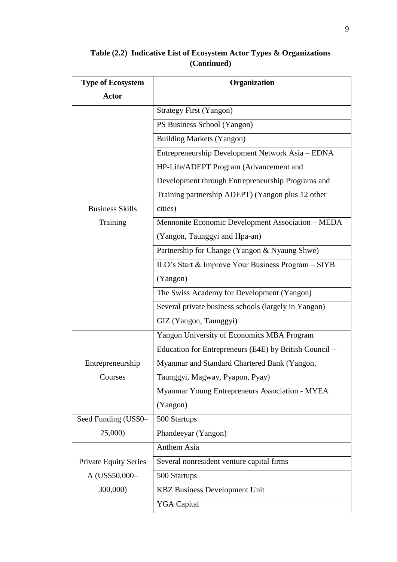| <b>Type of Ecosystem</b>     | Organization                                           |  |
|------------------------------|--------------------------------------------------------|--|
| <b>Actor</b>                 |                                                        |  |
|                              | <b>Strategy First (Yangon)</b>                         |  |
|                              | PS Business School (Yangon)                            |  |
|                              | <b>Building Markets (Yangon)</b>                       |  |
|                              | Entrepreneurship Development Network Asia - EDNA       |  |
|                              | HP-Life/ADEPT Program (Advancement and                 |  |
|                              | Development through Entrepreneurship Programs and      |  |
|                              | Training partnership ADEPT) (Yangon plus 12 other      |  |
| <b>Business Skills</b>       | cities)                                                |  |
| Training                     | Mennonite Economic Development Association - MEDA      |  |
|                              | (Yangon, Taunggyi and Hpa-an)                          |  |
|                              | Partnership for Change (Yangon & Nyaung Shwe)          |  |
|                              | ILO's Start & Improve Your Business Program - SIYB     |  |
|                              | (Yangon)                                               |  |
|                              | The Swiss Academy for Development (Yangon)             |  |
|                              | Several private business schools (largely in Yangon)   |  |
|                              | GIZ (Yangon, Taunggyi)                                 |  |
|                              | Yangon University of Economics MBA Program             |  |
|                              | Education for Entrepreneurs (E4E) by British Council - |  |
| Entrepreneurship             | Myanmar and Standard Chartered Bank (Yangon,           |  |
| Courses                      | Taunggyi, Magway, Pyapon, Pyay)                        |  |
|                              | Myanmar Young Entrepreneurs Association - MYEA         |  |
|                              | (Yangon)                                               |  |
| Seed Funding (US\$0-         | 500 Startups                                           |  |
| 25,000)                      | Phandeeyar (Yangon)                                    |  |
|                              | Anthem Asia                                            |  |
| <b>Private Equity Series</b> | Several nonresident venture capital firms              |  |
| A (US\$50,000-               | 500 Startups                                           |  |
| 300,000)                     | <b>KBZ Business Development Unit</b>                   |  |
|                              | <b>YGA Capital</b>                                     |  |

### **Table (2.2) Indicative List of Ecosystem Actor Types & Organizations (Continued)**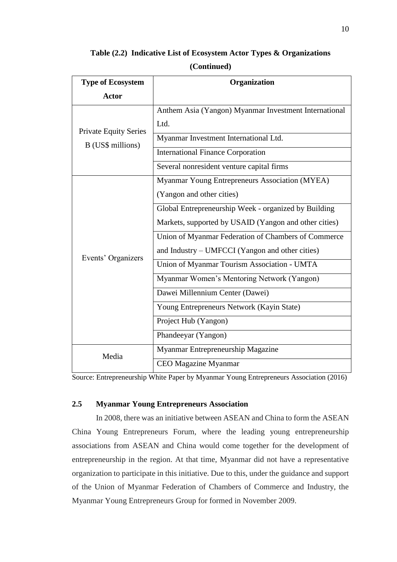| <b>Type of Ecosystem</b>     | Organization                                          |
|------------------------------|-------------------------------------------------------|
| <b>Actor</b>                 |                                                       |
|                              | Anthem Asia (Yangon) Myanmar Investment International |
| <b>Private Equity Series</b> | Ltd.                                                  |
| B (US\$ millions)            | Myanmar Investment International Ltd.                 |
|                              | <b>International Finance Corporation</b>              |
|                              | Several nonresident venture capital firms             |
|                              | Myanmar Young Entrepreneurs Association (MYEA)        |
|                              | (Yangon and other cities)                             |
|                              | Global Entrepreneurship Week - organized by Building  |
|                              | Markets, supported by USAID (Yangon and other cities) |
|                              | Union of Myanmar Federation of Chambers of Commerce   |
| Events' Organizers           | and Industry – UMFCCI (Yangon and other cities)       |
|                              | Union of Myanmar Tourism Association - UMTA           |
|                              | Myanmar Women's Mentoring Network (Yangon)            |
|                              | Dawei Millennium Center (Dawei)                       |
|                              | Young Entrepreneurs Network (Kayin State)             |
|                              | Project Hub (Yangon)                                  |
|                              | Phandeeyar (Yangon)                                   |
| Media                        | Myanmar Entrepreneurship Magazine                     |
|                              | <b>CEO</b> Magazine Myanmar                           |

**Table (2.2) Indicative List of Ecosystem Actor Types & Organizations (Continued)**

Source: Entrepreneurship White Paper by Myanmar Young Entrepreneurs Association (2016)

### **2.5 Myanmar Young Entrepreneurs Association**

In 2008, there was an initiative between ASEAN and China to form the ASEAN China Young Entrepreneurs Forum, where the leading young entrepreneurship associations from ASEAN and China would come together for the development of entrepreneurship in the region. At that time, Myanmar did not have a representative organization to participate in this initiative. Due to this, under the guidance and support of the Union of Myanmar Federation of Chambers of Commerce and Industry, the Myanmar Young Entrepreneurs Group for formed in November 2009.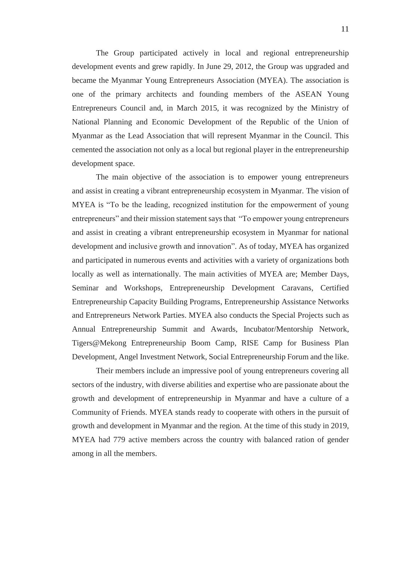The Group participated actively in local and regional entrepreneurship development events and grew rapidly. In June 29, 2012, the Group was upgraded and became the Myanmar Young Entrepreneurs Association (MYEA). The association is one of the primary architects and founding members of the ASEAN Young Entrepreneurs Council and, in March 2015, it was recognized by the Ministry of National Planning and Economic Development of the Republic of the Union of Myanmar as the Lead Association that will represent Myanmar in the Council. This cemented the association not only as a local but regional player in the entrepreneurship development space.

The main objective of the association is to empower young entrepreneurs and assist in creating a vibrant entrepreneurship ecosystem in Myanmar. The vision of MYEA is "To be the leading, recognized institution for the empowerment of young entrepreneurs" and their mission statement says that "To empower young entrepreneurs and assist in creating a vibrant entrepreneurship ecosystem in Myanmar for national development and inclusive growth and innovation". As of today, MYEA has organized and participated in numerous events and activities with a variety of organizations both locally as well as internationally. The main activities of MYEA are; Member Days, Seminar and Workshops, Entrepreneurship Development Caravans, Certified Entrepreneurship Capacity Building Programs, Entrepreneurship Assistance Networks and Entrepreneurs Network Parties. MYEA also conducts the Special Projects such as Annual Entrepreneurship Summit and Awards, Incubator/Mentorship Network, Tigers@Mekong Entrepreneurship Boom Camp, RISE Camp for Business Plan Development, Angel Investment Network, Social Entrepreneurship Forum and the like.

Their members include an impressive pool of young entrepreneurs covering all sectors of the industry, with diverse abilities and expertise who are passionate about the growth and development of entrepreneurship in Myanmar and have a culture of a Community of Friends. MYEA stands ready to cooperate with others in the pursuit of growth and development in Myanmar and the region. At the time of this study in 2019, MYEA had 779 active members across the country with balanced ration of gender among in all the members.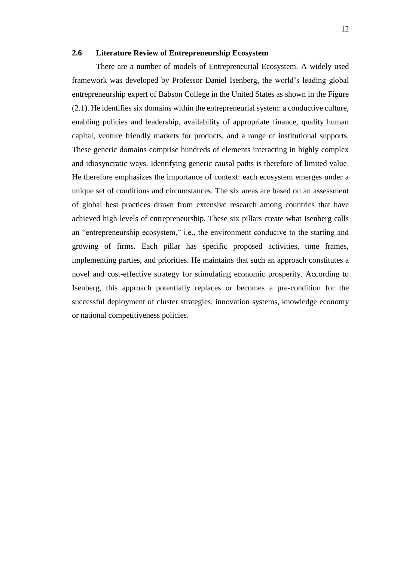### **2.6 Literature Review of Entrepreneurship Ecosystem**

There are a number of models of Entrepreneurial Ecosystem. A widely used framework was developed by Professor Daniel Isenberg, the world's leading global entrepreneurship expert of Babson College in the United States as shown in the Figure (2.1). He identifies six domains within the entrepreneurial system: a conductive culture, enabling policies and leadership, availability of appropriate finance, quality human capital, venture friendly markets for products, and a range of institutional supports. These generic domains comprise hundreds of elements interacting in highly complex and idiosyncratic ways. Identifying generic causal paths is therefore of limited value. He therefore emphasizes the importance of context: each ecosystem emerges under a unique set of conditions and circumstances. The six areas are based on an assessment of global best practices drawn from extensive research among countries that have achieved high levels of entrepreneurship. These six pillars create what Isenberg calls an "entrepreneurship ecosystem," i.e., the environment conducive to the starting and growing of firms. Each pillar has specific proposed activities, time frames, implementing parties, and priorities. He maintains that such an approach constitutes a novel and cost-effective strategy for stimulating economic prosperity. According to Isenberg, this approach potentially replaces or becomes a pre-condition for the successful deployment of cluster strategies, innovation systems, knowledge economy or national competitiveness policies.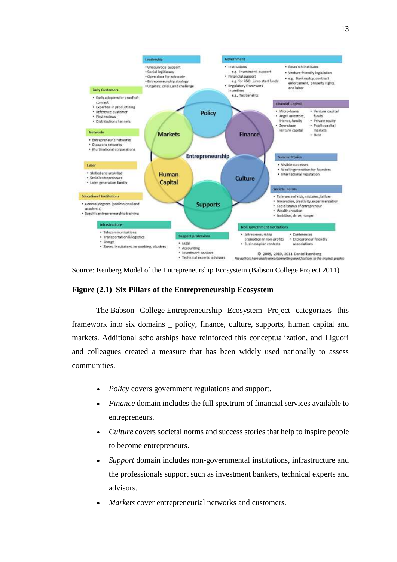

Source: Isenberg Model of the Entrepreneurship Ecosystem (Babson College Project 2011)

### **Figure (2.1) Six Pillars of the Entrepreneurship Ecosystem**

The [Babson College](https://en.wikipedia.org/wiki/Babson_College) Entrepreneurship Ecosystem Project categorizes this framework into six domains \_ policy, finance, culture, supports, human capital and markets. Additional scholarships have reinforced this conceptualization, and Liguori and colleagues created a measure that has been widely used nationally to assess communities.

- *Policy* covers government regulations and support.
- *Finance* domain includes the full spectrum of financial services available to entrepreneurs.
- *Culture* covers societal norms and success stories that help to inspire people to become entrepreneurs.
- *Support* domain includes non-governmental institutions, infrastructure and the professionals support such as investment bankers, technical experts and advisors.
- *Markets* cover entrepreneurial networks and customers.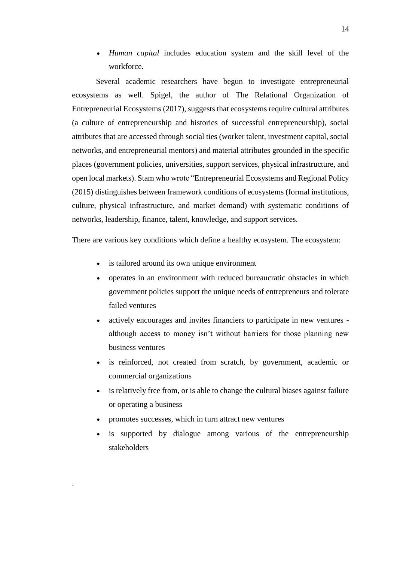• *Human capital* includes education system and the skill level of the workforce.

Several academic researchers have begun to investigate entrepreneurial ecosystems as well. Spigel, the author of The Relational Organization of Entrepreneurial Ecosystems (2017), suggests that ecosystems require cultural attributes (a culture of entrepreneurship and histories of successful entrepreneurship), social attributes that are accessed through social ties (worker talent, investment capital, social networks, and entrepreneurial mentors) and material attributes grounded in the specific places (government policies, universities, support services, physical infrastructure, and open local markets). Stam who wrote "Entrepreneurial Ecosystems and Regional Policy (2015) distinguishes between framework conditions of ecosystems (formal institutions, culture, physical infrastructure, and market demand) with systematic conditions of networks, leadership, finance, talent, knowledge, and support services.

There are various key conditions which define a healthy ecosystem. The ecosystem:

- is tailored around its own unique environment
- operates in an environment with reduced bureaucratic obstacles in which government policies support the unique needs of entrepreneurs and tolerate failed ventures
- actively encourages and invites financiers to participate in new ventures although access to money isn't without barriers for those planning new business ventures
- is reinforced, not created from scratch, by government, academic or commercial organizations
- is relatively free from, or is able to change the cultural biases against failure or operating a business
- promotes successes, which in turn attract new ventures

.

is supported by dialogue among various of the entrepreneurship stakeholders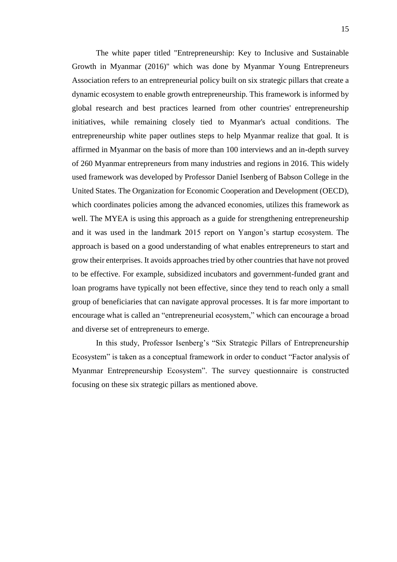The white paper titled "Entrepreneurship: Key to Inclusive and Sustainable Growth in Myanmar (2016)" which was done by Myanmar Young Entrepreneurs Association refers to an entrepreneurial policy built on six strategic pillars that create a dynamic ecosystem to enable growth entrepreneurship. This framework is informed by global research and best practices learned from other countries' entrepreneurship initiatives, while remaining closely tied to Myanmar's actual conditions. The entrepreneurship white paper outlines steps to help Myanmar realize that goal. It is affirmed in Myanmar on the basis of more than 100 interviews and an in-depth survey of 260 Myanmar entrepreneurs from many industries and regions in 2016. This widely used framework was developed by Professor Daniel Isenberg of Babson College in the United States. The Organization for Economic Cooperation and Development (OECD), which coordinates policies among the advanced economies, utilizes this framework as well. The MYEA is using this approach as a guide for strengthening entrepreneurship and it was used in the landmark 2015 report on Yangon's startup ecosystem. The approach is based on a good understanding of what enables entrepreneurs to start and grow their enterprises. It avoids approachestried by other countries that have not proved to be effective. For example, subsidized incubators and government-funded grant and loan programs have typically not been effective, since they tend to reach only a small group of beneficiaries that can navigate approval processes. It is far more important to encourage what is called an "entrepreneurial ecosystem," which can encourage a broad and diverse set of entrepreneurs to emerge.

In this study, Professor Isenberg's "Six Strategic Pillars of Entrepreneurship Ecosystem" is taken as a conceptual framework in order to conduct "Factor analysis of Myanmar Entrepreneurship Ecosystem". The survey questionnaire is constructed focusing on these six strategic pillars as mentioned above.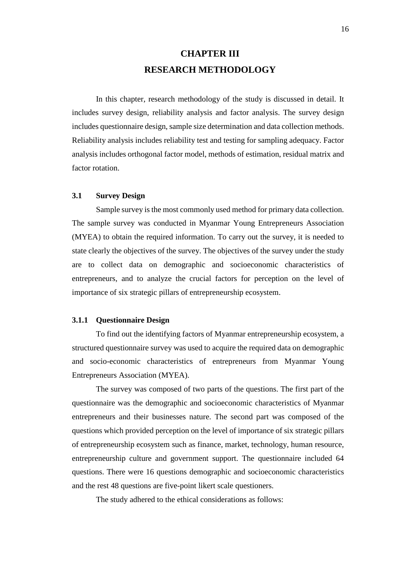## **CHAPTER III RESEARCH METHODOLOGY**

In this chapter, research methodology of the study is discussed in detail. It includes survey design, reliability analysis and factor analysis. The survey design includes questionnaire design, sample size determination and data collection methods. Reliability analysis includes reliability test and testing for sampling adequacy. Factor analysis includes orthogonal factor model, methods of estimation, residual matrix and factor rotation.

### **3.1 Survey Design**

Sample survey is the most commonly used method for primary data collection. The sample survey was conducted in Myanmar Young Entrepreneurs Association (MYEA) to obtain the required information. To carry out the survey, it is needed to state clearly the objectives of the survey. The objectives of the survey under the study are to collect data on demographic and socioeconomic characteristics of entrepreneurs, and to analyze the crucial factors for perception on the level of importance of six strategic pillars of entrepreneurship ecosystem.

### **3.1.1 Questionnaire Design**

To find out the identifying factors of Myanmar entrepreneurship ecosystem, a structured questionnaire survey was used to acquire the required data on demographic and socio-economic characteristics of entrepreneurs from Myanmar Young Entrepreneurs Association (MYEA).

The survey was composed of two parts of the questions. The first part of the questionnaire was the demographic and socioeconomic characteristics of Myanmar entrepreneurs and their businesses nature. The second part was composed of the questions which provided perception on the level of importance of six strategic pillars of entrepreneurship ecosystem such as finance, market, technology, human resource, entrepreneurship culture and government support. The questionnaire included 64 questions. There were 16 questions demographic and socioeconomic characteristics and the rest 48 questions are five-point likert scale questioners.

The study adhered to the ethical considerations as follows: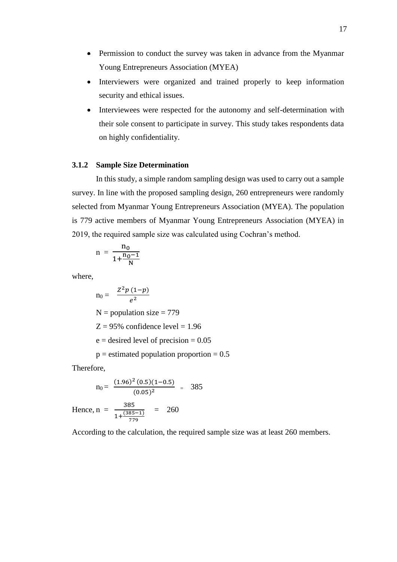- Permission to conduct the survey was taken in advance from the Myanmar Young Entrepreneurs Association (MYEA)
- Interviewers were organized and trained properly to keep information security and ethical issues.
- Interviewees were respected for the autonomy and self-determination with their sole consent to participate in survey. This study takes respondents data on highly confidentiality.

### **3.1.2 Sample Size Determination**

In this study, a simple random sampling design was used to carry out a sample survey. In line with the proposed sampling design, 260 entrepreneurs were randomly selected from Myanmar Young Entrepreneurs Association (MYEA). The population is 779 active members of Myanmar Young Entrepreneurs Association (MYEA) in 2019, the required sample size was calculated using Cochran's method.

$$
n = \frac{n_0}{1 + \frac{n_0 - 1}{N}}
$$

where,

$$
n_0 = \frac{Z^2 p (1-p)}{e^2}
$$
  
N = population size = 779  
Z = 95% confidence level = 1.96  
e = desired level of precision = 0.05  
p = estimated population proportion = 0.5

Therefore,

$$
n_0 = \frac{(1.96)^2 (0.5)(1 - 0.5)}{(0.05)^2} = 385
$$

Hence, n =  $\frac{385}{(385)}$  $1+\frac{(385-1)}{770}$ 779  $= 260$ 

According to the calculation, the required sample size was at least 260 members.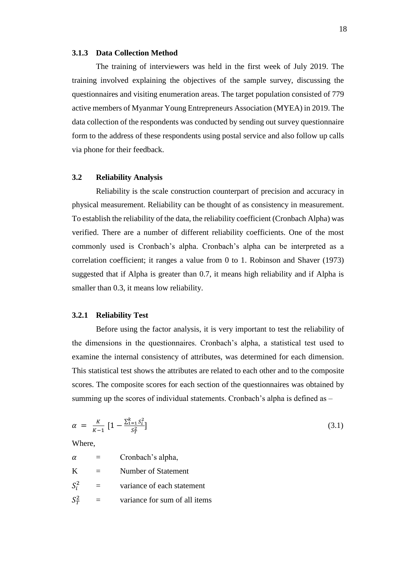### **3.1.3 Data Collection Method**

The training of interviewers was held in the first week of July 2019. The training involved explaining the objectives of the sample survey, discussing the questionnaires and visiting enumeration areas. The target population consisted of 779 active members of Myanmar Young Entrepreneurs Association (MYEA) in 2019. The data collection of the respondents was conducted by sending out survey questionnaire form to the address of these respondents using postal service and also follow up calls via phone for their feedback.

### **3.2 Reliability Analysis**

Reliability is the scale construction counterpart of precision and accuracy in physical measurement. Reliability can be thought of as consistency in measurement. To establish the reliability of the data, the reliability coefficient (Cronbach Alpha) was verified. There are a number of different reliability coefficients. One of the most commonly used is Cronbach's alpha. Cronbach's alpha can be interpreted as a correlation coefficient; it ranges a value from 0 to 1. Robinson and Shaver (1973) suggested that if Alpha is greater than 0.7, it means high reliability and if Alpha is smaller than 0.3, it means low reliability.

#### **3.2.1 Reliability Test**

Before using the factor analysis, it is very important to test the reliability of the dimensions in the questionnaires. Cronbach's alpha, a statistical test used to examine the internal consistency of attributes, was determined for each dimension. This statistical test shows the attributes are related to each other and to the composite scores. The composite scores for each section of the questionnaires was obtained by summing up the scores of individual statements. Cronbach's alpha is defined as –

$$
\alpha = \frac{K}{K-1} \left[ 1 - \frac{\sum_{i=1}^{k} S_i^2}{S_T^2} \right] \tag{3.1}
$$

Where,

| $\alpha$     |     | Cronbach's alpha,             |
|--------------|-----|-------------------------------|
| K            |     | Number of Statement           |
| $S_i^2$      | $=$ | variance of each statement    |
| $S_{\tau}^2$ |     | variance for sum of all items |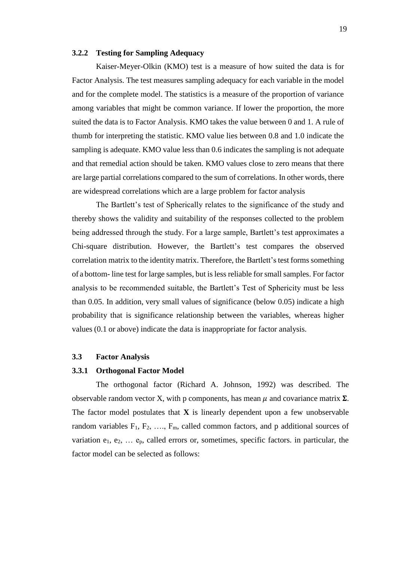### **3.2.2 Testing for Sampling Adequacy**

Kaiser-Meyer-Olkin (KMO) test is a measure of how suited the data is for Factor Analysis. The test measures sampling adequacy for each variable in the model and for the complete model. The statistics is a measure of the proportion of variance among variables that might be common variance. If lower the proportion, the more suited the data is to Factor Analysis. KMO takes the value between 0 and 1. A rule of thumb for interpreting the statistic. KMO value lies between 0.8 and 1.0 indicate the sampling is adequate. KMO value less than 0.6 indicates the sampling is not adequate and that remedial action should be taken. KMO values close to zero means that there are large partial correlations compared to the sum of correlations. In other words, there are widespread correlations which are a large problem for factor analysis

The Bartlett's test of Spherically relates to the significance of the study and thereby shows the validity and suitability of the responses collected to the problem being addressed through the study. For a large sample, Bartlett's test approximates a Chi-square distribution. However, the Bartlett's test compares the observed correlation matrix to the identity matrix. Therefore, the Bartlett's test forms something of a bottom- line test for large samples, but is less reliable for small samples. For factor analysis to be recommended suitable, the Bartlett's Test of Sphericity must be less than 0.05. In addition, very small values of significance (below 0.05) indicate a high probability that is significance relationship between the variables, whereas higher values (0.1 or above) indicate the data is inappropriate for factor analysis.

### **3.3 Factor Analysis**

#### **3.3.1 Orthogonal Factor Model**

The orthogonal factor (Richard A. Johnson, 1992) was described. The observable random vector X, with p components, has mean  $\mu$  and covariance matrix  $\Sigma$ . The factor model postulates that  $X$  is linearly dependent upon a few unobservable random variables  $F_1, F_2, \ldots, F_m$ , called common factors, and p additional sources of variation  $e_1, e_2, \ldots e_p$ , called errors or, sometimes, specific factors. in particular, the factor model can be selected as follows: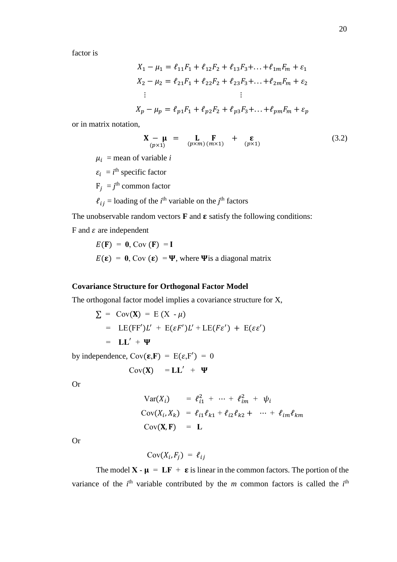factor is

$$
X_1 - \mu_1 = \ell_{11}F_1 + \ell_{12}F_2 + \ell_{13}F_3 + \dots + \ell_{1m}F_m + \varepsilon_1
$$
  
\n
$$
X_2 - \mu_2 = \ell_{21}F_1 + \ell_{22}F_2 + \ell_{23}F_3 + \dots + \ell_{2m}F_m + \varepsilon_2
$$
  
\n:  
\n:  
\n
$$
X_p - \mu_p = \ell_{p1}F_1 + \ell_{p2}F_2 + \ell_{p3}F_3 + \dots + \ell_{pm}F_m + \varepsilon_p
$$

or in matrix notation,

$$
\mathbf{X} - \mathbf{\mu} = \mathbf{L} \mathbf{F} + \mathbf{\varepsilon} \mathbf{F} \qquad (3.2)
$$

 $\mu_i$  = mean of variable *i* 

 $\varepsilon_i = i^{\text{th}}$  specific factor

 $F_j = j^{\text{th}}$  common factor

 $\ell_{ij}$  = loading of the *i*<sup>th</sup> variable on the *j*<sup>th</sup> factors

The unobservable random vectors  $\bf{F}$  and  $\bf{\varepsilon}$  satisfy the following conditions:

F and  $\varepsilon$  are independent

$$
E(\mathbf{F}) = \mathbf{0}, \text{Cov}(\mathbf{F}) = \mathbf{I}
$$
  

$$
E(\mathbf{\varepsilon}) = \mathbf{0}, \text{Cov}(\mathbf{\varepsilon}) = \mathbf{\Psi}, \text{ where } \mathbf{\Psi} \text{ is a diagonal matrix}
$$

### **Covariance Structure for Orthogonal Factor Model**

The orthogonal factor model implies a covariance structure for X,

$$
\Sigma = \text{Cov}(\mathbf{X}) = E(X - \mu)
$$
  
= LE(FF')L' + E(\varepsilon F')L' + LE(F\varepsilon') + E(\varepsilon \varepsilon')  
= LL' + \Psi

by independence,  $Cov(\varepsilon, F) = E(\varepsilon, F') = 0$ 

$$
Cov(X) = LL' + \Psi
$$

Or

$$
\begin{aligned}\n\text{Var}(X_i) &= \ell_{i1}^2 + \dots + \ell_{im}^2 + \psi_i \\
\text{Cov}(X_i, X_k) &= \ell_{i1} \ell_{k1} + \ell_{i2} \ell_{k2} + \dots + \ell_{im} \ell_{km} \\
\text{Cov}(\mathbf{X}, \mathbf{F}) &= \mathbf{L}\n\end{aligned}
$$

Or

 $Cov(X_i, F_j) = \ell_{ij}$ 

The model **X** -  $\mu = LF + \varepsilon$  is linear in the common factors. The portion of the variance of the  $i<sup>th</sup>$  variable contributed by the *m* common factors is called the  $i<sup>th</sup>$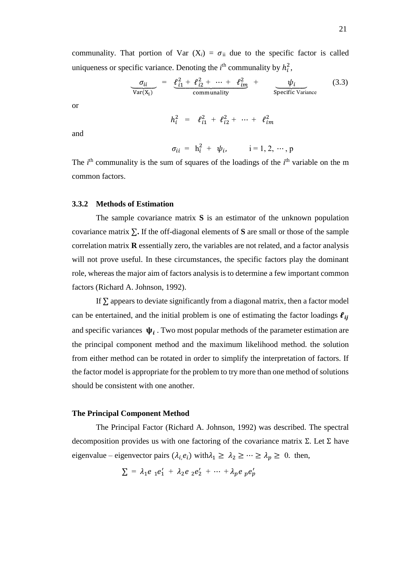communality. That portion of Var  $(X_i) = \sigma_{ii}$  due to the specific factor is called uniqueness or specific variance. Denoting the  $i<sup>th</sup>$  communality by  $h_i^2$ ,

$$
\frac{\sigma_{ii}}{\text{Var}(X_i)} = \frac{\ell_{i1}^2 + \ell_{i2}^2 + \dots + \ell_{im}^2}{\text{community}} + \frac{\psi_i}{\text{Specific Variance}}
$$
(3.3)

or

$$
h_i^2 = \ell_{i1}^2 + \ell_{i2}^2 + \cdots + \ell_{im}^2
$$

and

$$
\sigma_{ii} = h_i^2 + \psi_i, \qquad i = 1, 2, \cdots, p
$$

The  $i<sup>th</sup>$  communality is the sum of squares of the loadings of the  $i<sup>th</sup>$  variable on the m common factors.

#### **3.3.2 Methods of Estimation**

The sample covariance matrix **S** is an estimator of the unknown population covariance matrix ∑**.** If the off-diagonal elements of **S** are small or those of the sample correlation matrix **R** essentially zero, the variables are not related, and a factor analysis will not prove useful. In these circumstances, the specific factors play the dominant role, whereas the major aim of factors analysis is to determine a few important common factors (Richard A. Johnson, 1992).

If  $\Sigma$  appears to deviate significantly from a diagonal matrix, then a factor model can be entertained, and the initial problem is one of estimating the factor loadings  $\ell_{ii}$ and specific variances  $\psi_i$ . Two most popular methods of the parameter estimation are the principal component method and the maximum likelihood method. the solution from either method can be rotated in order to simplify the interpretation of factors. If the factor model is appropriate for the problem to try more than one method of solutions should be consistent with one another.

### **The Principal Component Method**

The Principal Factor (Richard A. Johnson, 1992) was described. The spectral decomposition provides us with one factoring of the covariance matrix  $\Sigma$ . Let  $\Sigma$  have eigenvalue – eigenvector pairs  $(\lambda_i e_i)$  with $\lambda_1 \geq \lambda_2 \geq \cdots \geq \lambda_p \geq 0$ . then,

$$
\sum = \lambda_1 e_1 e_1' + \lambda_2 e_2 e_2' + \cdots + \lambda_p e_p e_p'
$$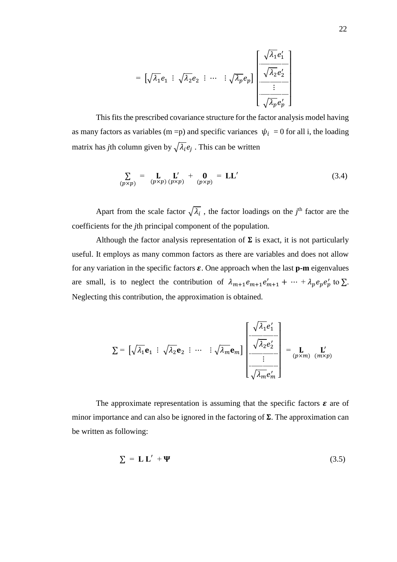$$
= \left[\sqrt{\lambda_1}e_1 \div \sqrt{\lambda_2}e_2 \div \cdots \div \sqrt{\lambda_p}e_p\right] \left[\begin{array}{c} \sqrt{\lambda_1}e'_1 \\ \hline \sqrt{\lambda_2}e'_2 \\ \hline \vdots \\ \hline \sqrt{\lambda_p}e'_p \end{array}\right]
$$

This fits the prescribed covariance structure for the factor analysis model having as many factors as variables (m = p) and specific variances  $\psi_i = 0$  for all i, the loading matrix has *j*th column given by  $\sqrt{\lambda_i}e_j$ . This can be written

$$
\sum_{(p \times p)} = \mathbf{L} \mathbf{L}' + \mathbf{0} = \mathbf{L} \mathbf{L}' \qquad (3.4)
$$

Apart from the scale factor  $\sqrt{\lambda_i}$ , the factor loadings on the *j*<sup>th</sup> factor are the coefficients for the *j*th principal component of the population.

Although the factor analysis representation of  $\Sigma$  is exact, it is not particularly useful. It employs as many common factors as there are variables and does not allow for any variation in the specific factors  $\varepsilon$ . One approach when the last  $p$ -m eigenvalues are small, is to neglect the contribution of  $\lambda_{m+1} e_{m+1} e'_{m+1} + \cdots + \lambda_p e_p e'_{p}$  to  $\Sigma$ . Neglecting this contribution, the approximation is obtained.

$$
\Sigma = \left[ \sqrt{\lambda_1} \mathbf{e}_1 \, : \, \sqrt{\lambda_2} \mathbf{e}_2 \, : \, \cdots \, : \sqrt{\lambda_m} \mathbf{e}_m \right] \begin{bmatrix} \sqrt{\lambda_1} e'_1 \\ \frac{\sqrt{\lambda_2} e'_2}{\sqrt{\lambda_2} e'_2} \\ \vdots \\ \frac{\sqrt{\lambda_m} e'_m}{\sqrt{\lambda_m} e'_m} \end{bmatrix} = \mathbf{L} \mathbf{L}'_{(p \times m) (m \times p)}
$$

The approximate representation is assuming that the specific factors  $\varepsilon$  are of minor importance and can also be ignored in the factoring of  $\Sigma$ . The approximation can be written as following:

$$
\Sigma = \mathbf{L} \mathbf{L}' + \mathbf{\Psi} \tag{3.5}
$$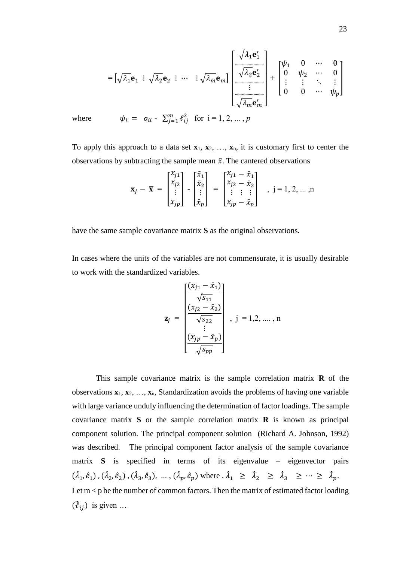$$
= \left[\sqrt{\lambda_1} \mathbf{e}_1 \div \sqrt{\lambda_2} \mathbf{e}_2 \div \cdots \div \sqrt{\lambda_m} \mathbf{e}_m\right] \begin{bmatrix} \sqrt{\lambda_1} \mathbf{e}'_1 \\ \frac{\sqrt{\lambda_2} \mathbf{e}'_2}{\sqrt{\lambda_2} \mathbf{e}'_2} \\ \vdots \\ \frac{\sqrt{\lambda_m} \mathbf{e}'_m}{\sqrt{\lambda_m} \mathbf{e}'_m} \end{bmatrix} + \begin{bmatrix} \psi_1 & 0 & \cdots & 0 \\ 0 & \psi_2 & \cdots & 0 \\ \vdots & \vdots & \ddots & \vdots \\ 0 & 0 & \cdots & \psi_p \end{bmatrix}
$$

where  $\psi_i = \sigma_{ii} - \sum_{j=1}^m \ell_{ij}^2$  for  $i = 1, 2, ..., p$ 

To apply this approach to a data set  $\mathbf{x}_1, \mathbf{x}_2, \ldots, \mathbf{x}_n$ , it is customary first to center the observations by subtracting the sample mean  $\bar{x}$ . The cantered observations

$$
\mathbf{x}_{j} - \overline{\mathbf{x}} = \begin{bmatrix} x_{j1} \\ x_{j2} \\ \vdots \\ x_{jp} \end{bmatrix} - \begin{bmatrix} \overline{x}_{1} \\ \overline{x}_{2} \\ \vdots \\ \overline{x}_{p} \end{bmatrix} = \begin{bmatrix} x_{j1} - \overline{x}_{1} \\ x_{j2} - \overline{x}_{2} \\ \vdots \\ x_{jp} - \overline{x}_{p} \end{bmatrix} , j = 1, 2, ..., n
$$

have the same sample covariance matrix **S** as the original observations.

In cases where the units of the variables are not commensurate, it is usually desirable to work with the standardized variables.

$$
\mathbf{z}_{j} = \begin{bmatrix} \frac{(x_{j1} - \bar{x}_1)}{\sqrt{s_{11}}} \\ \frac{(x_{j2} - \bar{x}_2)}{\sqrt{s_{22}}} \\ \vdots \\ \frac{(x_{jp} - \bar{x}_p)}{\sqrt{s_{pp}}} \end{bmatrix}, j = 1, 2, \dots, n
$$

This sample covariance matrix is the sample correlation matrix **R** of the observations **x**1, **x**2, …, **x**n, Standardization avoids the problems of having one variable with large variance unduly influencing the determination of factor loadings. The sample covariance matrix **S** or the sample correlation matrix **R** is known as principal component solution. The principal component solution (Richard A. Johnson, 1992) was described. The principal component factor analysis of the sample covariance matrix **S** is specified in terms of its eigenvalue – eigenvector pairs  $(\hat{\lambda}_1, \hat{e}_1), (\hat{\lambda}_2, \hat{e}_2), (\hat{\lambda}_3, \hat{e}_3), \dots, (\hat{\lambda}_p, \hat{e}_p)$  where  $\hat{\lambda}_1 \geq \hat{\lambda}_2 \geq \hat{\lambda}_3 \geq \cdots \geq \hat{\lambda}_p$ . Let  $m < p$  be the number of common factors. Then the matrix of estimated factor loading  $(\tilde{\ell}_{ij})$  is given ...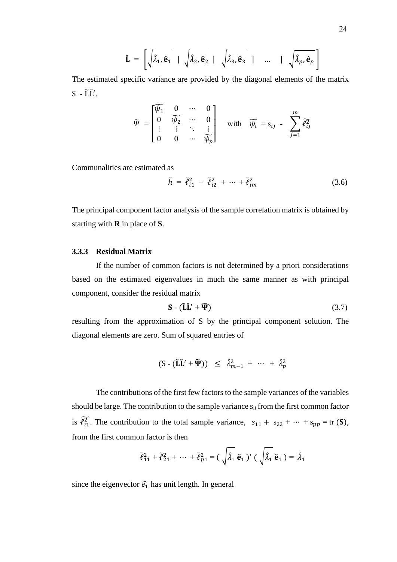$$
\tilde{\mathbf{L}} = \left[ \sqrt{\hat{\lambda}_1, \hat{\mathbf{e}}_1} \mid \sqrt{\hat{\lambda}_2, \hat{\mathbf{e}}_2} \mid \sqrt{\hat{\lambda}_3, \hat{\mathbf{e}}_3} \mid \dots \mid \sqrt{\hat{\lambda}_p, \hat{\mathbf{e}}_p} \right]
$$

The estimated specific variance are provided by the diagonal elements of the matrix  $S$  -  $\widetilde{L}\widetilde{L}'$ .

$$
\widetilde{\varPsi} = \begin{bmatrix} \widetilde{\psi_1} & 0 & \cdots & 0 \\ 0 & \widetilde{\psi_2} & \cdots & 0 \\ \vdots & \vdots & \ddots & \vdots \\ 0 & 0 & \cdots & \widetilde{\psi_p} \end{bmatrix} \quad \text{with} \quad \widetilde{\psi_i} = s_{ij} - \sum_{j=1}^m \widetilde{\ell_{ij}^2}
$$

Communalities are estimated as

$$
\tilde{h} = \tilde{\ell}_{i1}^2 + \tilde{\ell}_{i2}^2 + \dots + \tilde{\ell}_{im}^2 \tag{3.6}
$$

The principal component factor analysis of the sample correlation matrix is obtained by starting with **R** in place of **S**.

### **3.3.3 Residual Matrix**

If the number of common factors is not determined by a priori considerations based on the estimated eigenvalues in much the same manner as with principal component, consider the residual matrix

$$
\mathbf{S} - (\tilde{\mathbf{L}}\tilde{\mathbf{L}}' + \widetilde{\mathbf{\Psi}}) \tag{3.7}
$$

resulting from the approximation of S by the principal component solution. The diagonal elements are zero. Sum of squared entries of

$$
(\mathrm{S} - (\tilde{\mathbf{L}}\tilde{\mathbf{L}}' + \widetilde{\mathbf{\Psi}})) \leq \hat{\lambda}_{m-1}^2 + \cdots + \hat{\lambda}_p^2
$$

The contributions of the first few factors to the sample variances of the variables should be large. The contribution to the sample variance  $s_{ii}$  from the first common factor is  $\widetilde{\ell}_{11}^2$ . The contribution to the total sample variance,  $s_{11} + s_{22} + \cdots + s_{pp} = \text{tr}(\mathbf{S}),$ from the first common factor is then

$$
\tilde{\ell}_{11}^2 + \tilde{\ell}_{21}^2 + \cdots + \tilde{\ell}_{p1}^2 = (\sqrt{\hat{\lambda}_1} \hat{\mathbf{e}}_1)' (\sqrt{\hat{\lambda}_1} \hat{\mathbf{e}}_1) = \hat{\lambda}_1
$$

since the eigenvector  $\hat{e}_1$  has unit length. In general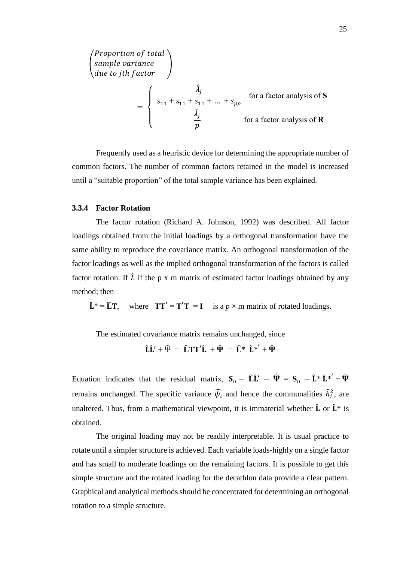$$
\begin{pmatrix}\n\text{Proportion of total} \\
\text{sample variance} \\
\text{due to jth factor}\n\end{pmatrix}\n= \begin{cases}\n\hat{\lambda}_j \\
\frac{\hat{\lambda}_j}{s_{11} + s_{11} + s_{11} + \dots + s_{pp}} \\
\frac{\hat{\lambda}_j}{p}\n\end{cases}\n\text{ for a factor analysis of } \mathbf{R}
$$

Frequently used as a heuristic device for determining the appropriate number of common factors. The number of common factors retained in the model is increased until a "suitable proportion" of the total sample variance has been explained.

#### **3.3.4 Factor Rotation**

The factor rotation (Richard A. Johnson, 1992) was described. All factor loadings obtained from the initial loadings by a orthogonal transformation have the same ability to reproduce the covariance matrix. An orthogonal transformation of the factor loadings as well as the implied orthogonal transformation of the factors is called factor rotation. If  $\hat{L}$  if the p x m matrix of estimated factor loadings obtained by any method; then

 $\hat{\mathbf{L}}^* = \hat{\mathbf{L}} \mathbf{T}$ , where  $\mathbf{T} \mathbf{T}' = \mathbf{T}' \mathbf{T} = \mathbf{I}$  is a  $p \times m$  matrix of rotated loadings.

The estimated covariance matrix remains unchanged, since

 $\hat{L}\hat{L}' + \hat{\Psi} = \hat{L}TT'\hat{L} + \hat{\Psi} = \hat{L}*\hat{L}*\hat{L} + \hat{\Psi}$ 

Equation indicates that the residual matrix,  $S_n - \hat{L}\hat{L}' - \hat{\Psi} = S_n - \hat{L}^* \hat{L}^{*'} + \hat{\Psi}$ remains unchanged. The specific variance  $\widehat{\psi}_l$  and hence the communalities  $\widehat{h}_i^2$ , are unaltered. Thus, from a mathematical viewpoint, it is immaterial whether  $\hat{\mathbf{L}}$  or  $\hat{\mathbf{L}}^*$  is obtained.

The original loading may not be readily interpretable. It is usual practice to rotate until a simpler structure is achieved. Each variable loads-highly on a single factor and has small to moderate loadings on the remaining factors. It is possible to get this simple structure and the rotated loading for the decathlon data provide a clear pattern. Graphical and analytical methods should be concentrated for determining an orthogonal rotation to a simple structure.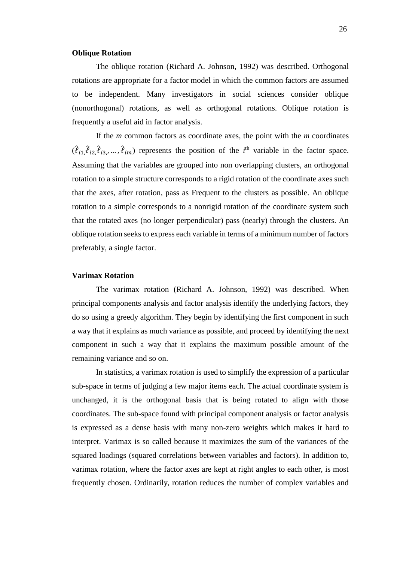### **Oblique Rotation**

The oblique rotation (Richard A. Johnson, 1992) was described. Orthogonal rotations are appropriate for a factor model in which the common factors are assumed to be independent. Many investigators in social sciences consider oblique (nonorthogonal) rotations, as well as orthogonal rotations. Oblique rotation is frequently a useful aid in factor analysis.

If the *m* common factors as coordinate axes, the point with the *m* coordinates  $(\hat{\ell}_{i1}, \hat{\ell}_{i2}, \hat{\ell}_{i3}, \dots, \hat{\ell}_{im})$  represents the position of the *i*<sup>th</sup> variable in the factor space. Assuming that the variables are grouped into non overlapping clusters, an orthogonal rotation to a simple structure corresponds to a rigid rotation of the coordinate axes such that the axes, after rotation, pass as Frequent to the clusters as possible. An oblique rotation to a simple corresponds to a nonrigid rotation of the coordinate system such that the rotated axes (no longer perpendicular) pass (nearly) through the clusters. An oblique rotation seeks to express each variable in terms of a minimum number of factors preferably, a single factor.

#### **Varimax Rotation**

The varimax rotation (Richard A. Johnson, 1992) was described. When principal components analysis and factor analysis identify the underlying factors, they do so using a greedy algorithm. They begin by identifying the first component in such a way that it explains as much variance as possible, and proceed by identifying the next component in such a way that it explains the maximum possible amount of the remaining variance and so on.

In statistics, a varimax rotation is used to simplify the expression of a particular sub-space in terms of judging a few major items each. The actual coordinate system is unchanged, it is the orthogonal basis that is being rotated to align with those coordinates. The sub-space found with principal component analysis or factor analysis is expressed as a dense basis with many non-zero weights which makes it hard to interpret. Varimax is so called because it maximizes the sum of the variances of the squared loadings (squared correlations between variables and factors). In addition to, varimax rotation, where the factor axes are kept at right angles to each other, is most frequently chosen. Ordinarily, rotation reduces the number of complex variables and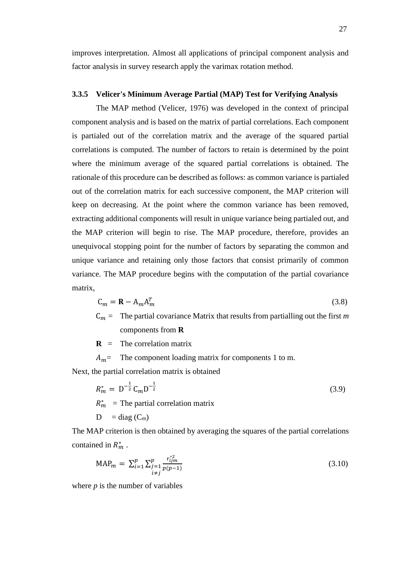improves interpretation. Almost all applications of principal component analysis and factor analysis in survey research apply the varimax rotation method.

#### **3.3.5 Velicer's Minimum Average Partial (MAP) Test for Verifying Analysis**

The MAP method (Velicer, 1976) was developed in the context of principal component analysis and is based on the matrix of partial correlations. Each component is partialed out of the correlation matrix and the average of the squared partial correlations is computed. The number of factors to retain is determined by the point where the minimum average of the squared partial correlations is obtained. The rationale of this procedure can be described as follows: as common variance is partialed out of the correlation matrix for each successive component, the MAP criterion will keep on decreasing. At the point where the common variance has been removed, extracting additional components will result in unique variance being partialed out, and the MAP criterion will begin to rise. The MAP procedure, therefore, provides an unequivocal stopping point for the number of factors by separating the common and unique variance and retaining only those factors that consist primarily of common variance. The MAP procedure begins with the computation of the partial covariance matrix,

$$
C_m = \mathbf{R} - A_m A_m^T \tag{3.8}
$$

 $C_m =$  The partial covariance Matrix that results from partialling out the first *m* components from **R**

 $\bf{R}$  = The correlation matrix

 $A_m$  = The component loading matrix for components 1 to m.

Next, the partial correlation matrix is obtained

$$
R_m^* = D^{-\frac{1}{2}} C_m D^{-\frac{1}{2}}
$$
  
\n
$$
R_m^* =
$$
The partial correlation matrix (3.9)

$$
D = diag(C_m)
$$

The MAP criterion is then obtained by averaging the squares of the partial correlations contained in  $R_m^*$ .

$$
MAP_m = \sum_{\substack{i=1 \ i \neq j}}^p \sum_{\substack{j=1 \ i \neq j}}^{r_{ijm}^*} \frac{r_{ijm}^{*2}}{p(p-1)}
$$
(3.10)

where *p* is the number of variables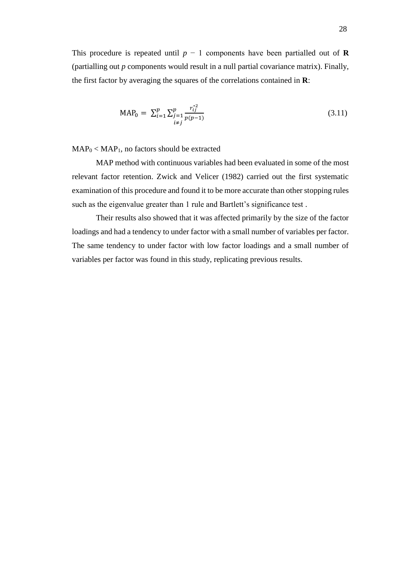This procedure is repeated until  $p - 1$  components have been partialled out of **R** (partialling out *p* components would result in a null partial covariance matrix). Finally, the first factor by averaging the squares of the correlations contained in **R**:

$$
MAP_0 = \sum_{i=1}^p \sum_{\substack{j=1 \ i \neq j}}^p \frac{r_{ij}^{*2}}{p(p-1)}
$$
(3.11)

 $MAP<sub>0</sub> < MAP<sub>1</sub>$ , no factors should be extracted

MAP method with continuous variables had been evaluated in some of the most relevant factor retention. Zwick and Velicer (1982) carried out the first systematic examination of this procedure and found it to be more accurate than other stopping rules such as the eigenvalue greater than 1 rule and Bartlett's significance test .

Their results also showed that it was affected primarily by the size of the factor loadings and had a tendency to under factor with a small number of variables per factor. The same tendency to under factor with low factor loadings and a small number of variables per factor was found in this study, replicating previous results.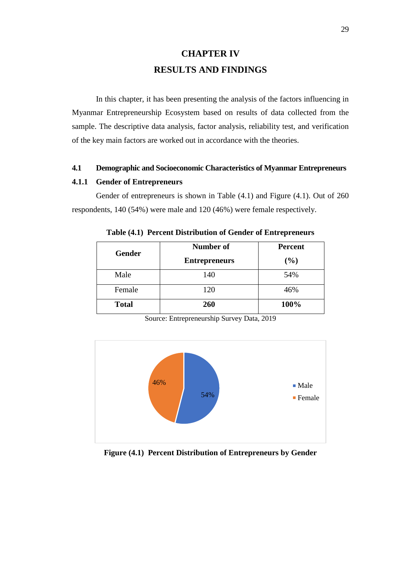# **CHAPTER IV RESULTS AND FINDINGS**

In this chapter, it has been presenting the analysis of the factors influencing in Myanmar Entrepreneurship Ecosystem based on results of data collected from the sample. The descriptive data analysis, factor analysis, reliability test, and verification of the key main factors are worked out in accordance with the theories.

## **4.1 Demographic and Socioeconomic Characteristics of Myanmar Entrepreneurs**

#### **4.1.1 Gender of Entrepreneurs**

Gender of entrepreneurs is shown in Table (4.1) and Figure (4.1). Out of 260 respondents, 140 (54%) were male and 120 (46%) were female respectively.

| <b>Gender</b> | <b>Number of</b>     | <b>Percent</b> |
|---------------|----------------------|----------------|
|               | <b>Entrepreneurs</b> | (%)            |
| Male          | 140                  | 54%            |
| Female        | 120                  | 46%            |
| <b>Total</b>  | 260                  | 100%           |

**Table (4.1) Percent Distribution of Gender of Entrepreneurs**



Source: Entrepreneurship Survey Data, 2019

**Figure (4.1) Percent Distribution of Entrepreneurs by Gender**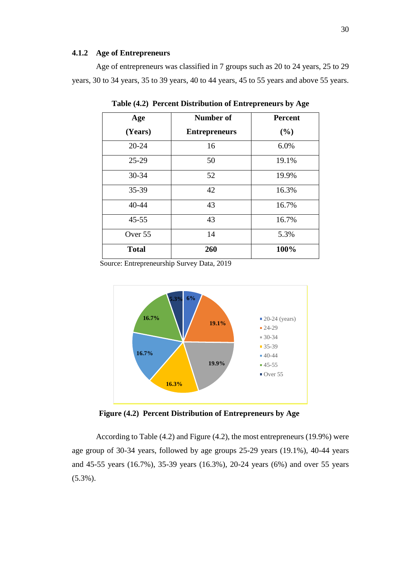#### **4.1.2 Age of Entrepreneurs**

Age of entrepreneurs was classified in 7 groups such as 20 to 24 years, 25 to 29 years, 30 to 34 years, 35 to 39 years, 40 to 44 years, 45 to 55 years and above 55 years.

| Age          | Number of            | <b>Percent</b> |
|--------------|----------------------|----------------|
| (Years)      | <b>Entrepreneurs</b> | (%)            |
| $20 - 24$    | 16                   | 6.0%           |
| $25-29$      | 50                   | 19.1%          |
| 30-34        | 52                   | 19.9%          |
| 35-39        | 42                   | 16.3%          |
| 40-44        | 43                   | 16.7%          |
| $45 - 55$    | 43                   | 16.7%          |
| Over 55      | 14                   | 5.3%           |
| <b>Total</b> | 260                  | 100%           |

**Table (4.2) Percent Distribution of Entrepreneurs by Age**

Source: Entrepreneurship Survey Data, 2019



**Figure (4.2) Percent Distribution of Entrepreneurs by Age**

According to Table (4.2) and Figure (4.2), the most entrepreneurs (19.9%) were age group of 30-34 years, followed by age groups 25-29 years (19.1%), 40-44 years and 45-55 years (16.7%), 35-39 years (16.3%), 20-24 years (6%) and over 55 years (5.3%).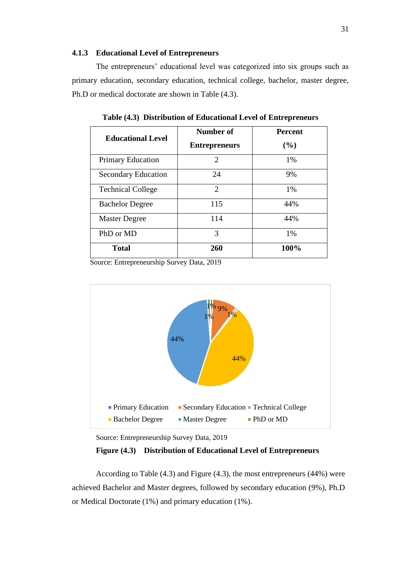#### **4.1.3 Educational Level of Entrepreneurs**

The entrepreneurs' educational level was categorized into six groups such as primary education, secondary education, technical college, bachelor, master degree, Ph.D or medical doctorate are shown in Table (4.3).

| <b>Educational Level</b>   | <b>Number of</b>      | <b>Percent</b> |
|----------------------------|-----------------------|----------------|
|                            | <b>Entrepreneurs</b>  | (%)            |
| <b>Primary Education</b>   | $\mathcal{D}_{\cdot}$ | 1%             |
| <b>Secondary Education</b> | 24                    | 9%             |
| <b>Technical College</b>   | 2                     | 1%             |
| <b>Bachelor Degree</b>     | 115                   | 44%            |
| <b>Master Degree</b>       | 114                   | 44%            |
| PhD or MD                  | 3                     | 1%             |
| <b>Total</b>               | 260                   | 100%           |

**Table (4.3) Distribution of Educational Level of Entrepreneurs**

Source: Entrepreneurship Survey Data, 2019



Source: Entrepreneurship Survey Data, 2019

 **Figure (4.3) Distribution of Educational Level of Entrepreneurs**

According to Table (4.3) and Figure (4.3), the most entrepreneurs (44%) were achieved Bachelor and Master degrees, followed by secondary education (9%), Ph.D or Medical Doctorate (1%) and primary education (1%).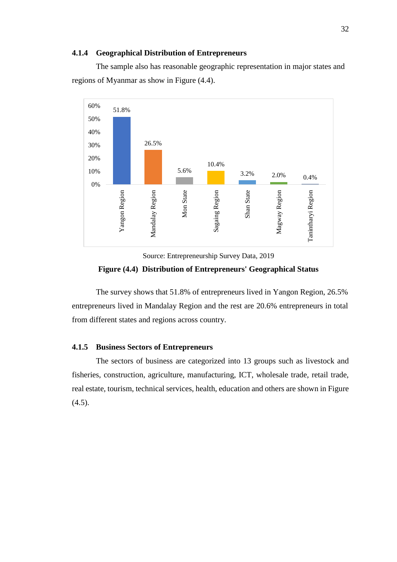#### **4.1.4 Geographical Distribution of Entrepreneurs**

The sample also has reasonable geographic representation in major states and regions of Myanmar as show in Figure (4.4).



Source: Entrepreneurship Survey Data, 2019 **Figure (4.4) Distribution of Entrepreneurs' Geographical Status**

The survey shows that 51.8% of entrepreneurs lived in Yangon Region, 26.5% entrepreneurs lived in Mandalay Region and the rest are 20.6% entrepreneurs in total from different states and regions across country.

#### **4.1.5 Business Sectors of Entrepreneurs**

The sectors of business are categorized into 13 groups such as livestock and fisheries, construction, agriculture, manufacturing, ICT, wholesale trade, retail trade, real estate, tourism, technical services, health, education and others are shown in Figure  $(4.5)$ .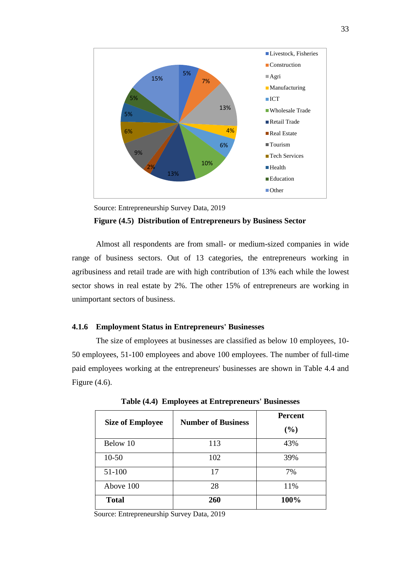

Source: Entrepreneurship Survey Data, 2019

#### **Figure (4.5) Distribution of Entrepreneurs by Business Sector**

Almost all respondents are from small- or medium-sized companies in wide range of business sectors. Out of 13 categories, the entrepreneurs working in agribusiness and retail trade are with high contribution of 13% each while the lowest sector shows in real estate by 2%. The other 15% of entrepreneurs are working in unimportant sectors of business.

#### **4.1.6 Employment Status in Entrepreneurs' Businesses**

The size of employees at businesses are classified as below 10 employees, 10- 50 employees, 51-100 employees and above 100 employees. The number of full-time paid employees working at the entrepreneurs' businesses are shown in Table 4.4 and Figure (4.6).

| <b>Size of Employee</b> | <b>Number of Business</b> | <b>Percent</b> |  |
|-------------------------|---------------------------|----------------|--|
|                         |                           | (%)            |  |
| Below 10                | 113                       | 43%            |  |
| $10 - 50$               | 102                       | 39%            |  |
| 51-100                  | 17                        | 7%             |  |
| Above 100               | 28                        | 11%            |  |
| <b>Total</b>            | 260                       | 100%           |  |

**Table (4.4) Employees at Entrepreneurs' Businesses**

Source: Entrepreneurship Survey Data, 2019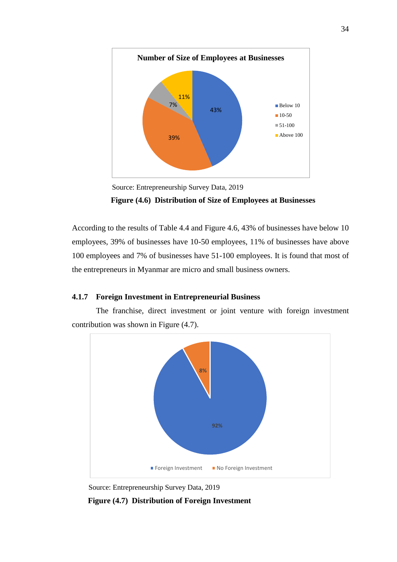

Source: Entrepreneurship Survey Data, 2019

**Figure (4.6) Distribution of Size of Employees at Businesses**

According to the results of Table 4.4 and Figure 4.6, 43% of businesses have below 10 employees, 39% of businesses have 10-50 employees, 11% of businesses have above 100 employees and 7% of businesses have 51-100 employees. It is found that most of the entrepreneurs in Myanmar are micro and small business owners.

## **4.1.7 Foreign Investment in Entrepreneurial Business**

The franchise, direct investment or joint venture with foreign investment contribution was shown in Figure (4.7).



Source: Entrepreneurship Survey Data, 2019

 **Figure (4.7) Distribution of Foreign Investment**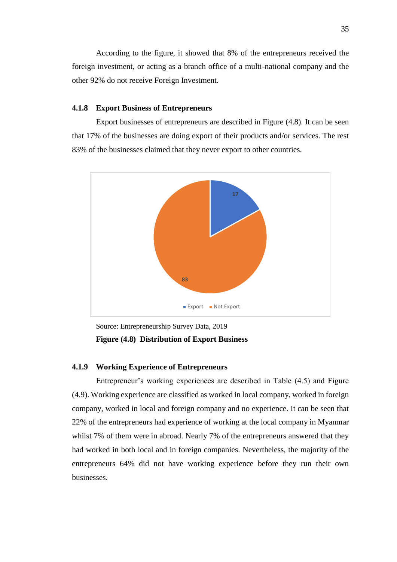G E According to the figure, it showed that 8% of the entrepreneurs received the foreign investment, or acting as a branch office of a multi-national company and the other 92% do not receive Foreign Investment.

#### **4.1.8 Export Business of Entrepreneurs**

Export businesses of entrepreneurs are described in Figure (4.8). It can be seen that 17% of the businesses are doing export of their products and/or services. The rest 83% of the businesses claimed that they never export to other countries.



Source: Entrepreneurship Survey Data, 2019 **Figure (4.8) Distribution of Export Business**

### **4.1.9 Working Experience of Entrepreneurs**

Entrepreneur's working experiences are described in Table (4.5) and Figure (4.9). Working experience are classified as worked in local company, worked in foreign company, worked in local and foreign company and no experience. It can be seen that 22% of the entrepreneurs had experience of working at the local company in Myanmar whilst 7% of them were in abroad. Nearly 7% of the entrepreneurs answered that they had worked in both local and in foreign companies. Nevertheless, the majority of the entrepreneurs 64% did not have working experience before they run their own businesses.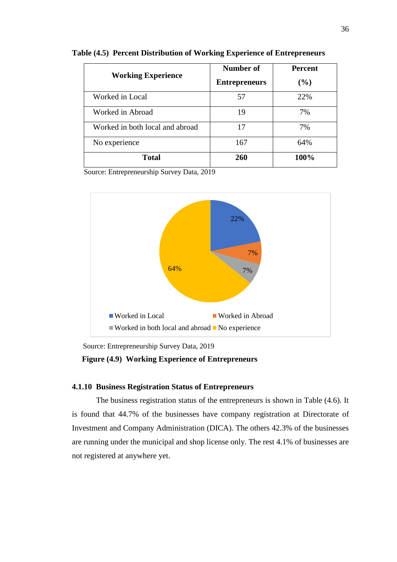| <b>Working Experience</b>       | Number of<br><b>Entrepreneurs</b> | <b>Percent</b><br>$(\%)$ |
|---------------------------------|-----------------------------------|--------------------------|
| Worked in Local                 | 57                                | 22%                      |
| Worked in Abroad                | 19                                | 7%                       |
| Worked in both local and abroad | 17                                | 7%                       |
| No experience                   | 167                               | 64%                      |
| <b>Total</b>                    | 260                               | 100%                     |

**Table (4.5) Percent Distribution of Working Experience of Entrepreneurs**



Source: Entrepreneurship Survey Data, 2019

#### **Figure (4.9) Working Experience of Entrepreneurs**

## **4.1.10 Business Registration Status of Entrepreneurs**

The business registration status of the entrepreneurs is shown in Table (4.6). It is found that 44.7% of the businesses have company registration at Directorate of Investment and Company Administration (DICA). The others 42.3% of the businesses are running under the municipal and shop license only. The rest 4.1% of businesses are not registered at anywhere yet.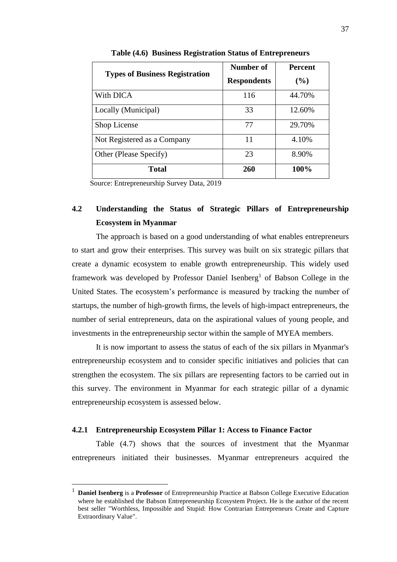| <b>Types of Business Registration</b> | Number of          | <b>Percent</b> |
|---------------------------------------|--------------------|----------------|
|                                       | <b>Respondents</b> | $($ %)         |
| With DICA                             | 116                | 44.70%         |
| Locally (Municipal)                   | 33                 | 12.60%         |
| Shop License                          | 77                 | 29.70%         |
| Not Registered as a Company           | 11                 | 4.10%          |
| Other (Please Specify)                | 23                 | 8.90%          |
| <b>Total</b>                          | 260                | 100%           |

**Table (4.6) Business Registration Status of Entrepreneurs**

## **4.2 Understanding the Status of Strategic Pillars of Entrepreneurship Ecosystem in Myanmar**

The approach is based on a good understanding of what enables entrepreneurs to start and grow their enterprises. This survey was built on six strategic pillars that create a dynamic ecosystem to enable growth entrepreneurship. This widely used framework was developed by Professor Daniel Isenberg<sup>1</sup> of Babson College in the United States. The ecosystem's performance is measured by tracking the number of startups, the number of high-growth firms, the levels of high-impact entrepreneurs, the number of serial entrepreneurs, data on the aspirational values of young people, and investments in the entrepreneurship sector within the sample of MYEA members.

It is now important to assess the status of each of the six pillars in Myanmar's entrepreneurship ecosystem and to consider specific initiatives and policies that can strengthen the ecosystem. The six pillars are representing factors to be carried out in this survey. The environment in Myanmar for each strategic pillar of a dynamic entrepreneurship ecosystem is assessed below.

#### **4.2.1 Entrepreneurship Ecosystem Pillar 1: Access to Finance Factor**

1

Table (4.7) shows that the sources of investment that the Myanmar entrepreneurs initiated their businesses. Myanmar entrepreneurs acquired the

<sup>1</sup> **Daniel Isenberg** is a **Professor** of Entrepreneurship Practice at Babson College Executive Education where he established the Babson Entrepreneurship Ecosystem Project. He is the author of the recent best seller "Worthless, Impossible and Stupid: How Contrarian Entrepreneurs Create and Capture Extraordinary Value".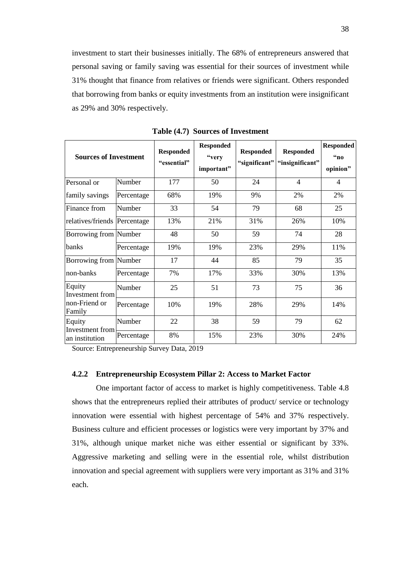investment to start their businesses initially. The 68% of entrepreneurs answered that personal saving or family saving was essential for their sources of investment while 31% thought that finance from relatives or friends were significant. Others responded that borrowing from banks or equity investments from an institution were insignificant as 29% and 30% respectively.

| <b>Sources of Investment</b>      |            | <b>Responded</b><br>"essential" | <b>Responded</b><br>"very<br>important" | <b>Responded</b><br>"significant" | <b>Responded</b><br>"insignificant" | <b>Responded</b><br>66n<br>opinion" |
|-----------------------------------|------------|---------------------------------|-----------------------------------------|-----------------------------------|-------------------------------------|-------------------------------------|
| Personal or                       | Number     | 177                             | 50                                      | 24                                | $\overline{4}$                      | $\overline{4}$                      |
| family savings                    | Percentage | 68%                             | 19%                                     | 9%                                | 2%                                  | 2%                                  |
| Finance from                      | Number     | 33                              | 54                                      | 79                                | 68                                  | 25                                  |
| relatives/friends Percentage      |            | 13%                             | 21%                                     | 31%                               | 26%                                 | 10%                                 |
| Borrowing from Number             |            | 48                              | 50                                      | 59                                | 74                                  | 28                                  |
| banks                             | Percentage | 19%                             | 19%                                     | 23%                               | 29%                                 | 11%                                 |
| Borrowing from Number             |            | 17                              | 44                                      | 85                                | 79                                  | 35                                  |
| non-banks                         | Percentage | 7%                              | 17%                                     | 33%                               | 30%                                 | 13%                                 |
| Equity<br>Investment from         | Number     | 25                              | 51                                      | 73                                | 75                                  | 36                                  |
| non-Friend or<br>Family           | Percentage | 10%                             | 19%                                     | 28%                               | 29%                                 | 14%                                 |
| Equity                            | Number     | 22                              | 38                                      | 59                                | 79                                  | 62                                  |
| Investment from<br>an institution | Percentage | 8%                              | 15%                                     | 23%                               | 30%                                 | 24%                                 |

**Table (4.7) Sources of Investment**

Source: Entrepreneurship Survey Data, 2019

#### **4.2.2 Entrepreneurship Ecosystem Pillar 2: Access to Market Factor**

One important factor of access to market is highly competitiveness. Table 4.8 shows that the entrepreneurs replied their attributes of product/ service or technology innovation were essential with highest percentage of 54% and 37% respectively. Business culture and efficient processes or logistics were very important by 37% and 31%, although unique market niche was either essential or significant by 33%. Aggressive marketing and selling were in the essential role, whilst distribution innovation and special agreement with suppliers were very important as 31% and 31% each.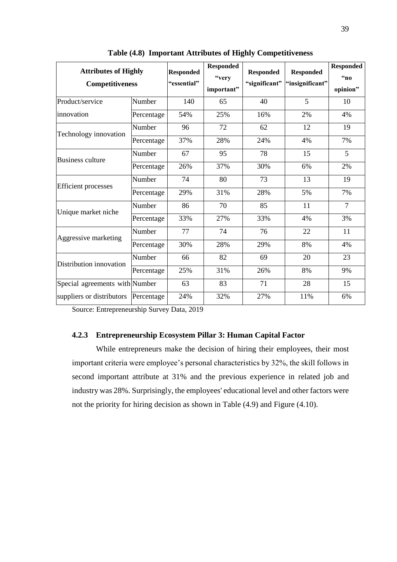| <b>Attributes of Highly</b><br><b>Competitiveness</b> |            | <b>Responded</b><br>"essential" | <b>Responded</b><br>"very<br>important" | <b>Responded</b><br>"significant" | <b>Responded</b><br>"insignificant" | <b>Responded</b><br>$\mathfrak{a}_n$<br>opinion" |
|-------------------------------------------------------|------------|---------------------------------|-----------------------------------------|-----------------------------------|-------------------------------------|--------------------------------------------------|
| Product/service                                       | Number     | 140                             | 65                                      | 40                                | 5                                   | 10                                               |
| innovation                                            | Percentage | 54%                             | 25%                                     | 16%                               | 2%                                  | 4%                                               |
| Technology innovation                                 | Number     | 96                              | 72                                      | 62                                | 12                                  | 19                                               |
|                                                       | Percentage | 37%                             | 28%                                     | 24%                               | 4%                                  | 7%                                               |
| <b>Business culture</b>                               | Number     | 67                              | 95                                      | 78                                | 15                                  | 5                                                |
|                                                       | Percentage | 26%                             | 37%                                     | 30%                               | 6%                                  | 2%                                               |
|                                                       | Number     | 74                              | 80                                      | 73                                | 13                                  | 19                                               |
| <b>Efficient</b> processes                            | Percentage | 29%                             | 31%                                     | 28%                               | 5%                                  | 7%                                               |
| Unique market niche                                   | Number     | 86                              | 70                                      | 85                                | 11                                  | $\overline{7}$                                   |
|                                                       | Percentage | 33%                             | 27%                                     | 33%                               | 4%                                  | 3%                                               |
| Aggressive marketing                                  | Number     | 77                              | 74                                      | 76                                | 22                                  | 11                                               |
|                                                       | Percentage | 30%                             | 28%                                     | 29%                               | 8%                                  | 4%                                               |
| Distribution innovation                               | Number     | 66                              | 82                                      | 69                                | 20                                  | 23                                               |
|                                                       | Percentage | 25%                             | 31%                                     | 26%                               | 8%                                  | 9%                                               |
| Special agreements with Number                        |            | 63                              | 83                                      | 71                                | 28                                  | 15                                               |
| suppliers or distributors                             | Percentage | 24%                             | 32%                                     | 27%                               | 11%                                 | 6%                                               |

**Table (4.8) Important Attributes of Highly Competitiveness**

## **4.2.3 Entrepreneurship Ecosystem Pillar 3: Human Capital Factor**

While entrepreneurs make the decision of hiring their employees, their most important criteria were employee's personal characteristics by 32%, the skill follows in second important attribute at 31% and the previous experience in related job and industry was 28%. Surprisingly, the employees' educational level and other factors were not the priority for hiring decision as shown in Table (4.9) and Figure (4.10).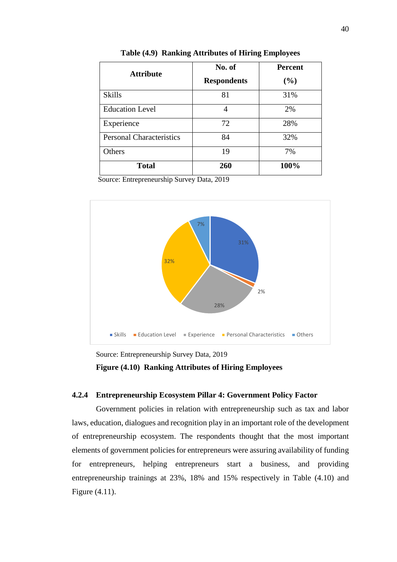| <b>Attribute</b>                | No. of             | <b>Percent</b> |
|---------------------------------|--------------------|----------------|
|                                 | <b>Respondents</b> | (%)            |
| <b>Skills</b>                   | 81                 | 31%            |
| <b>Education Level</b>          |                    | 2%             |
| Experience                      | 72                 | 28%            |
| <b>Personal Characteristics</b> | 84                 | 32%            |
| Others                          | 19                 | 7%             |
| <b>Total</b>                    | 260                | 100%           |

**Table (4.9) Ranking Attributes of Hiring Employees**



Source: Entrepreneurship Survey Data, 2019  **Figure (4.10) Ranking Attributes of Hiring Employees**

## **4.2.4 Entrepreneurship Ecosystem Pillar 4: Government Policy Factor**

Government policies in relation with entrepreneurship such as tax and labor laws, education, dialogues and recognition play in an important role of the development of entrepreneurship ecosystem. The respondents thought that the most important elements of government policies for entrepreneurs were assuring availability of funding for entrepreneurs, helping entrepreneurs start a business, and providing entrepreneurship trainings at 23%, 18% and 15% respectively in Table (4.10) and Figure (4.11).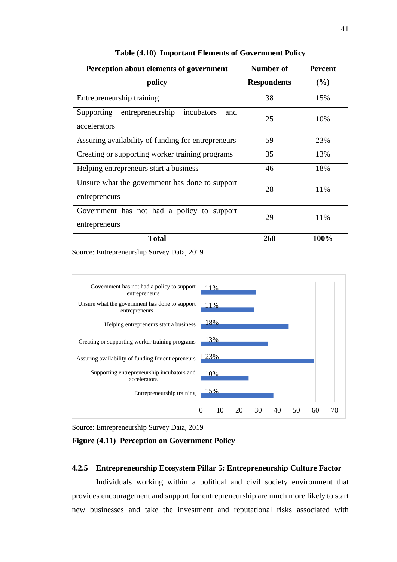| Perception about elements of government                             | <b>Number of</b>   | <b>Percent</b> |
|---------------------------------------------------------------------|--------------------|----------------|
| policy                                                              | <b>Respondents</b> | $($ %)         |
| Entrepreneurship training                                           | 38                 | 15%            |
| entrepreneurship<br>incubators<br>Supporting<br>and<br>accelerators | 25                 | 10%            |
| Assuring availability of funding for entrepreneurs                  | 59                 | 23%            |
| Creating or supporting worker training programs                     | 35                 | 13%            |
| Helping entrepreneurs start a business                              | 46                 | 18%            |
| Unsure what the government has done to support<br>entrepreneurs     | 28                 | 11%            |
| Government has not had a policy to support<br>entrepreneurs         | 29                 | 11%            |
| <b>Total</b>                                                        | 260                | 100%           |

**Table (4.10) Important Elements of Government Policy**





#### **Figure (4.11) Perception on Government Policy**

#### **4.2.5 Entrepreneurship Ecosystem Pillar 5: Entrepreneurship Culture Factor**

Individuals working within a political and civil society environment that provides encouragement and support for entrepreneurship are much more likely to start new businesses and take the investment and reputational risks associated with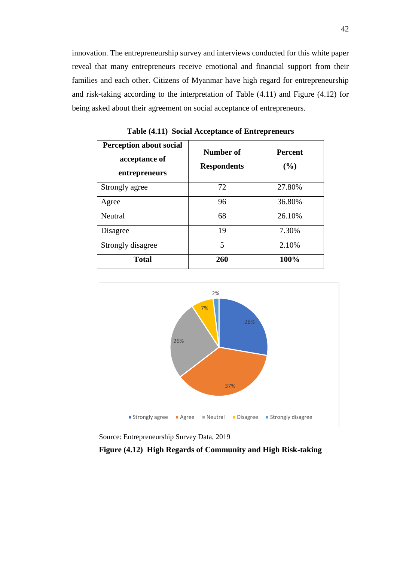innovation. The entrepreneurship survey and interviews conducted for this white paper reveal that many entrepreneurs receive emotional and financial support from their families and each other. Citizens of Myanmar have high regard for entrepreneurship and risk-taking according to the interpretation of Table (4.11) and Figure (4.12) for being asked about their agreement on social acceptance of entrepreneurs.

| <b>Perception about social</b><br>acceptance of<br>entrepreneurs | Number of<br><b>Respondents</b> | <b>Percent</b><br>(%) |
|------------------------------------------------------------------|---------------------------------|-----------------------|
| Strongly agree                                                   | 72                              | 27.80%                |
| Agree                                                            | 96                              | 36.80%                |
| Neutral                                                          | 68                              | 26.10%                |
| Disagree                                                         | 19                              | 7.30%                 |
| Strongly disagree                                                | 5                               | 2.10%                 |
| <b>Total</b>                                                     | 260                             | 100%                  |

**Table (4.11) Social Acceptance of Entrepreneurs**



Source: Entrepreneurship Survey Data, 2019

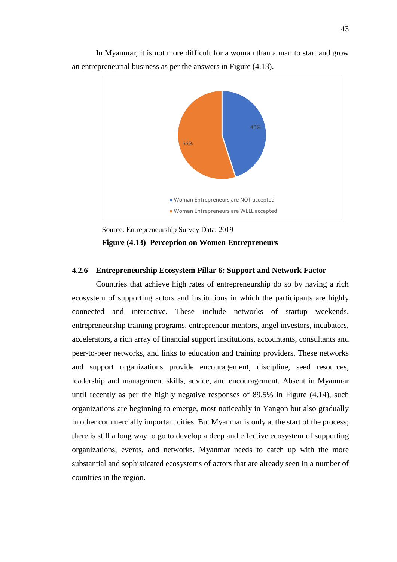In Myanmar, it is not more difficult for a woman than a man to start and grow an entrepreneurial business as per the answers in Figure (4.13).



Source: Entrepreneurship Survey Data, 2019  **Figure (4.13) Perception on Women Entrepreneurs**

## **4.2.6 Entrepreneurship Ecosystem Pillar 6: Support and Network Factor**

Countries that achieve high rates of entrepreneurship do so by having a rich ecosystem of supporting actors and institutions in which the participants are highly connected and interactive. These include networks of startup weekends, entrepreneurship training programs, entrepreneur mentors, angel investors, incubators, accelerators, a rich array of financial support institutions, accountants, consultants and peer-to-peer networks, and links to education and training providers. These networks and support organizations provide encouragement, discipline, seed resources, leadership and management skills, advice, and encouragement. Absent in Myanmar until recently as per the highly negative responses of 89.5% in Figure (4.14), such organizations are beginning to emerge, most noticeably in Yangon but also gradually in other commercially important cities. But Myanmar is only at the start of the process; there is still a long way to go to develop a deep and effective ecosystem of supporting organizations, events, and networks. Myanmar needs to catch up with the more substantial and sophisticated ecosystems of actors that are already seen in a number of countries in the region.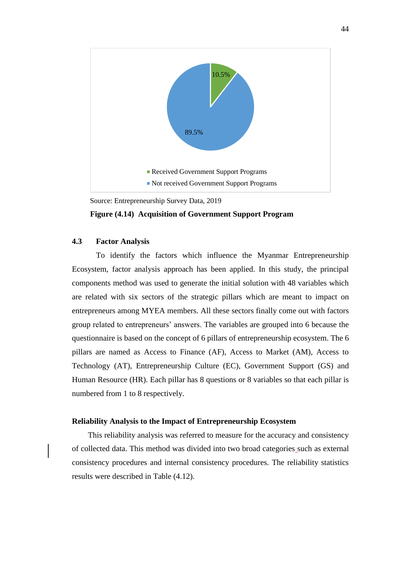

Source: Entrepreneurship Survey Data, 2019

#### **Figure (4.14) Acquisition of Government Support Program**

## **4.3 Factor Analysis**

To identify the factors which influence the Myanmar Entrepreneurship Ecosystem, factor analysis approach has been applied. In this study, the principal components method was used to generate the initial solution with 48 variables which are related with six sectors of the strategic pillars which are meant to impact on entrepreneurs among MYEA members. All these sectors finally come out with factors group related to entrepreneurs' answers. The variables are grouped into 6 because the questionnaire is based on the concept of 6 pillars of entrepreneurship ecosystem. The 6 pillars are named as Access to Finance (AF), Access to Market (AM), Access to Technology (AT), Entrepreneurship Culture (EC), Government Support (GS) and Human Resource (HR). Each pillar has 8 questions or 8 variables so that each pillar is numbered from 1 to 8 respectively.

#### **Reliability Analysis to the Impact of Entrepreneurship Ecosystem**

This reliability analysis was referred to measure for the accuracy and consistency of collected data. This method was divided into two broad categories such as external consistency procedures and internal consistency procedures. The reliability statistics results were described in Table (4.12).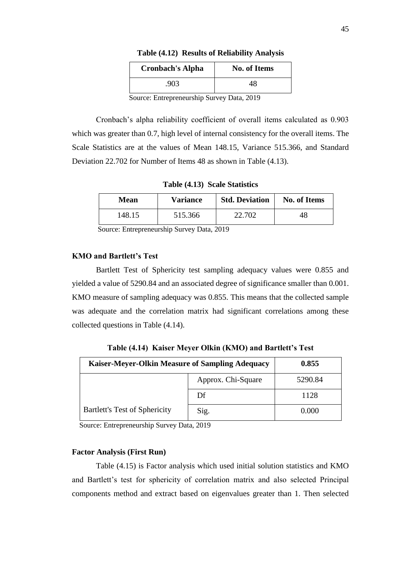| <b>Cronbach's Alpha</b> | <b>No. of Items</b> |  |
|-------------------------|---------------------|--|
| .903                    | 18                  |  |
| $\sim$ 0010             |                     |  |

**Table (4.12) Results of Reliability Analysis**

Cronbach's alpha reliability coefficient of overall items calculated as 0.903 which was greater than 0.7, high level of internal consistency for the overall items. The Scale Statistics are at the values of Mean 148.15, Variance 515.366, and Standard Deviation 22.702 for Number of Items 48 as shown in Table (4.13).

**Table (4.13) Scale Statistics**

| Mean   | <b>Variance</b> | <b>Std. Deviation</b> | <b>No. of Items</b> |
|--------|-----------------|-----------------------|---------------------|
| 148.15 | 515.366         | 22.702                | 48                  |

Source: Entrepreneurship Survey Data, 2019

#### **KMO and Bartlett's Test**

Bartlett Test of Sphericity test sampling adequacy values were 0.855 and yielded a value of 5290.84 and an associated degree of significance smaller than 0.001. KMO measure of sampling adequacy was 0.855. This means that the collected sample was adequate and the correlation matrix had significant correlations among these collected questions in Table (4.14).

| Kaiser-Meyer-Olkin Measure of Sampling Adequacy | 0.855              |         |
|-------------------------------------------------|--------------------|---------|
|                                                 | Approx. Chi-Square | 5290.84 |
|                                                 | Df                 | 1128    |
| <b>Bartlett's Test of Sphericity</b>            | Sig.               | 0.000   |

**Table (4.14) Kaiser Meyer Olkin (KMO) and Bartlett's Test**

Source: Entrepreneurship Survey Data, 2019

#### **Factor Analysis (First Run)**

Table (4.15) is Factor analysis which used initial solution statistics and KMO and Bartlett's test for sphericity of correlation matrix and also selected Principal components method and extract based on eigenvalues greater than 1. Then selected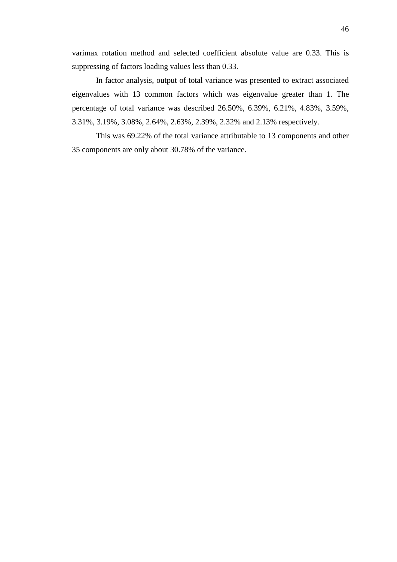$\ddot{\phantom{a}}$ varimax rotation method and selected coefficient absolute value are 0.33. This is suppressing of factors loading values less than 0.33.

In factor analysis, output of total variance was presented to extract associated eigenvalues with 13 common factors which was eigenvalue greater than 1. The percentage of total variance was described 26.50%, 6.39%, 6.21%, 4.83%, 3.59%, 3.31%, 3.19%, 3.08%, 2.64%, 2.63%, 2.39%, 2.32% and 2.13% respectively.

This was 69.22% of the total variance attributable to 13 components and other 35 components are only about 30.78% of the variance.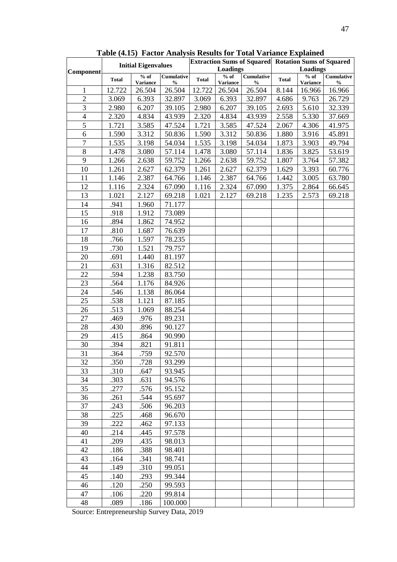| Table (4.13) Pactul Analysis Results for Total Variance Explained |              |                            |                   |                 |                 |               |                                                                               |                 |                   |
|-------------------------------------------------------------------|--------------|----------------------------|-------------------|-----------------|-----------------|---------------|-------------------------------------------------------------------------------|-----------------|-------------------|
|                                                                   |              | <b>Initial Eigenvalues</b> |                   | <b>Loadings</b> |                 |               | <b>Extraction Sums of Squared Rotation Sums of Squared</b><br><b>Loadings</b> |                 |                   |
| Component                                                         | <b>Total</b> | $%$ of                     | <b>Cumulative</b> | <b>Total</b>    | $%$ of          | Cumulative    | <b>Total</b>                                                                  | $%$ of          | <b>Cumulative</b> |
|                                                                   |              | <b>Variance</b>            | $\frac{0}{0}$     |                 | <b>Variance</b> | $\frac{0}{0}$ |                                                                               | <b>Variance</b> | $\frac{0}{0}$     |
| 1                                                                 | 12.722       | 26.504                     | 26.504            | 12.722          | 26.504          | 26.504        | 8.144                                                                         | 16.966          | 16.966            |
| $\overline{2}$                                                    | 3.069        | 6.393                      | 32.897            | 3.069           | 6.393           | 32.897        | 4.686                                                                         | 9.763           | 26.729            |
| 3                                                                 | 2.980        | 6.207                      | 39.105            | 2.980           | 6.207           | 39.105        | 2.693                                                                         | 5.610           | 32.339            |
| $\overline{4}$<br>5                                               | 2.320        | 4.834                      | 43.939            | 2.320           | 4.834           | 43.939        | 2.558                                                                         | 5.330           | 37.669            |
|                                                                   | 1.721        | 3.585                      | 47.524            | 1.721           | 3.585           | 47.524        | 2.067                                                                         | 4.306           | 41.975            |
| 6<br>$\overline{7}$                                               | 1.590        | 3.312                      | 50.836            | 1.590           | 3.312           | 50.836        | 1.880                                                                         | 3.916           | 45.891            |
|                                                                   | 1.535        | 3.198                      | 54.034            | 1.535           | 3.198           | 54.034        | 1.873                                                                         | 3.903           | 49.794            |
| $8\,$                                                             | 1.478        | 3.080                      | 57.114            | 1.478           | 3.080           | 57.114        | 1.836                                                                         | 3.825           | 53.619            |
| 9                                                                 | 1.266        | 2.638                      | 59.752            | 1.266           | 2.638           | 59.752        | 1.807                                                                         | 3.764           | 57.382            |
| 10                                                                | 1.261        | 2.627                      | 62.379            | 1.261           | 2.627           | 62.379        | 1.629                                                                         | 3.393           | 60.776            |
| 11                                                                | 1.146        | 2.387                      | 64.766            | 1.146           | 2.387           | 64.766        | 1.442                                                                         | 3.005           | 63.780            |
| 12                                                                | 1.116        | 2.324                      | 67.090            | 1.116           | 2.324           | 67.090        | 1.375                                                                         | 2.864           | 66.645            |
| 13                                                                | 1.021        | 2.127                      | 69.218            | 1.021           | 2.127           | 69.218        | 1.235                                                                         | 2.573           | 69.218            |
| 14                                                                | .941         | 1.960                      | 71.177            |                 |                 |               |                                                                               |                 |                   |
| 15                                                                | .918         | 1.912                      | 73.089            |                 |                 |               |                                                                               |                 |                   |
| 16                                                                | .894         | 1.862                      | 74.952            |                 |                 |               |                                                                               |                 |                   |
| 17                                                                | .810         | 1.687                      | 76.639            |                 |                 |               |                                                                               |                 |                   |
| 18                                                                | .766         | 1.597                      | 78.235            |                 |                 |               |                                                                               |                 |                   |
| 19                                                                | .730         | 1.521                      | 79.757            |                 |                 |               |                                                                               |                 |                   |
| 20                                                                | .691         | 1.440                      | 81.197            |                 |                 |               |                                                                               |                 |                   |
| 21                                                                | .631         | 1.316                      | 82.512            |                 |                 |               |                                                                               |                 |                   |
| 22                                                                | .594         | 1.238                      | 83.750            |                 |                 |               |                                                                               |                 |                   |
| 23                                                                | .564         | 1.176                      | 84.926            |                 |                 |               |                                                                               |                 |                   |
| 24                                                                | .546         | 1.138                      | 86.064            |                 |                 |               |                                                                               |                 |                   |
| 25                                                                | .538         | 1.121                      | 87.185            |                 |                 |               |                                                                               |                 |                   |
| 26                                                                | .513         | 1.069                      | 88.254            |                 |                 |               |                                                                               |                 |                   |
| 27                                                                | .469         | .976                       | 89.231            |                 |                 |               |                                                                               |                 |                   |
| 28                                                                | .430         | .896                       | 90.127            |                 |                 |               |                                                                               |                 |                   |
| 29                                                                | .415         | .864                       | 90.990            |                 |                 |               |                                                                               |                 |                   |
| 30                                                                | .394         | .821                       | 91.811            |                 |                 |               |                                                                               |                 |                   |
| 31                                                                | .364         | .759                       | 92.570            |                 |                 |               |                                                                               |                 |                   |
| 32                                                                | .350         | .728                       | 93.299            |                 |                 |               |                                                                               |                 |                   |
| 33                                                                | .310         | .647                       | 93.945            |                 |                 |               |                                                                               |                 |                   |
| 34                                                                | .303         | .631                       | 94.576            |                 |                 |               |                                                                               |                 |                   |
| 35                                                                | .277         | .576                       | 95.152            |                 |                 |               |                                                                               |                 |                   |
| 36                                                                | .261         | .544                       | 95.697            |                 |                 |               |                                                                               |                 |                   |
| 37                                                                | .243         | .506                       | 96.203            |                 |                 |               |                                                                               |                 |                   |
| 38                                                                | .225         | .468                       | 96.670            |                 |                 |               |                                                                               |                 |                   |
| 39                                                                | .222         | .462                       | 97.133            |                 |                 |               |                                                                               |                 |                   |
| 40                                                                | .214         | .445                       | 97.578            |                 |                 |               |                                                                               |                 |                   |
| 41                                                                | .209         | .435                       | 98.013            |                 |                 |               |                                                                               |                 |                   |
| 42                                                                | .186         | .388                       | 98.401            |                 |                 |               |                                                                               |                 |                   |
| 43                                                                | .164         | .341                       | 98.741            |                 |                 |               |                                                                               |                 |                   |
| 44                                                                | .149         | .310                       | 99.051            |                 |                 |               |                                                                               |                 |                   |
| 45                                                                | .140         | .293                       | 99.344            |                 |                 |               |                                                                               |                 |                   |
| 46                                                                | .120         | .250                       | 99.593            |                 |                 |               |                                                                               |                 |                   |
| 47                                                                | .106         | .220                       | 99.814            |                 |                 |               |                                                                               |                 |                   |
| 48                                                                | .089         | .186                       | 100.000           |                 |                 |               |                                                                               |                 |                   |

**Table (4.15) Factor Analysis Results for Total Variance Explained**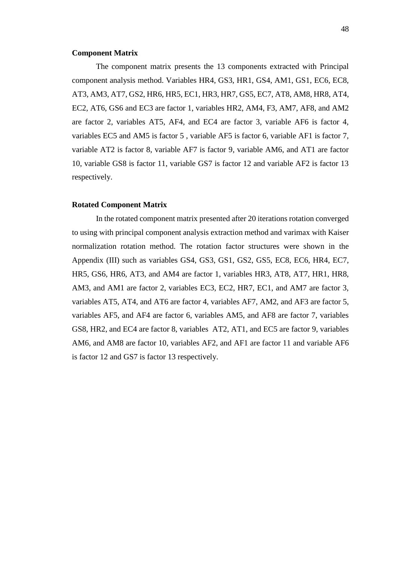#### **Component Matrix**

The component matrix presents the 13 components extracted with Principal component analysis method. Variables HR4, GS3, HR1, GS4, AM1, GS1, EC6, EC8, AT3, AM3, AT7, GS2, HR6, HR5, EC1, HR3, HR7, GS5, EC7, AT8, AM8, HR8, AT4, EC2, AT6, GS6 and EC3 are factor 1, variables HR2, AM4, F3, AM7, AF8, and AM2 are factor 2, variables AT5, AF4, and EC4 are factor 3, variable AF6 is factor 4, variables EC5 and AM5 is factor 5 , variable AF5 is factor 6, variable AF1 is factor 7, variable AT2 is factor 8, variable AF7 is factor 9, variable AM6, and AT1 are factor 10, variable GS8 is factor 11, variable GS7 is factor 12 and variable AF2 is factor 13 respectively.

#### **Rotated Component Matrix**

In the rotated component matrix presented after 20 iterations rotation converged to using with principal component analysis extraction method and varimax with Kaiser normalization rotation method. The rotation factor structures were shown in the Appendix (III) such as variables GS4, GS3, GS1, GS2, GS5, EC8, EC6, HR4, EC7, HR5, GS6, HR6, AT3, and AM4 are factor 1, variables HR3, AT8, AT7, HR1, HR8, AM3, and AM1 are factor 2, variables EC3, EC2, HR7, EC1, and AM7 are factor 3, variables AT5, AT4, and AT6 are factor 4, variables AF7, AM2, and AF3 are factor 5, variables AF5, and AF4 are factor 6, variables AM5, and AF8 are factor 7, variables GS8, HR2, and EC4 are factor 8, variables AT2, AT1, and EC5 are factor 9, variables AM6, and AM8 are factor 10, variables AF2, and AF1 are factor 11 and variable AF6 is factor 12 and GS7 is factor 13 respectively.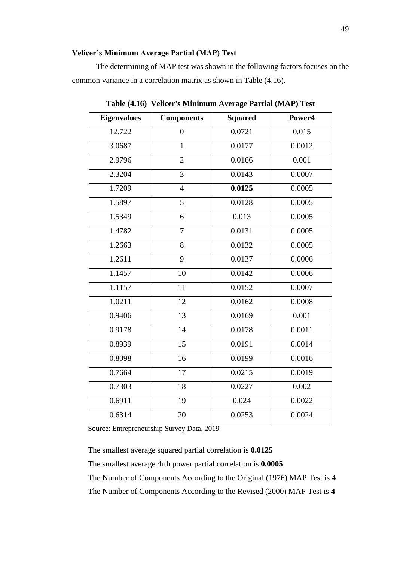### **Velicer's Minimum Average Partial (MAP) Test**

The determining of MAP test was shown in the following factors focuses on the common variance in a correlation matrix as shown in Table (4.16).

| <b>Components</b> | <b>Squared</b> | Power4 |  |
|-------------------|----------------|--------|--|
| $\overline{0}$    | 0.0721         | 0.015  |  |
| $\mathbf{1}$      | 0.0177         | 0.0012 |  |
| $\overline{2}$    | 0.0166         | 0.001  |  |
| 3                 | 0.0143         | 0.0007 |  |
| $\overline{4}$    | 0.0125         | 0.0005 |  |
| $\overline{5}$    | 0.0128         | 0.0005 |  |
| 6                 | 0.013          | 0.0005 |  |
| $\overline{7}$    | 0.0131         | 0.0005 |  |
| 8                 | 0.0132         | 0.0005 |  |
| 9                 | 0.0137         | 0.0006 |  |
| 10                | 0.0142         | 0.0006 |  |
| 11                | 0.0152         | 0.0007 |  |
| 12                | 0.0162         | 0.0008 |  |
| 13                | 0.0169         | 0.001  |  |
| 14                | 0.0178         | 0.0011 |  |
| 15                | 0.0191         | 0.0014 |  |
| 16                | 0.0199         | 0.0016 |  |
| 17                | 0.0215         | 0.0019 |  |
| 18                | 0.0227         | 0.002  |  |
| 19                | 0.024          | 0.0022 |  |
| 20                | 0.0253         | 0.0024 |  |
|                   |                |        |  |

**Table (4.16) Velicer's Minimum Average Partial (MAP) Test**

Source: Entrepreneurship Survey Data, 2019

The smallest average squared partial correlation is **0.0125**

The smallest average 4rth power partial correlation is **0.0005**

The Number of Components According to the Original (1976) MAP Test is **4** The Number of Components According to the Revised (2000) MAP Test is **4**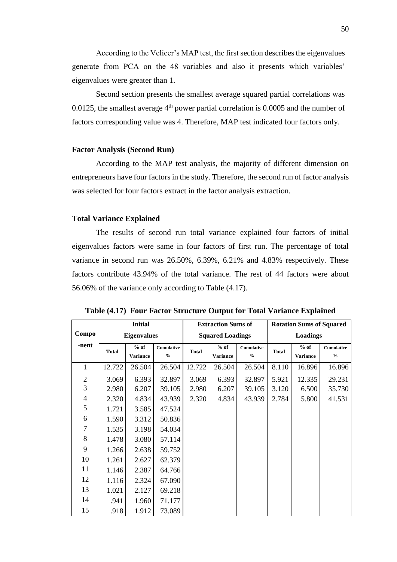According to the Velicer's MAP test, the first section describes the eigenvalues generate from PCA on the 48 variables and also it presents which variables' eigenvalues were greater than 1.

Second section presents the smallest average squared partial correlations was 0.0125, the smallest average  $4<sup>th</sup>$  power partial correlation is 0.0005 and the number of factors corresponding value was 4. Therefore, MAP test indicated four factors only.

#### **Factor Analysis (Second Run)**

According to the MAP test analysis, the majority of different dimension on entrepreneurs have four factors in the study. Therefore, the second run of factor analysis was selected for four factors extract in the factor analysis extraction.

#### **Total Variance Explained**

The results of second run total variance explained four factors of initial eigenvalues factors were same in four factors of first run. The percentage of total variance in second run was 26.50%, 6.39%, 6.21% and 4.83% respectively. These factors contribute 43.94% of the total variance. The rest of 44 factors were about 56.06% of the variance only according to Table (4.17).

|                | <b>Initial</b> |                    |                   | <b>Extraction Sums of</b> |                         |                   | <b>Rotation Sums of Squared</b> |                 |                   |  |
|----------------|----------------|--------------------|-------------------|---------------------------|-------------------------|-------------------|---------------------------------|-----------------|-------------------|--|
| Compo          |                | <b>Eigenvalues</b> |                   |                           | <b>Squared Loadings</b> |                   |                                 | <b>Loadings</b> |                   |  |
| -nent          | <b>Total</b>   | $%$ of             | <b>Cumulative</b> | <b>Total</b>              | $%$ of                  | <b>Cumulative</b> | <b>Total</b>                    | $%$ of          | <b>Cumulative</b> |  |
|                |                | <b>Variance</b>    | $\frac{0}{0}$     |                           | <b>Variance</b>         | $\frac{6}{6}$     |                                 | <b>Variance</b> | $\frac{0}{0}$     |  |
| $\mathbf{1}$   | 12.722         | 26.504             | 26.504            | 12.722                    | 26.504                  | 26.504            | 8.110                           | 16.896          | 16.896            |  |
| $\mathbf{2}$   | 3.069          | 6.393              | 32.897            | 3.069                     | 6.393                   | 32.897            | 5.921                           | 12.335          | 29.231            |  |
| 3              | 2.980          | 6.207              | 39.105            | 2.980                     | 6.207                   | 39.105            | 3.120                           | 6.500           | 35.730            |  |
| $\overline{4}$ | 2.320          | 4.834              | 43.939            | 2.320                     | 4.834                   | 43.939            | 2.784                           | 5.800           | 41.531            |  |
| 5              | 1.721          | 3.585              | 47.524            |                           |                         |                   |                                 |                 |                   |  |
| 6              | 1.590          | 3.312              | 50.836            |                           |                         |                   |                                 |                 |                   |  |
| $\tau$         | 1.535          | 3.198              | 54.034            |                           |                         |                   |                                 |                 |                   |  |
| 8              | 1.478          | 3.080              | 57.114            |                           |                         |                   |                                 |                 |                   |  |
| 9              | 1.266          | 2.638              | 59.752            |                           |                         |                   |                                 |                 |                   |  |
| 10             | 1.261          | 2.627              | 62.379            |                           |                         |                   |                                 |                 |                   |  |
| 11             | 1.146          | 2.387              | 64.766            |                           |                         |                   |                                 |                 |                   |  |
| 12             | 1.116          | 2.324              | 67.090            |                           |                         |                   |                                 |                 |                   |  |
| 13             | 1.021          | 2.127              | 69.218            |                           |                         |                   |                                 |                 |                   |  |
| 14             | .941           | 1.960              | 71.177            |                           |                         |                   |                                 |                 |                   |  |
| 15             | .918           | 1.912              | 73.089            |                           |                         |                   |                                 |                 |                   |  |

**Table (4.17) Four Factor Structure Output for Total Variance Explained**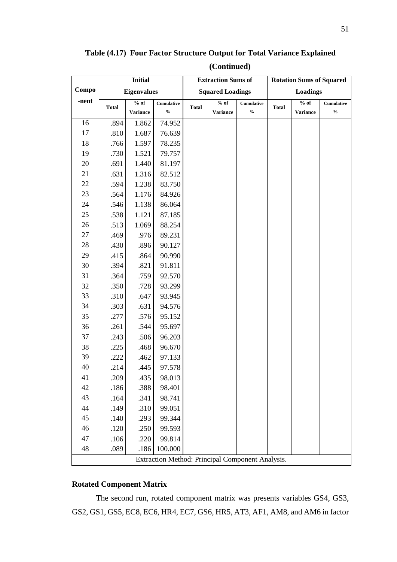**Table (4.17) Four Factor Structure Output for Total Variance Explained** 

| (Continued) |  |
|-------------|--|
|-------------|--|

|       | <b>Initial</b> |                    |                                    | <b>Extraction Sums of</b> |                         |                                                  | <b>Rotation Sums of Squared</b> |                 |                            |
|-------|----------------|--------------------|------------------------------------|---------------------------|-------------------------|--------------------------------------------------|---------------------------------|-----------------|----------------------------|
| Compo |                | <b>Eigenvalues</b> |                                    |                           | <b>Squared Loadings</b> |                                                  |                                 | <b>Loadings</b> |                            |
| -nent | <b>Total</b>   | % of               | <b>Cumulative</b>                  | <b>Total</b>              | $%$ of                  | <b>Cumulative</b>                                | <b>Total</b>                    | % of            | <b>Cumulative</b>          |
|       |                | <b>Variance</b>    | $\mathbf{0}_{\mathbf{0}}^{\prime}$ |                           | <b>Variance</b>         | $\mathbf{0}_{\mathbf{0}}^{\prime}$               |                                 | <b>Variance</b> | $\mathbf{0/}_{\mathbf{0}}$ |
| 16    | .894           | 1.862              | 74.952                             |                           |                         |                                                  |                                 |                 |                            |
| 17    | .810           | 1.687              | 76.639                             |                           |                         |                                                  |                                 |                 |                            |
| 18    | .766           | 1.597              | 78.235                             |                           |                         |                                                  |                                 |                 |                            |
| 19    | .730           | 1.521              | 79.757                             |                           |                         |                                                  |                                 |                 |                            |
| 20    | .691           | 1.440              | 81.197                             |                           |                         |                                                  |                                 |                 |                            |
| 21    | .631           | 1.316              | 82.512                             |                           |                         |                                                  |                                 |                 |                            |
| 22    | .594           | 1.238              | 83.750                             |                           |                         |                                                  |                                 |                 |                            |
| 23    | .564           | 1.176              | 84.926                             |                           |                         |                                                  |                                 |                 |                            |
| 24    | .546           | 1.138              | 86.064                             |                           |                         |                                                  |                                 |                 |                            |
| 25    | .538           | 1.121              | 87.185                             |                           |                         |                                                  |                                 |                 |                            |
| 26    | .513           | 1.069              | 88.254                             |                           |                         |                                                  |                                 |                 |                            |
| 27    | .469           | .976               | 89.231                             |                           |                         |                                                  |                                 |                 |                            |
| 28    | .430           | .896               | 90.127                             |                           |                         |                                                  |                                 |                 |                            |
| 29    | .415           | .864               | 90.990                             |                           |                         |                                                  |                                 |                 |                            |
| 30    | .394           | .821               | 91.811                             |                           |                         |                                                  |                                 |                 |                            |
| 31    | .364           | .759               | 92.570                             |                           |                         |                                                  |                                 |                 |                            |
| 32    | .350           | .728               | 93.299                             |                           |                         |                                                  |                                 |                 |                            |
| 33    | .310           | .647               | 93.945                             |                           |                         |                                                  |                                 |                 |                            |
| 34    | .303           | .631               | 94.576                             |                           |                         |                                                  |                                 |                 |                            |
| 35    | .277           | .576               | 95.152                             |                           |                         |                                                  |                                 |                 |                            |
| 36    | .261           | .544               | 95.697                             |                           |                         |                                                  |                                 |                 |                            |
| 37    | .243           | .506               | 96.203                             |                           |                         |                                                  |                                 |                 |                            |
| 38    | .225           | .468               | 96.670                             |                           |                         |                                                  |                                 |                 |                            |
| 39    | .222           | .462               | 97.133                             |                           |                         |                                                  |                                 |                 |                            |
| 40    | .214           | .445               | 97.578                             |                           |                         |                                                  |                                 |                 |                            |
| 41    | .209           | .435               | 98.013                             |                           |                         |                                                  |                                 |                 |                            |
| 42    | .186           | .388               | 98.401                             |                           |                         |                                                  |                                 |                 |                            |
| 43    | .164           | .341               | 98.741                             |                           |                         |                                                  |                                 |                 |                            |
| 44    | .149           | .310               | 99.051                             |                           |                         |                                                  |                                 |                 |                            |
| 45    | .140           | .293               | 99.344                             |                           |                         |                                                  |                                 |                 |                            |
| 46    | .120           | .250               | 99.593                             |                           |                         |                                                  |                                 |                 |                            |
| 47    | .106           | .220               | 99.814                             |                           |                         |                                                  |                                 |                 |                            |
| 48    | .089           | .186               | 100.000                            |                           |                         |                                                  |                                 |                 |                            |
|       |                |                    |                                    |                           |                         | Extraction Method: Principal Component Analysis. |                                 |                 |                            |

## **Rotated Component Matrix**

The second run, rotated component matrix was presents variables GS4, GS3, GS2, GS1, GS5, EC8, EC6, HR4, EC7, GS6, HR5, AT3, AF1, AM8, and AM6 in factor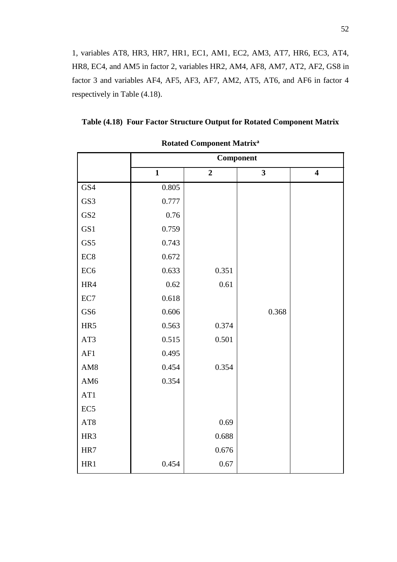$\overline{G}$ 1, variables AT8, HR3, HR7, HR1, EC1, AM1, EC2, AM3, AT7, HR6, EC3, AT4, HR8, EC4, and AM5 in factor 2, variables HR2, AM4, AF8, AM7, AT2, AF2, GS8 in factor 3 and variables AF4, AF5, AF3, AF7, AM2, AT5, AT6, and AF6 in factor 4 respectively in Table (4.18).

| Table (4.18) Four Factor Structure Output for Rotated Component Matrix |  |  |  |
|------------------------------------------------------------------------|--|--|--|
|                                                                        |  |  |  |

|                 | Component    |                |                         |                         |  |  |  |
|-----------------|--------------|----------------|-------------------------|-------------------------|--|--|--|
|                 | $\mathbf{1}$ | $\overline{2}$ | $\overline{\mathbf{3}}$ | $\overline{\mathbf{4}}$ |  |  |  |
| GS4             | 0.805        |                |                         |                         |  |  |  |
| GS3             | 0.777        |                |                         |                         |  |  |  |
| GS <sub>2</sub> | 0.76         |                |                         |                         |  |  |  |
| GS1             | 0.759        |                |                         |                         |  |  |  |
| GS5             | 0.743        |                |                         |                         |  |  |  |
| EC <sub>8</sub> | 0.672        |                |                         |                         |  |  |  |
| EC <sub>6</sub> | 0.633        | 0.351          |                         |                         |  |  |  |
| HR4             | 0.62         | 0.61           |                         |                         |  |  |  |
| EC7             | 0.618        |                |                         |                         |  |  |  |
| GS <sub>6</sub> | 0.606        |                | 0.368                   |                         |  |  |  |
| HR5             | 0.563        | 0.374          |                         |                         |  |  |  |
| AT3             | 0.515        | 0.501          |                         |                         |  |  |  |
| AF1             | 0.495        |                |                         |                         |  |  |  |
| AM <sub>8</sub> | 0.454        | 0.354          |                         |                         |  |  |  |
| AM <sub>6</sub> | 0.354        |                |                         |                         |  |  |  |
| AT1             |              |                |                         |                         |  |  |  |
| EC <sub>5</sub> |              |                |                         |                         |  |  |  |
| AT8             |              | 0.69           |                         |                         |  |  |  |
| HR3             |              | 0.688          |                         |                         |  |  |  |
| HR7             |              | 0.676          |                         |                         |  |  |  |
| HR1             | 0.454        | 0.67           |                         |                         |  |  |  |

**Rotated Component Matrix<sup>a</sup>**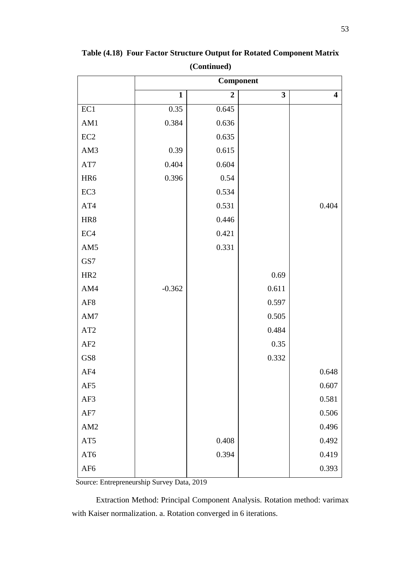|                 | Component    |                |       |                         |  |  |  |
|-----------------|--------------|----------------|-------|-------------------------|--|--|--|
|                 | $\mathbf{1}$ | $\overline{2}$ | 3     | $\overline{\mathbf{4}}$ |  |  |  |
| EC1             | 0.35         | 0.645          |       |                         |  |  |  |
| AM1             | 0.384        | 0.636          |       |                         |  |  |  |
| $\rm EC2$       |              | 0.635          |       |                         |  |  |  |
| AM3             | 0.39         | 0.615          |       |                         |  |  |  |
| $\rm{AT7}$      | 0.404        | 0.604          |       |                         |  |  |  |
| HR6             | 0.396        | 0.54           |       |                         |  |  |  |
| EC <sub>3</sub> |              | 0.534          |       |                         |  |  |  |
| AT4             |              | 0.531          |       | 0.404                   |  |  |  |
| HR8             |              | 0.446          |       |                         |  |  |  |
| $\rm EC4$       |              | 0.421          |       |                         |  |  |  |
| AM5             |              | 0.331          |       |                         |  |  |  |
| GS7             |              |                |       |                         |  |  |  |
| HR <sub>2</sub> |              |                | 0.69  |                         |  |  |  |
| AM4             | $-0.362$     |                | 0.611 |                         |  |  |  |
| $\rm{AF8}$      |              |                | 0.597 |                         |  |  |  |
| $\mathrm{AM}7$  |              |                | 0.505 |                         |  |  |  |
| AT <sub>2</sub> |              |                | 0.484 |                         |  |  |  |
| AF2             |              |                | 0.35  |                         |  |  |  |
| GS8             |              |                | 0.332 |                         |  |  |  |
| AF4             |              |                |       | 0.648                   |  |  |  |
| $\rm{AF5}$      |              |                |       | 0.607                   |  |  |  |
| AF3             |              |                |       | 0.581                   |  |  |  |
| $\rm AF7$       |              |                |       | 0.506                   |  |  |  |
| AM2             |              |                |       | 0.496                   |  |  |  |
| AT5             |              | 0.408          |       | 0.492                   |  |  |  |
| AT6             |              | 0.394          |       | 0.419                   |  |  |  |
| $\rm{AF6}$      |              |                |       | 0.393                   |  |  |  |

**Table (4.18) Four Factor Structure Output for Rotated Component Matrix (Continued)**

Extraction Method: Principal Component Analysis. Rotation method: varimax with Kaiser normalization. a. Rotation converged in 6 iterations.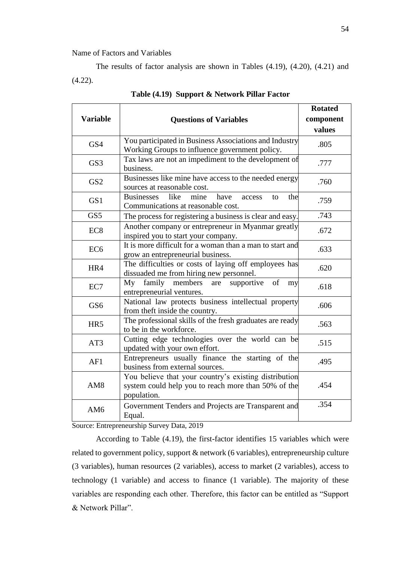#### Name of Factors and Variables

The results of factor analysis are shown in Tables (4.19), (4.20), (4.21) and (4.22).

|                 |                                                                                                                             | <b>Rotated</b> |
|-----------------|-----------------------------------------------------------------------------------------------------------------------------|----------------|
| <b>Variable</b> | <b>Questions of Variables</b>                                                                                               | component      |
|                 |                                                                                                                             | values         |
| GS4             | You participated in Business Associations and Industry                                                                      | .805           |
|                 | Working Groups to influence government policy.                                                                              |                |
| GS3             | Tax laws are not an impediment to the development of<br>business.                                                           | .777           |
| GS <sub>2</sub> | Businesses like mine have access to the needed energy<br>sources at reasonable cost.                                        | .760           |
| GS1             | like<br><b>Businesses</b><br>have<br>mine<br>access<br>the<br>to<br>Communications at reasonable cost.                      | .759           |
| GS5             | The process for registering a business is clear and easy.                                                                   | .743           |
| EC <sub>8</sub> | Another company or entrepreneur in Myanmar greatly<br>inspired you to start your company.                                   | .672           |
| EC <sub>6</sub> | It is more difficult for a woman than a man to start and<br>grow an entrepreneurial business.                               | .633           |
| HR4             | The difficulties or costs of laying off employees has<br>dissuaded me from hiring new personnel.                            | .620           |
| EC7             | family members are<br>My<br>supportive<br>of<br>my<br>entrepreneurial ventures.                                             | .618           |
| GS <sub>6</sub> | National law protects business intellectual property<br>from theft inside the country.                                      | .606           |
| HR5             | The professional skills of the fresh graduates are ready<br>to be in the workforce.                                         | .563           |
| AT3             | Cutting edge technologies over the world can be<br>updated with your own effort.                                            | .515           |
| AF1             | Entrepreneurs usually finance the starting of the<br>business from external sources.                                        | .495           |
| AM <sub>8</sub> | You believe that your country's existing distribution<br>system could help you to reach more than 50% of the<br>population. | .454           |
| AM <sub>6</sub> | Government Tenders and Projects are Transparent and<br>Equal.                                                               | .354           |

**Table (4.19) Support & Network Pillar Factor**

Source: Entrepreneurship Survey Data, 2019

According to Table (4.19), the first-factor identifies 15 variables which were related to government policy, support & network (6 variables), entrepreneurship culture (3 variables), human resources (2 variables), access to market (2 variables), access to technology (1 variable) and access to finance (1 variable). The majority of these variables are responding each other. Therefore, this factor can be entitled as "Support & Network Pillar".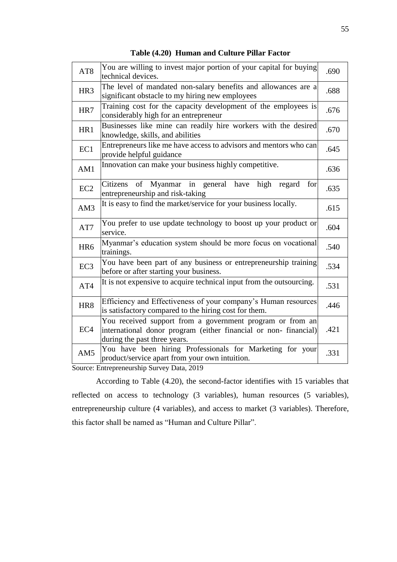| AT8             | You are willing to invest major portion of your capital for buying<br>technical devices.                                                                     | .690 |
|-----------------|--------------------------------------------------------------------------------------------------------------------------------------------------------------|------|
| HR <sub>3</sub> | The level of mandated non-salary benefits and allowances are a<br>significant obstacle to my hiring new employees                                            | .688 |
| HR7             | Training cost for the capacity development of the employees is<br>considerably high for an entrepreneur                                                      | .676 |
| HR1             | Businesses like mine can readily hire workers with the desired<br>knowledge, skills, and abilities                                                           | .670 |
| EC1             | Entrepreneurs like me have access to advisors and mentors who can<br>provide helpful guidance                                                                | .645 |
| AM1             | Innovation can make your business highly competitive.                                                                                                        | .636 |
| EC <sub>2</sub> | Myanmar in general have<br>Citizens<br>of<br>high<br>regard<br>for<br>entrepreneurship and risk-taking                                                       | .635 |
| AM3             | It is easy to find the market/service for your business locally.                                                                                             | .615 |
| AT7             | You prefer to use update technology to boost up your product or<br>service.                                                                                  | .604 |
| HR <sub>6</sub> | Myanmar's education system should be more focus on vocational<br>trainings.                                                                                  | .540 |
| EC <sub>3</sub> | You have been part of any business or entrepreneurship training<br>before or after starting your business.                                                   | .534 |
| AT4             | It is not expensive to acquire technical input from the outsourcing.                                                                                         | .531 |
| HR <sub>8</sub> | Efficiency and Effectiveness of your company's Human resources<br>is satisfactory compared to the hiring cost for them.                                      | .446 |
| EC <sub>4</sub> | You received support from a government program or from an<br>international donor program (either financial or non-financial)<br>during the past three years. | .421 |
| AM5             | You have been hiring Professionals for Marketing for your<br>product/service apart from your own intuition.                                                  | .331 |

**Table (4.20) Human and Culture Pillar Factor**

According to Table (4.20), the second-factor identifies with 15 variables that reflected on access to technology (3 variables), human resources (5 variables), entrepreneurship culture (4 variables), and access to market (3 variables). Therefore, this factor shall be named as "Human and Culture Pillar".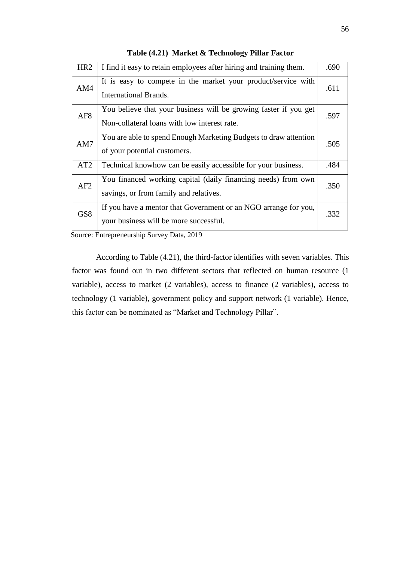| HR <sub>2</sub> | I find it easy to retain employees after hiring and training them.                                               | .690 |  |  |
|-----------------|------------------------------------------------------------------------------------------------------------------|------|--|--|
| AM4             | It is easy to compete in the market your product/service with<br>International Brands.                           | .611 |  |  |
| AF <sub>8</sub> | You believe that your business will be growing faster if you get<br>Non-collateral loans with low interest rate. | .597 |  |  |
| AM7             | You are able to spend Enough Marketing Budgets to draw attention<br>of your potential customers.                 |      |  |  |
| AT <sub>2</sub> | Technical knowhow can be easily accessible for your business.                                                    | .484 |  |  |
| AF2             | You financed working capital (daily financing needs) from own<br>savings, or from family and relatives.          |      |  |  |
| GS <sub>8</sub> | If you have a mentor that Government or an NGO arrange for you,<br>your business will be more successful.        | .332 |  |  |

**Table (4.21) Market & Technology Pillar Factor**

According to Table (4.21), the third-factor identifies with seven variables. This factor was found out in two different sectors that reflected on human resource (1 variable), access to market (2 variables), access to finance (2 variables), access to technology (1 variable), government policy and support network (1 variable). Hence, this factor can be nominated as "Market and Technology Pillar".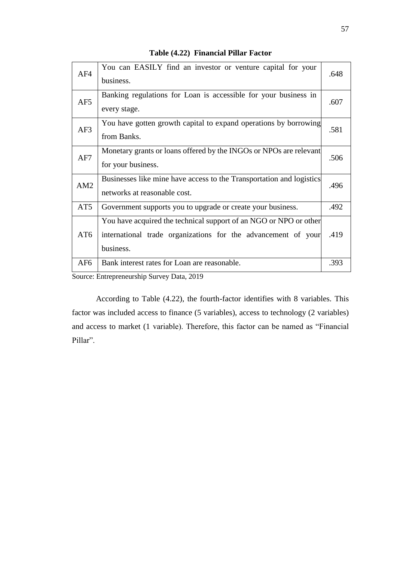| AF4             | You can EASILY find an investor or venture capital for your<br>business.                                                                        | .648 |
|-----------------|-------------------------------------------------------------------------------------------------------------------------------------------------|------|
| AF5             | Banking regulations for Loan is accessible for your business in<br>every stage.                                                                 | .607 |
| AF3             | You have gotten growth capital to expand operations by borrowing<br>from Banks.                                                                 | .581 |
| AF7             | Monetary grants or loans offered by the INGOs or NPOs are relevant<br>for your business.                                                        | .506 |
| AM2             | Businesses like mine have access to the Transportation and logistics<br>networks at reasonable cost.                                            | .496 |
| AT <sub>5</sub> | Government supports you to upgrade or create your business.                                                                                     | .492 |
| AT <sub>6</sub> | You have acquired the technical support of an NGO or NPO or other<br>international trade organizations for the advancement of your<br>business. | .419 |
| AF <sub>6</sub> | Bank interest rates for Loan are reasonable.                                                                                                    | .393 |

**Table (4.22) Financial Pillar Factor**

According to Table (4.22), the fourth-factor identifies with 8 variables. This factor was included access to finance (5 variables), access to technology (2 variables) and access to market (1 variable). Therefore, this factor can be named as "Financial Pillar".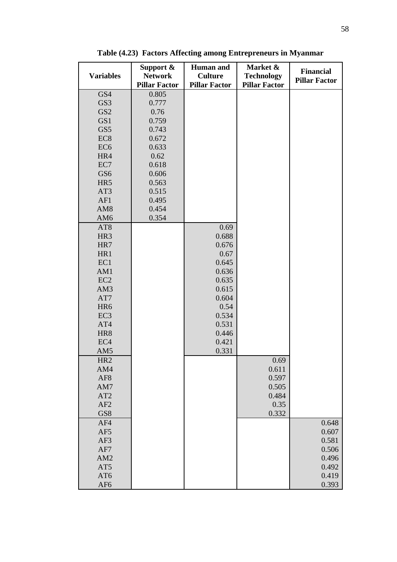| <b>Variables</b> | Support $\&$<br><b>Network</b><br><b>Pillar Factor</b> | <b>Human</b> and<br><b>Culture</b><br><b>Pillar Factor</b> | Market &<br><b>Technology</b><br><b>Pillar Factor</b> | <b>Financial</b><br><b>Pillar Factor</b> |
|------------------|--------------------------------------------------------|------------------------------------------------------------|-------------------------------------------------------|------------------------------------------|
| GS4              | 0.805                                                  |                                                            |                                                       |                                          |
| GS3              | 0.777                                                  |                                                            |                                                       |                                          |
|                  |                                                        |                                                            |                                                       |                                          |
| GS <sub>2</sub>  | 0.76                                                   |                                                            |                                                       |                                          |
| GS1              | 0.759                                                  |                                                            |                                                       |                                          |
| GS5              | 0.743                                                  |                                                            |                                                       |                                          |
| EC <sub>8</sub>  | 0.672                                                  |                                                            |                                                       |                                          |
| EC <sub>6</sub>  | 0.633                                                  |                                                            |                                                       |                                          |
| HR4              | 0.62                                                   |                                                            |                                                       |                                          |
| EC7              | 0.618                                                  |                                                            |                                                       |                                          |
| GS <sub>6</sub>  | 0.606                                                  |                                                            |                                                       |                                          |
| HR5              | 0.563                                                  |                                                            |                                                       |                                          |
| AT3              | 0.515                                                  |                                                            |                                                       |                                          |
| AF1              | 0.495                                                  |                                                            |                                                       |                                          |
| AM <sub>8</sub>  | 0.454                                                  |                                                            |                                                       |                                          |
| AM <sub>6</sub>  | 0.354                                                  |                                                            |                                                       |                                          |
| AT <sub>8</sub>  |                                                        | 0.69                                                       |                                                       |                                          |
| HR <sub>3</sub>  |                                                        | 0.688                                                      |                                                       |                                          |
| HR7              |                                                        | 0.676                                                      |                                                       |                                          |
| HR1              |                                                        | 0.67                                                       |                                                       |                                          |
| EC1              |                                                        | 0.645                                                      |                                                       |                                          |
|                  |                                                        |                                                            |                                                       |                                          |
| AM1              |                                                        | 0.636                                                      |                                                       |                                          |
| EC <sub>2</sub>  |                                                        | 0.635                                                      |                                                       |                                          |
| AM3              |                                                        | 0.615                                                      |                                                       |                                          |
| AT7              |                                                        | 0.604                                                      |                                                       |                                          |
| HR <sub>6</sub>  |                                                        | 0.54                                                       |                                                       |                                          |
| EC <sub>3</sub>  |                                                        | 0.534                                                      |                                                       |                                          |
| AT4              |                                                        | 0.531                                                      |                                                       |                                          |
| HR8              |                                                        | 0.446                                                      |                                                       |                                          |
| EC <sub>4</sub>  |                                                        | 0.421                                                      |                                                       |                                          |
| AM5              |                                                        | 0.331                                                      |                                                       |                                          |
| HR <sub>2</sub>  |                                                        |                                                            | 0.69                                                  |                                          |
| AM4              |                                                        |                                                            | 0.611                                                 |                                          |
| AF <sub>8</sub>  |                                                        |                                                            | 0.597                                                 |                                          |
| AM7              |                                                        |                                                            | 0.505                                                 |                                          |
| AT2              |                                                        |                                                            | 0.484                                                 |                                          |
| AF2              |                                                        |                                                            | 0.35                                                  |                                          |
| GS8              |                                                        |                                                            | 0.332                                                 |                                          |
|                  |                                                        |                                                            |                                                       |                                          |
| AF4              |                                                        |                                                            |                                                       | 0.648                                    |
| AF5              |                                                        |                                                            |                                                       | 0.607                                    |
| AF3              |                                                        |                                                            |                                                       | 0.581                                    |
| AF7              |                                                        |                                                            |                                                       | 0.506                                    |
| AM2              |                                                        |                                                            |                                                       | 0.496                                    |
| AT5              |                                                        |                                                            |                                                       | 0.492                                    |
| AT6              |                                                        |                                                            |                                                       | 0.419                                    |
| AF <sub>6</sub>  |                                                        |                                                            |                                                       | 0.393                                    |

**Table (4.23) Factors Affecting among Entrepreneurs in Myanmar**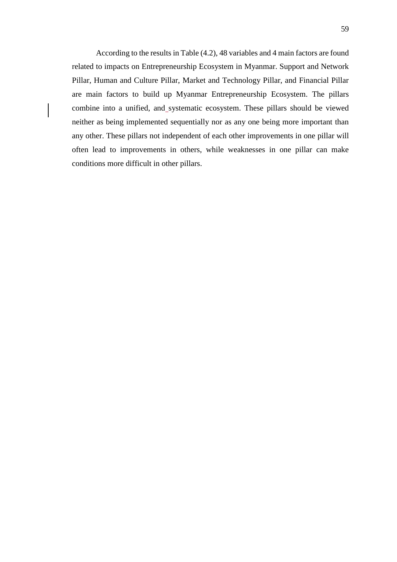According to the results in Table (4.2), 48 variables and 4 main factors are found related to impacts on Entrepreneurship Ecosystem in Myanmar. Support and Network Pillar, Human and Culture Pillar, Market and Technology Pillar, and Financial Pillar are main factors to build up Myanmar Entrepreneurship Ecosystem. The pillars combine into a unified, and\_systematic ecosystem. These pillars should be viewed neither as being implemented sequentially nor as any one being more important than any other. These pillars not independent of each other improvements in one pillar will often lead to improvements in others, while weaknesses in one pillar can make conditions more difficult in other pillars.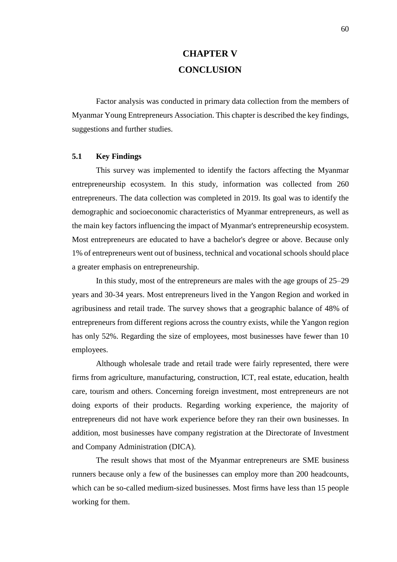## **CHAPTER V CONCLUSION**

Factor analysis was conducted in primary data collection from the members of Myanmar Young Entrepreneurs Association. This chapter is described the key findings, suggestions and further studies.

#### **5.1 Key Findings**

This survey was implemented to identify the factors affecting the Myanmar entrepreneurship ecosystem. In this study, information was collected from 260 entrepreneurs. The data collection was completed in 2019. Its goal was to identify the demographic and socioeconomic characteristics of Myanmar entrepreneurs, as well as the main key factors influencing the impact of Myanmar's entrepreneurship ecosystem. Most entrepreneurs are educated to have a bachelor's degree or above. Because only 1% of entrepreneurs went out of business, technical and vocational schools should place a greater emphasis on entrepreneurship.

In this study, most of the entrepreneurs are males with the age groups of 25–29 years and 30-34 years. Most entrepreneurs lived in the Yangon Region and worked in agribusiness and retail trade. The survey shows that a geographic balance of 48% of entrepreneurs from different regions across the country exists, while the Yangon region has only 52%. Regarding the size of employees, most businesses have fewer than 10 employees.

Although wholesale trade and retail trade were fairly represented, there were firms from agriculture, manufacturing, construction, ICT, real estate, education, health care, tourism and others. Concerning foreign investment, most entrepreneurs are not doing exports of their products. Regarding working experience, the majority of entrepreneurs did not have work experience before they ran their own businesses. In addition, most businesses have company registration at the Directorate of Investment and Company Administration (DICA).

The result shows that most of the Myanmar entrepreneurs are SME business runners because only a few of the businesses can employ more than 200 headcounts, which can be so-called medium-sized businesses. Most firms have less than 15 people working for them.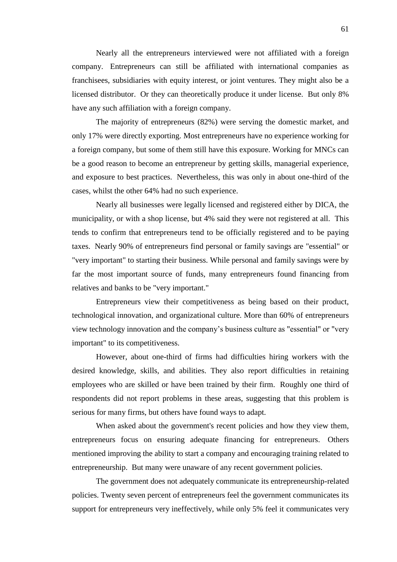Nearly all the entrepreneurs interviewed were not affiliated with a foreign company. Entrepreneurs can still be affiliated with international companies as franchisees, subsidiaries with equity interest, or joint ventures. They might also be a licensed distributor. Or they can theoretically produce it under license. But only 8% have any such affiliation with a foreign company.

The majority of entrepreneurs (82%) were serving the domestic market, and only 17% were directly exporting. Most entrepreneurs have no experience working for a foreign company, but some of them still have this exposure. Working for MNCs can be a good reason to become an entrepreneur by getting skills, managerial experience, and exposure to best practices. Nevertheless, this was only in about one-third of the cases, whilst the other 64% had no such experience.

Nearly all businesses were legally licensed and registered either by DICA, the municipality, or with a shop license, but 4% said they were not registered at all. This tends to confirm that entrepreneurs tend to be officially registered and to be paying taxes. Nearly 90% of entrepreneurs find personal or family savings are "essential" or "very important" to starting their business. While personal and family savings were by far the most important source of funds, many entrepreneurs found financing from relatives and banks to be "very important."

Entrepreneurs view their competitiveness as being based on their product, technological innovation, and organizational culture. More than 60% of entrepreneurs view technology innovation and the company's business culture as "essential" or "very important" to its competitiveness.

However, about one-third of firms had difficulties hiring workers with the desired knowledge, skills, and abilities. They also report difficulties in retaining employees who are skilled or have been trained by their firm. Roughly one third of respondents did not report problems in these areas, suggesting that this problem is serious for many firms, but others have found ways to adapt.

When asked about the government's recent policies and how they view them, entrepreneurs focus on ensuring adequate financing for entrepreneurs. Others mentioned improving the ability to start a company and encouraging training related to entrepreneurship. But many were unaware of any recent government policies.

The government does not adequately communicate its entrepreneurship-related policies. Twenty seven percent of entrepreneurs feel the government communicates its support for entrepreneurs very ineffectively, while only 5% feel it communicates very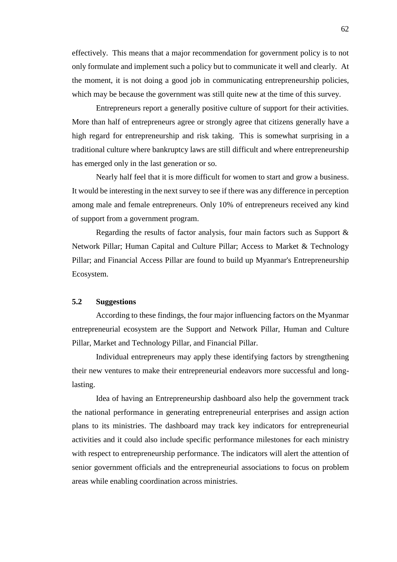effectively. This means that a major recommendation for government policy is to not only formulate and implement such a policy but to communicate it well and clearly. At the moment, it is not doing a good job in communicating entrepreneurship policies, which may be because the government was still quite new at the time of this survey.

Entrepreneurs report a generally positive culture of support for their activities. More than half of entrepreneurs agree or strongly agree that citizens generally have a high regard for entrepreneurship and risk taking. This is somewhat surprising in a traditional culture where bankruptcy laws are still difficult and where entrepreneurship has emerged only in the last generation or so.

Nearly half feel that it is more difficult for women to start and grow a business. It would be interesting in the next survey to see if there was any difference in perception among male and female entrepreneurs. Only 10% of entrepreneurs received any kind of support from a government program.

Regarding the results of factor analysis, four main factors such as Support & Network Pillar; Human Capital and Culture Pillar; Access to Market & Technology Pillar; and Financial Access Pillar are found to build up Myanmar's Entrepreneurship Ecosystem.

#### **5.2 Suggestions**

According to these findings, the four major influencing factors on the Myanmar entrepreneurial ecosystem are the Support and Network Pillar, Human and Culture Pillar, Market and Technology Pillar, and Financial Pillar.

Individual entrepreneurs may apply these identifying factors by strengthening their new ventures to make their entrepreneurial endeavors more successful and longlasting.

Idea of having an Entrepreneurship dashboard also help the government track the national performance in generating entrepreneurial enterprises and assign action plans to its ministries. The dashboard may track key indicators for entrepreneurial activities and it could also include specific performance milestones for each ministry with respect to entrepreneurship performance. The indicators will alert the attention of senior government officials and the entrepreneurial associations to focus on problem areas while enabling coordination across ministries.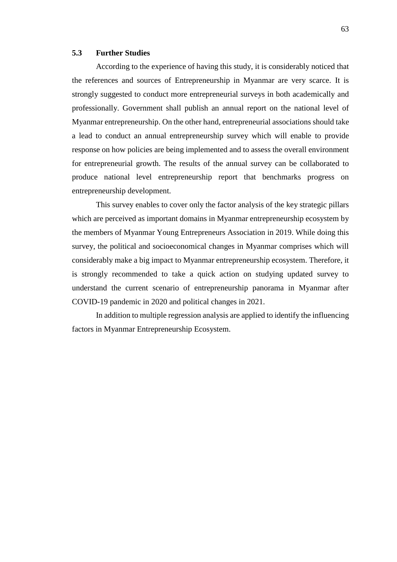#### **5.3 Further Studies**

According to the experience of having this study, it is considerably noticed that the references and sources of Entrepreneurship in Myanmar are very scarce. It is strongly suggested to conduct more entrepreneurial surveys in both academically and professionally. Government shall publish an annual report on the national level of Myanmar entrepreneurship. On the other hand, entrepreneurial associations should take a lead to conduct an annual entrepreneurship survey which will enable to provide response on how policies are being implemented and to assess the overall environment for entrepreneurial growth. The results of the annual survey can be collaborated to produce national level entrepreneurship report that benchmarks progress on entrepreneurship development.

This survey enables to cover only the factor analysis of the key strategic pillars which are perceived as important domains in Myanmar entrepreneurship ecosystem by the members of Myanmar Young Entrepreneurs Association in 2019. While doing this survey, the political and socioeconomical changes in Myanmar comprises which will considerably make a big impact to Myanmar entrepreneurship ecosystem. Therefore, it is strongly recommended to take a quick action on studying updated survey to understand the current scenario of entrepreneurship panorama in Myanmar after COVID-19 pandemic in 2020 and political changes in 2021.

In addition to multiple regression analysis are applied to identify the influencing factors in Myanmar Entrepreneurship Ecosystem.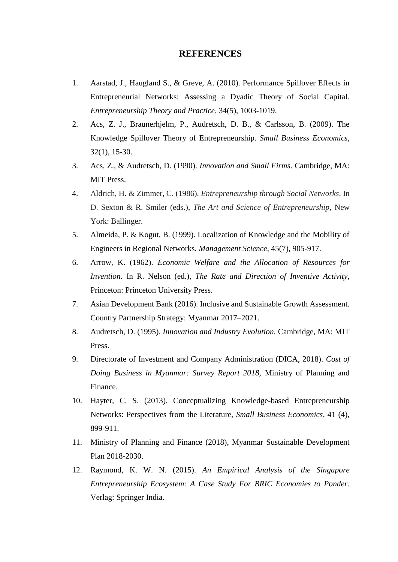### **REFERENCES**

- 1. Aarstad, J., Haugland S., & Greve, A. (2010). Performance Spillover Effects in Entrepreneurial Networks: Assessing a Dyadic Theory of Social Capital. *Entrepreneurship Theory and Practice*, 34(5), 1003-1019.
- 2. Acs, Z. J., Braunerhjelm, P., Audretsch, D. B., & Carlsson, B. (2009). The Knowledge Spillover Theory of Entrepreneurship. *Small Business Economics*, 32(1), 15-30.
- 3. Acs, Z., & Audretsch, D. (1990). *Innovation and Small Firms*. Cambridge, MA: MIT Press.
- 4. Aldrich, H. & Zimmer, C. (1986). *Entrepreneurship through Social Networks*. In D. Sexton & R. Smiler (eds.), *The Art and Science of Entrepreneurship,* New York: Ballinger.
- 5. Almeida, P. & Kogut, B. (1999). Localization of Knowledge and the Mobility of Engineers in Regional Networks. *Management Science*, 45(7), 905-917.
- 6. Arrow, K. (1962). *Economic Welfare and the Allocation of Resources for Invention.* In R. Nelson (ed.), *The Rate and Direction of Inventive Activity*, Princeton: Princeton University Press.
- 7. Asian Development Bank (2016). Inclusive and Sustainable Growth Assessment. Country Partnership Strategy: Myanmar 2017–2021.
- 8. Audretsch, D. (1995). *Innovation and Industry Evolution.* Cambridge, MA: MIT Press.
- 9. Directorate of Investment and Company Administration (DICA, 2018). *Cost of Doing Business in Myanmar: Survey Report 2018,* Ministry of Planning and Finance.
- 10. Hayter, C. S. (2013). Conceptualizing Knowledge-based Entrepreneurship Networks: Perspectives from the Literature, *Small Business Economics*, 41 (4), 899-911.
- 11. Ministry of Planning and Finance (2018), Myanmar Sustainable Development Plan 2018-2030.
- 12. Raymond, K. W. N. (2015). *An Empirical Analysis of the Singapore Entrepreneurship Ecosystem: A Case Study For BRIC Economies to Ponder.*  Verlag: Springer India.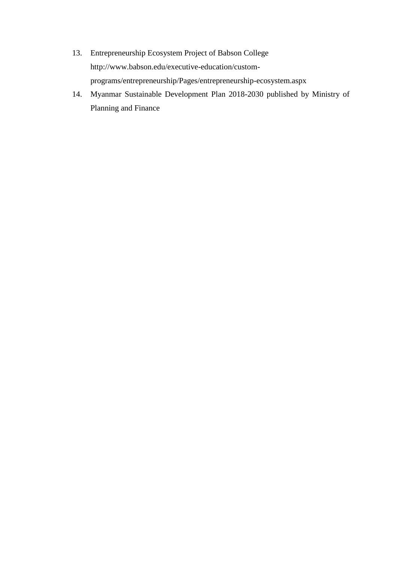- 13. Entrepreneurship Ecosystem Project of Babson College http://www.babson.edu/executive-education/customprograms/entrepreneurship/Pages/entrepreneurship-ecosystem.aspx
- 14. Myanmar Sustainable Development Plan 2018-2030 published by Ministry of Planning and Finance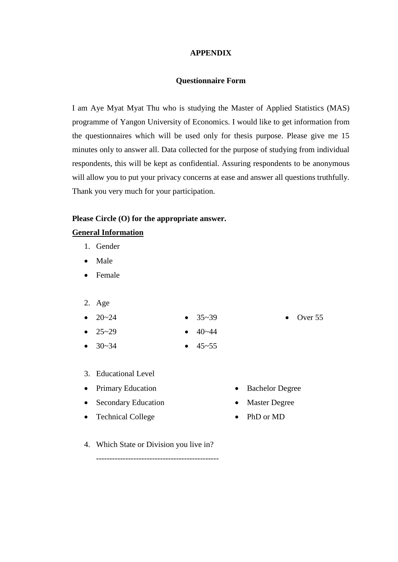## **APPENDIX**

#### **Questionnaire Form**

I am Aye Myat Myat Thu who is studying the Master of Applied Statistics (MAS) programme of Yangon University of Economics. I would like to get information from the questionnaires which will be used only for thesis purpose. Please give me 15 minutes only to answer all. Data collected for the purpose of studying from individual respondents, this will be kept as confidential. Assuring respondents to be anonymous will allow you to put your privacy concerns at ease and answer all questions truthfully. Thank you very much for your participation.

 $40 - 44$ 

#### **Please Circle (O) for the appropriate answer.**

#### **General Information**

- 1. Gender
- Male
- Female
- 2. Age

• 25~29

- $20 24$  $35 - 39$
- 

• Over 55

- $30 34$  $45 - 55$
- 
- 3. Educational Level
- Primary Education
- Secondary Education
- Technical College
- Bachelor Degree
- **Master Degree**
- PhD or MD
- 4. Which State or Division you live in?

----------------------------------------------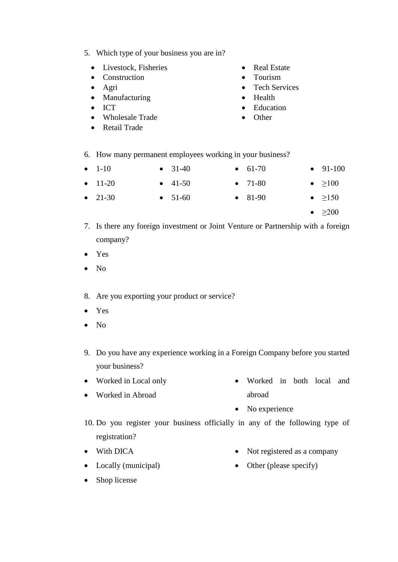- 5. Which type of your business you are in?
	- Livestock, Fisheries
	- Construction
	- Agri
	- Manufacturing
	- ICT
	- Wholesale Trade
	- Retail Trade
- **Real Estate**
- Tourism
- Tech Services
- Health
- Education
- Other
- 6. How many permanent employees working in your business?
- $\bullet$  1-10  $\bullet$  11-20  $• 31-40$  $• 41-50$  $• 61-70$  $• 71-80$  $• 91-100$ •  $\geq 100$
- $21-30$  $• 51-60$ • 81-90 •  $\geq 150$ 
	- $>200$
- 7. Is there any foreign investment or Joint Venture or Partnership with a foreign company?
- Yes
- No
- 8. Are you exporting your product or service?
- Yes
- No
- 9. Do you have any experience working in a Foreign Company before you started your business?
- Worked in Local only
- Worked in Abroad
- Worked in both local and abroad
- No experience
- 10. Do you register your business officially in any of the following type of registration?
- With DICA
- Locally (municipal)
- Not registered as a company
- Other (please specify)

• Shop license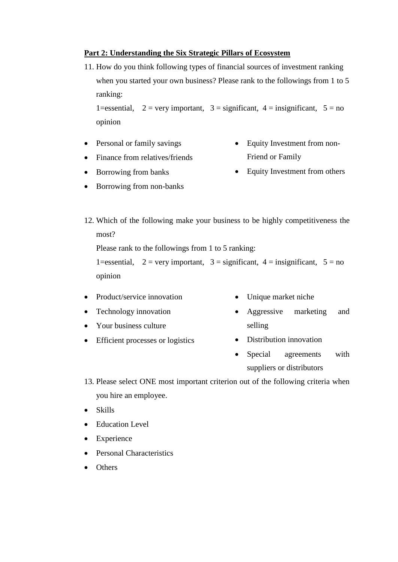# **Part 2: Understanding the Six Strategic Pillars of Ecosystem**

11. How do you think following types of financial sources of investment ranking when you started your own business? Please rank to the followings from 1 to 5 ranking:

1=essential,  $2 = \text{very important}, 3 = \text{significant}, 4 = \text{insignificant}, 5 = \text{no}$ opinion

- Personal or family savings
- Finance from relatives/friends
- Equity Investment from non-Friend or Family
- Borrowing from banks
- Borrowing from non-banks
- Equity Investment from others
- 12. Which of the following make your business to be highly competitiveness the most?

Please rank to the followings from 1 to 5 ranking:

1=essential,  $2 = \text{very important}, 3 = \text{significant}, 4 = \text{insignificant}, 5 = \text{no}$ opinion

- Product/service innovation
- Technology innovation
- Your business culture
- Efficient processes or logistics
- Unique market niche
- Aggressive marketing and selling
- Distribution innovation
- Special agreements with suppliers or distributors
- 13. Please select ONE most important criterion out of the following criteria when you hire an employee.
- Skills
- Education Level
- Experience
- Personal Characteristics
- **Others**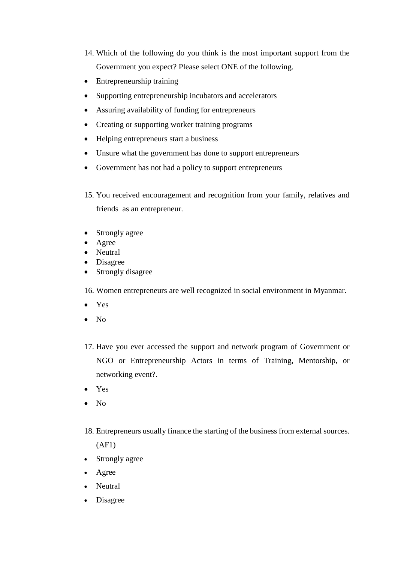- 14. Which of the following do you think is the most important support from the Government you expect? Please select ONE of the following.
- Entrepreneurship training
- Supporting entrepreneurship incubators and accelerators
- Assuring availability of funding for entrepreneurs
- Creating or supporting worker training programs
- Helping entrepreneurs start a business
- Unsure what the government has done to support entrepreneurs
- Government has not had a policy to support entrepreneurs
- 15. You received encouragement and recognition from your family, relatives and friends as an entrepreneur.
- Strongly agree
- Agree
- Neutral
- Disagree
- Strongly disagree
- 16. Women entrepreneurs are well recognized in social environment in Myanmar.
- Yes
- $\bullet$  No
- 17. Have you ever accessed the support and network program of Government or NGO or Entrepreneurship Actors in terms of Training, Mentorship, or networking event?.
- Yes
- No
- 18. Entrepreneurs usually finance the starting of the business from external sources.
	- (AF1)
- Strongly agree
- Agree
- Neutral
- Disagree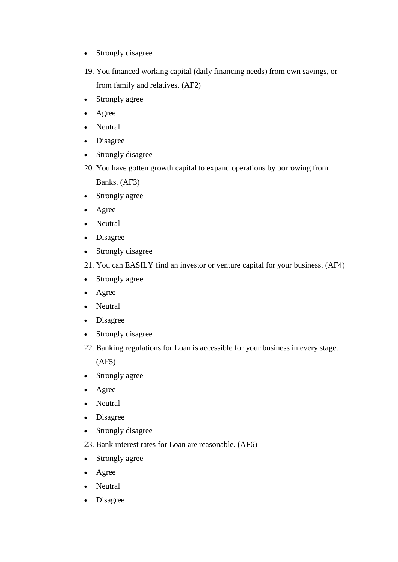- Strongly disagree
- 19. You financed working capital (daily financing needs) from own savings, or from family and relatives. (AF2)
- Strongly agree
- Agree
- Neutral
- Disagree
- Strongly disagree
- 20. You have gotten growth capital to expand operations by borrowing from
	- Banks. (AF3)
- Strongly agree
- Agree
- Neutral
- Disagree
- Strongly disagree
- 21. You can EASILY find an investor or venture capital for your business. (AF4)
- Strongly agree
- Agree
- Neutral
- Disagree
- Strongly disagree
- 22. Banking regulations for Loan is accessible for your business in every stage.

(AF5)

- Strongly agree
- Agree
- Neutral
- Disagree
- Strongly disagree
- 23. Bank interest rates for Loan are reasonable. (AF6)
- Strongly agree
- Agree
- Neutral
- Disagree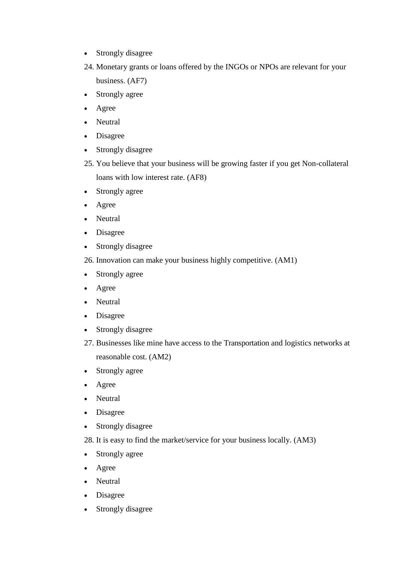- Strongly disagree
- 24. Monetary grants or loans offered by the INGOs or NPOs are relevant for your business. (AF7)
- Strongly agree
- Agree
- Neutral
- Disagree
- Strongly disagree
- 25. You believe that your business will be growing faster if you get Non-collateral loans with low interest rate. (AF8)
- Strongly agree
- Agree
- Neutral
- Disagree
- Strongly disagree
- 26. Innovation can make your business highly competitive. (AM1)
- Strongly agree
- Agree
- Neutral
- Disagree
- Strongly disagree
- 27. Businesses like mine have access to the Transportation and logistics networks at reasonable cost. (AM2)
- Strongly agree
- Agree
- Neutral
- Disagree
- Strongly disagree
- 28. It is easy to find the market/service for your business locally. (AM3)
- Strongly agree
- Agree
- Neutral
- Disagree
- Strongly disagree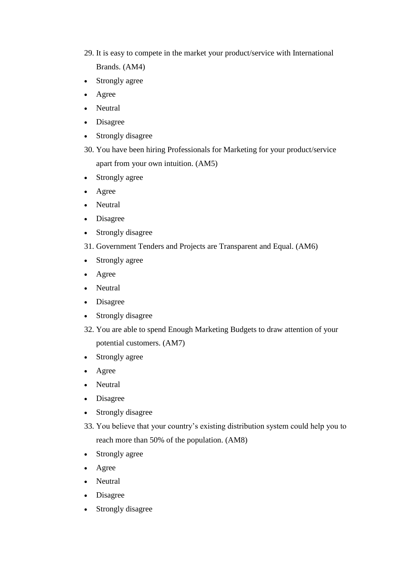- 29. It is easy to compete in the market your product/service with International Brands. (AM4)
- Strongly agree
- Agree
- Neutral
- Disagree
- Strongly disagree
- 30. You have been hiring Professionals for Marketing for your product/service apart from your own intuition. (AM5)
- Strongly agree
- Agree
- Neutral
- Disagree
- Strongly disagree
- 31. Government Tenders and Projects are Transparent and Equal. (AM6)
- Strongly agree
- Agree
- Neutral
- Disagree
- Strongly disagree
- 32. You are able to spend Enough Marketing Budgets to draw attention of your potential customers. (AM7)
- Strongly agree
- Agree
- Neutral
- Disagree
- Strongly disagree
- 33. You believe that your country's existing distribution system could help you to reach more than 50% of the population. (AM8)
- Strongly agree
- Agree
- Neutral
- Disagree
- Strongly disagree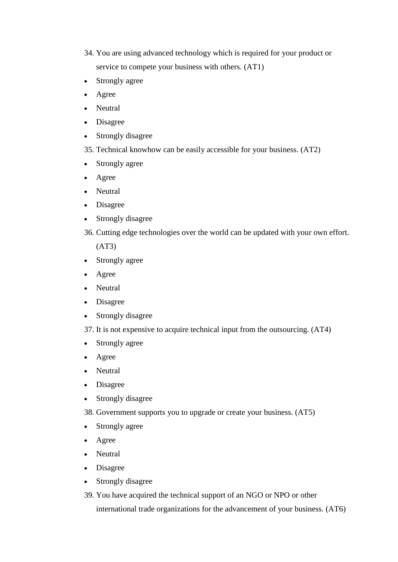- 34. You are using advanced technology which is required for your product or service to compete your business with others. (AT1)
- Strongly agree
- Agree
- Neutral
- Disagree
- Strongly disagree
- 35. Technical knowhow can be easily accessible for your business. (AT2)
- Strongly agree
- Agree
- Neutral
- Disagree
- Strongly disagree
- 36. Cutting edge technologies over the world can be updated with your own effort.

(AT3)

- Strongly agree
- Agree
- Neutral
- Disagree
- Strongly disagree
- 37. It is not expensive to acquire technical input from the outsourcing. (AT4)
- Strongly agree
- Agree
- Neutral
- Disagree
- Strongly disagree
- 38. Government supports you to upgrade or create your business. (AT5)
- Strongly agree
- Agree
- Neutral
- Disagree
- Strongly disagree
- 39. You have acquired the technical support of an NGO or NPO or other

international trade organizations for the advancement of your business. (AT6)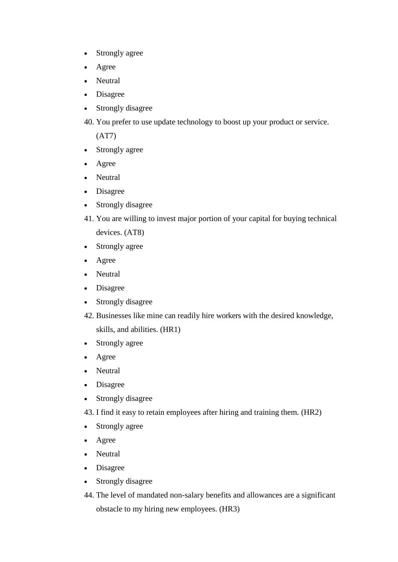- Strongly agree
- Agree
- Neutral
- Disagree
- Strongly disagree
- 40. You prefer to use update technology to boost up your product or service.

(AT7)

- Strongly agree
- Agree
- Neutral
- Disagree
- Strongly disagree
- 41. You are willing to invest major portion of your capital for buying technical devices. (AT8)
- Strongly agree
- Agree
- Neutral
- Disagree
- Strongly disagree
- 42. Businesses like mine can readily hire workers with the desired knowledge,
	- skills, and abilities. (HR1)
- Strongly agree
- Agree
- Neutral
- Disagree
- Strongly disagree
- 43. I find it easy to retain employees after hiring and training them. (HR2)
- Strongly agree
- Agree
- Neutral
- Disagree
- Strongly disagree
- 44. The level of mandated non-salary benefits and allowances are a significant obstacle to my hiring new employees. (HR3)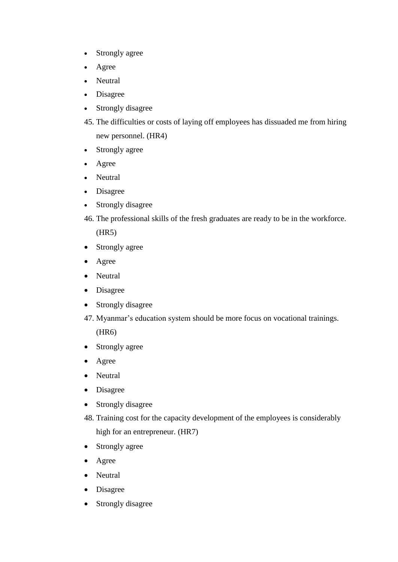- Strongly agree
- Agree
- Neutral
- Disagree
- Strongly disagree
- 45. The difficulties or costs of laying off employees has dissuaded me from hiring new personnel. (HR4)
- Strongly agree
- Agree
- Neutral
- Disagree
- Strongly disagree
- 46. The professional skills of the fresh graduates are ready to be in the workforce.

(HR5)

- Strongly agree
- Agree
- Neutral
- Disagree
- Strongly disagree
- 47. Myanmar's education system should be more focus on vocational trainings.

(HR6)

- Strongly agree
- Agree
- Neutral
- Disagree
- Strongly disagree
- 48. Training cost for the capacity development of the employees is considerably high for an entrepreneur. (HR7)
- Strongly agree
- Agree
- Neutral
- Disagree
- Strongly disagree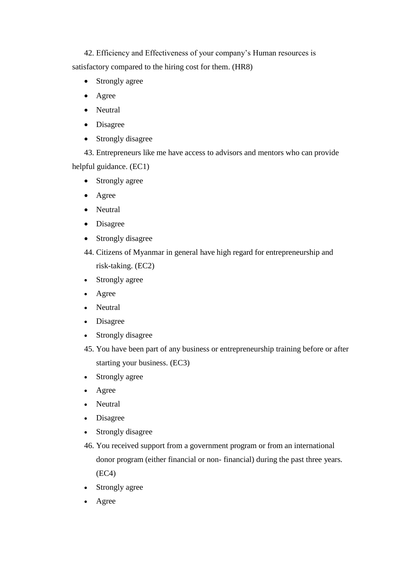42. Efficiency and Effectiveness of your company's Human resources is satisfactory compared to the hiring cost for them. (HR8)

- Strongly agree
- Agree
- Neutral
- Disagree
- Strongly disagree

43. Entrepreneurs like me have access to advisors and mentors who can provide helpful guidance. (EC1)

- Strongly agree
- Agree
- Neutral
- Disagree
- Strongly disagree
- 44. Citizens of Myanmar in general have high regard for entrepreneurship and risk-taking. (EC2)
- Strongly agree
- Agree
- Neutral
- Disagree
- Strongly disagree
- 45. You have been part of any business or entrepreneurship training before or after starting your business. (EC3)
- Strongly agree
- Agree
- Neutral
- Disagree
- Strongly disagree
- 46. You received support from a government program or from an international donor program (either financial or non- financial) during the past three years. (EC4)
- Strongly agree
- Agree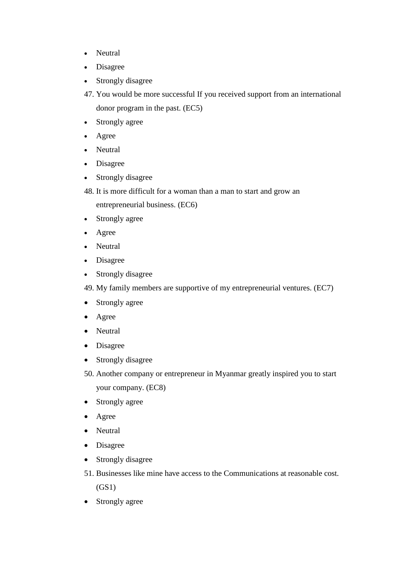- Neutral
- Disagree
- Strongly disagree
- 47. You would be more successful If you received support from an international donor program in the past. (EC5)
- Strongly agree
- Agree
- Neutral
- Disagree
- Strongly disagree
- 48. It is more difficult for a woman than a man to start and grow an entrepreneurial business. (EC6)
- Strongly agree
- Agree
- Neutral
- Disagree
- Strongly disagree
- 49. My family members are supportive of my entrepreneurial ventures. (EC7)
- Strongly agree
- Agree
- Neutral
- Disagree
- Strongly disagree
- 50. Another company or entrepreneur in Myanmar greatly inspired you to start your company. (EC8)
- Strongly agree
- Agree
- Neutral
- Disagree
- Strongly disagree
- 51. Businesses like mine have access to the Communications at reasonable cost. (GS1)
- Strongly agree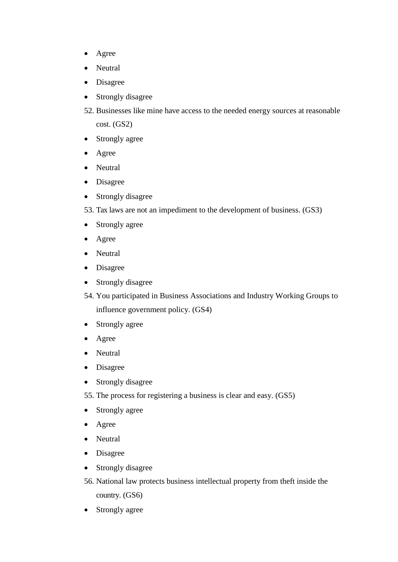- Agree
- Neutral
- Disagree
- Strongly disagree
- 52. Businesses like mine have access to the needed energy sources at reasonable cost. (GS2)
- Strongly agree
- Agree
- Neutral
- Disagree
- Strongly disagree
- 53. Tax laws are not an impediment to the development of business. (GS3)
- Strongly agree
- Agree
- Neutral
- Disagree
- Strongly disagree
- 54. You participated in Business Associations and Industry Working Groups to influence government policy. (GS4)
- Strongly agree
- Agree
- Neutral
- Disagree
- Strongly disagree
- 55. The process for registering a business is clear and easy. (GS5)
- Strongly agree
- Agree
- Neutral
- Disagree
- Strongly disagree
- 56. National law protects business intellectual property from theft inside the country. (GS6)
- Strongly agree